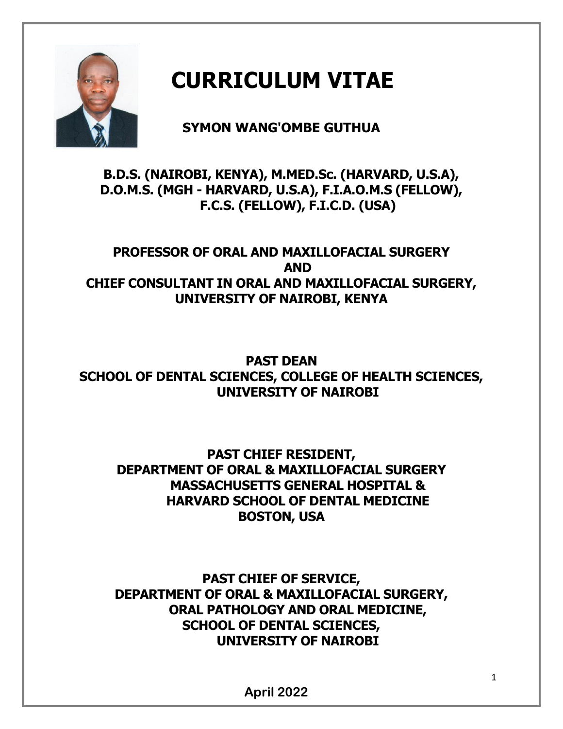

# **CURRICULUM VITAE**

# **SYMON WANG'OMBE GUTHUA**

## **B.D.S. (NAIROBI, KENYA), M.MED.Sc. (HARVARD, U.S.A), D.O.M.S. (MGH - HARVARD, U.S.A), F.I.A.O.M.S (FELLOW), F.C.S. (FELLOW), F.I.C.D. (USA)**

## **PROFESSOR OF ORAL AND MAXILLOFACIAL SURGERY AND CHIEF CONSULTANT IN ORAL AND MAXILLOFACIAL SURGERY, UNIVERSITY OF NAIROBI, KENYA**

**PAST DEAN SCHOOL OF DENTAL SCIENCES, COLLEGE OF HEALTH SCIENCES, UNIVERSITY OF NAIROBI**

**PAST CHIEF RESIDENT, DEPARTMENT OF ORAL & MAXILLOFACIAL SURGERY MASSACHUSETTS GENERAL HOSPITAL & HARVARD SCHOOL OF DENTAL MEDICINE BOSTON, USA**

**PAST CHIEF OF SERVICE, DEPARTMENT OF ORAL & MAXILLOFACIAL SURGERY, ORAL PATHOLOGY AND ORAL MEDICINE, SCHOOL OF DENTAL SCIENCES, UNIVERSITY OF NAIROBI**

**April 2022**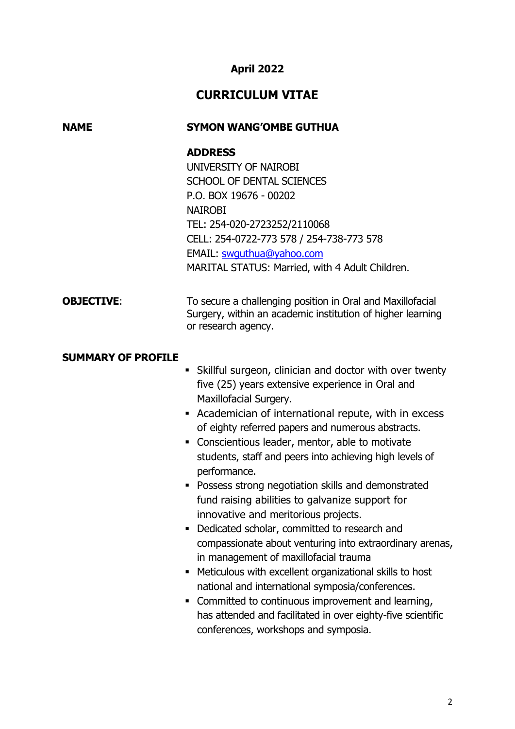## **April 2022**

## **CURRICULUM VITAE**

## **NAME SYMON WANG'OMBE GUTHUA**

#### **ADDRESS**

UNIVERSITY OF NAIROBI SCHOOL OF DENTAL SCIENCES P.O. BOX 19676 - 00202 NAIROBI TEL: 254-020-2723252/2110068 CELL: 254-0722-773 578 / 254-738-773 578 EMAIL: [swguthua@yahoo.com](mailto:swguthua@yahoo.com) MARITAL STATUS: Married, with 4 Adult Children.

#### **OBJECTIVE:** To secure a challenging position in Oral and Maxillofacial Surgery, within an academic institution of higher learning or research agency.

#### **SUMMARY OF PROFILE**

- Skillful surgeon, clinician and doctor with over twenty five (25) years extensive experience in Oral and Maxillofacial Surgery.
- Academician of international repute, with in excess of eighty referred papers and numerous abstracts.
- Conscientious leader, mentor, able to motivate students, staff and peers into achieving high levels of performance.
- **Possess strong negotiation skills and demonstrated** fund raising abilities to galvanize support for innovative and meritorious projects.
- Dedicated scholar, committed to research and compassionate about venturing into extraordinary arenas, in management of maxillofacial trauma
- Meticulous with excellent organizational skills to host national and international symposia/conferences.
- Committed to continuous improvement and learning, has attended and facilitated in over eighty-five scientific conferences, workshops and symposia.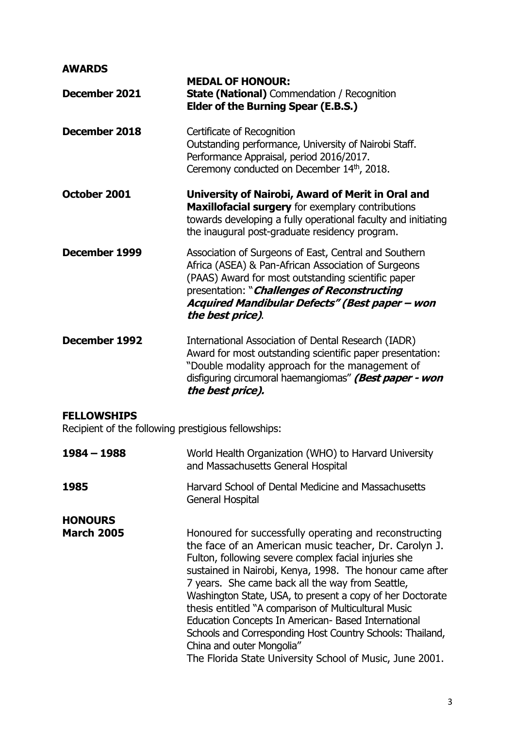## **AWARDS**

| December 2021                                                             | <b>MEDAL OF HONOUR:</b><br><b>State (National)</b> Commendation / Recognition<br><b>Elder of the Burning Spear (E.B.S.)</b>                                                                                                                                                             |
|---------------------------------------------------------------------------|-----------------------------------------------------------------------------------------------------------------------------------------------------------------------------------------------------------------------------------------------------------------------------------------|
| December 2018                                                             | Certificate of Recognition<br>Outstanding performance, University of Nairobi Staff.<br>Performance Appraisal, period 2016/2017.<br>Ceremony conducted on December 14th, 2018.                                                                                                           |
| October 2001                                                              | University of Nairobi, Award of Merit in Oral and<br>Maxillofacial surgery for exemplary contributions<br>towards developing a fully operational faculty and initiating<br>the inaugural post-graduate residency program.                                                               |
| December 1999                                                             | Association of Surgeons of East, Central and Southern<br>Africa (ASEA) & Pan-African Association of Surgeons<br>(PAAS) Award for most outstanding scientific paper<br>presentation: "Challenges of Reconstructing<br>Acquired Mandibular Defects" (Best paper – won<br>the best price). |
| December 1992                                                             | International Association of Dental Research (IADR)<br>Award for most outstanding scientific paper presentation:<br>"Double modality approach for the management of<br>disfiguring circumoral haemangiomas" (Best paper - won<br>the best price).                                       |
| <b>FELLOWSHIPS</b><br>Recipient of the following prestigious fellowships: |                                                                                                                                                                                                                                                                                         |
| $1984 - 1988$                                                             | World Health Organization (WHO) to Harvard University                                                                                                                                                                                                                                   |

|                   | and Massachusetts General Hospital                                                                                                                                                                                                                                                                                                                                                                                                                                                                                                                                                                                        |
|-------------------|---------------------------------------------------------------------------------------------------------------------------------------------------------------------------------------------------------------------------------------------------------------------------------------------------------------------------------------------------------------------------------------------------------------------------------------------------------------------------------------------------------------------------------------------------------------------------------------------------------------------------|
| 1985              | Harvard School of Dental Medicine and Massachusetts<br><b>General Hospital</b>                                                                                                                                                                                                                                                                                                                                                                                                                                                                                                                                            |
| <b>HONOURS</b>    |                                                                                                                                                                                                                                                                                                                                                                                                                                                                                                                                                                                                                           |
| <b>March 2005</b> | Honoured for successfully operating and reconstructing<br>the face of an American music teacher, Dr. Carolyn J.<br>Fulton, following severe complex facial injuries she<br>sustained in Nairobi, Kenya, 1998. The honour came after<br>7 years. She came back all the way from Seattle,<br>Washington State, USA, to present a copy of her Doctorate<br>thesis entitled "A comparison of Multicultural Music<br>Education Concepts In American- Based International<br>Schools and Corresponding Host Country Schools: Thailand,<br>China and outer Mongolia"<br>The Florida State University School of Music, June 2001. |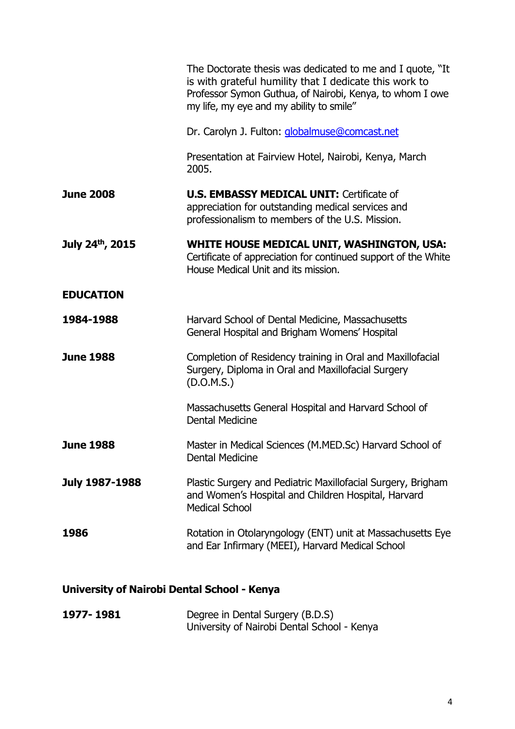|                       | The Doctorate thesis was dedicated to me and I quote, "It<br>is with grateful humility that I dedicate this work to<br>Professor Symon Guthua, of Nairobi, Kenya, to whom I owe<br>my life, my eye and my ability to smile" |
|-----------------------|-----------------------------------------------------------------------------------------------------------------------------------------------------------------------------------------------------------------------------|
|                       | Dr. Carolyn J. Fulton: globalmuse@comcast.net                                                                                                                                                                               |
|                       | Presentation at Fairview Hotel, Nairobi, Kenya, March<br>2005.                                                                                                                                                              |
| <b>June 2008</b>      | <b>U.S. EMBASSY MEDICAL UNIT: Certificate of</b><br>appreciation for outstanding medical services and<br>professionalism to members of the U.S. Mission.                                                                    |
| July 24th, 2015       | <b>WHITE HOUSE MEDICAL UNIT, WASHINGTON, USA:</b><br>Certificate of appreciation for continued support of the White<br>House Medical Unit and its mission.                                                                  |
| <b>EDUCATION</b>      |                                                                                                                                                                                                                             |
| 1984-1988             | Harvard School of Dental Medicine, Massachusetts<br>General Hospital and Brigham Womens' Hospital                                                                                                                           |
| <b>June 1988</b>      | Completion of Residency training in Oral and Maxillofacial<br>Surgery, Diploma in Oral and Maxillofacial Surgery<br>(D.O.M.S.)                                                                                              |
|                       | Massachusetts General Hospital and Harvard School of<br><b>Dental Medicine</b>                                                                                                                                              |
| <b>June 1988</b>      | Master in Medical Sciences (M.MED.Sc) Harvard School of<br><b>Dental Medicine</b>                                                                                                                                           |
| <b>July 1987-1988</b> | Plastic Surgery and Pediatric Maxillofacial Surgery, Brigham<br>and Women's Hospital and Children Hospital, Harvard<br><b>Medical School</b>                                                                                |
| 1986                  | Rotation in Otolaryngology (ENT) unit at Massachusetts Eye<br>and Ear Infirmary (MEEI), Harvard Medical School                                                                                                              |
|                       |                                                                                                                                                                                                                             |

# **University of Nairobi Dental School - Kenya**

| 1977-1981 | Degree in Dental Surgery (B.D.S)            |
|-----------|---------------------------------------------|
|           | University of Nairobi Dental School - Kenya |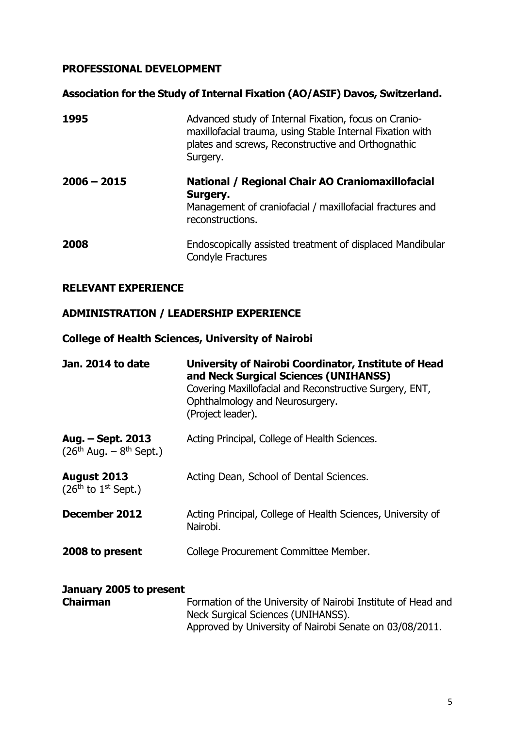## **PROFESSIONAL DEVELOPMENT**

## **Association for the Study of Internal Fixation (AO/ASIF) Davos, Switzerland.**

| 1995          | Advanced study of Internal Fixation, focus on Cranio-<br>maxillofacial trauma, using Stable Internal Fixation with<br>plates and screws, Reconstructive and Orthognathic<br>Surgery. |
|---------------|--------------------------------------------------------------------------------------------------------------------------------------------------------------------------------------|
| $2006 - 2015$ | National / Regional Chair AO Craniomaxillofacial<br>Surgery.<br>Management of craniofacial / maxillofacial fractures and<br>reconstructions.                                         |
| 2008          | Endoscopically assisted treatment of displaced Mandibular<br>Condyle Fractures                                                                                                       |

#### **RELEVANT EXPERIENCE**

## **ADMINISTRATION / LEADERSHIP EXPERIENCE**

## **College of Health Sciences, University of Nairobi**

| Jan. 2014 to date                                      | University of Nairobi Coordinator, Institute of Head<br>and Neck Surgical Sciences (UNIHANSS)<br>Covering Maxillofacial and Reconstructive Surgery, ENT,<br>Ophthalmology and Neurosurgery.<br>(Project leader). |
|--------------------------------------------------------|------------------------------------------------------------------------------------------------------------------------------------------------------------------------------------------------------------------|
| Aug. – Sept. 2013<br>$(26^{th}$ Aug. – $8^{th}$ Sept.) | Acting Principal, College of Health Sciences.                                                                                                                                                                    |
| August 2013<br>$(26th$ to $1st$ Sept.)                 | Acting Dean, School of Dental Sciences.                                                                                                                                                                          |
| December 2012                                          | Acting Principal, College of Health Sciences, University of<br>Nairobi.                                                                                                                                          |
| 2008 to present                                        | College Procurement Committee Member.                                                                                                                                                                            |
| January 2005 to present                                |                                                                                                                                                                                                                  |
| <b>Chairman</b>                                        | Formation of the University of Nairobi Institute of Head and<br>Neck Surgical Sciences (UNIHANSS).                                                                                                               |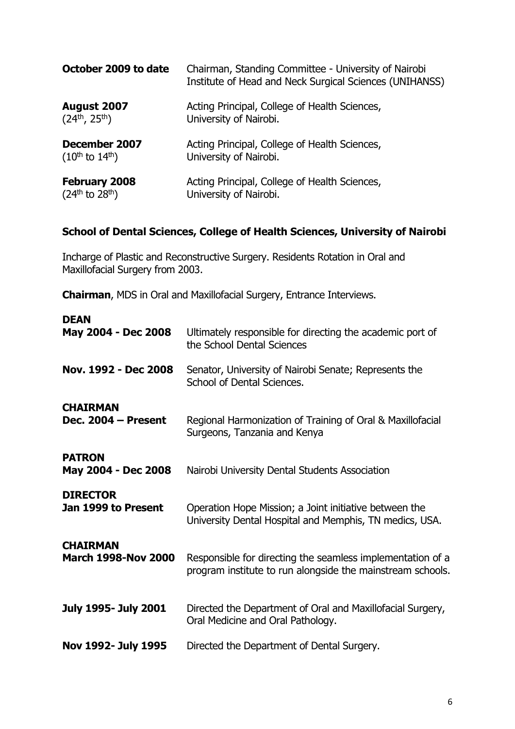| October 2009 to date     | Chairman, Standing Committee - University of Nairobi<br>Institute of Head and Neck Surgical Sciences (UNIHANSS) |
|--------------------------|-----------------------------------------------------------------------------------------------------------------|
| August 2007              | Acting Principal, College of Health Sciences,                                                                   |
| $(24^{th}, 25^{th})$     | University of Nairobi.                                                                                          |
| December 2007            | Acting Principal, College of Health Sciences,                                                                   |
| $(10^{th}$ to $14^{th})$ | University of Nairobi.                                                                                          |
| <b>February 2008</b>     | Acting Principal, College of Health Sciences,                                                                   |
| $(24th$ to $28th$ )      | University of Nairobi.                                                                                          |

#### **School of Dental Sciences, College of Health Sciences, University of Nairobi**

Incharge of Plastic and Reconstructive Surgery. Residents Rotation in Oral and Maxillofacial Surgery from 2003.

**Chairman**, MDS in Oral and Maxillofacial Surgery, Entrance Interviews.

| <b>DEAN</b>                          | Ultimately responsible for directing the academic port of                                       |
|--------------------------------------|-------------------------------------------------------------------------------------------------|
| May 2004 - Dec 2008                  | the School Dental Sciences                                                                      |
| Nov. 1992 - Dec 2008                 | Senator, University of Nairobi Senate; Represents the<br>School of Dental Sciences.             |
| <b>CHAIRMAN</b>                      | Regional Harmonization of Training of Oral & Maxillofacial                                      |
| Dec. 2004 - Present                  | Surgeons, Tanzania and Kenya                                                                    |
| <b>PATRON</b><br>May 2004 - Dec 2008 | Nairobi University Dental Students Association                                                  |
| <b>DIRECTOR</b>                      | Operation Hope Mission; a Joint initiative between the                                          |
| Jan 1999 to Present                  | University Dental Hospital and Memphis, TN medics, USA.                                         |
| <b>CHAIRMAN</b>                      | Responsible for directing the seamless implementation of a                                      |
| <b>March 1998-Nov 2000</b>           | program institute to run alongside the mainstream schools.                                      |
| <b>July 1995- July 2001</b>          | Directed the Department of Oral and Maxillofacial Surgery,<br>Oral Medicine and Oral Pathology. |
| Nov 1992- July 1995                  | Directed the Department of Dental Surgery.                                                      |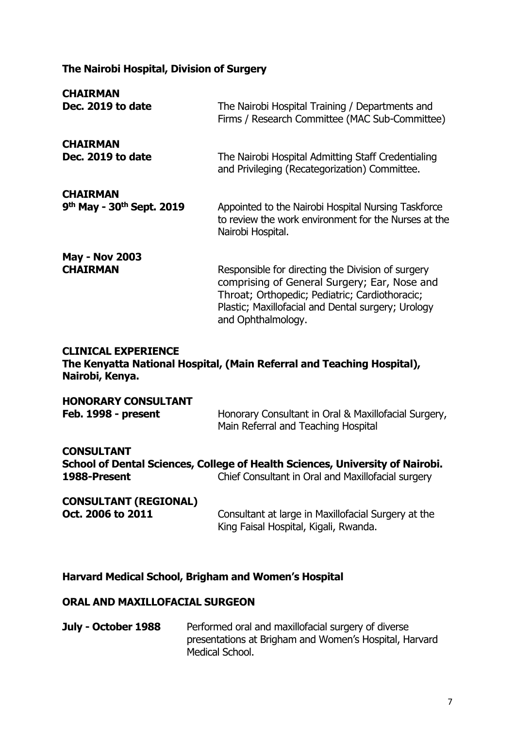## **The Nairobi Hospital, Division of Surgery**

| <b>CHAIRMAN</b>                                                      | The Nairobi Hospital Training / Departments and                                                                                                                                                                                 |
|----------------------------------------------------------------------|---------------------------------------------------------------------------------------------------------------------------------------------------------------------------------------------------------------------------------|
| Dec. 2019 to date                                                    | Firms / Research Committee (MAC Sub-Committee)                                                                                                                                                                                  |
| <b>CHAIRMAN</b>                                                      | The Nairobi Hospital Admitting Staff Credentialing                                                                                                                                                                              |
| Dec. 2019 to date                                                    | and Privileging (Recategorization) Committee.                                                                                                                                                                                   |
| <b>CHAIRMAN</b><br>9 <sup>th</sup> May - 30 <sup>th</sup> Sept. 2019 | Appointed to the Nairobi Hospital Nursing Taskforce<br>to review the work environment for the Nurses at the<br>Nairobi Hospital.                                                                                                |
| <b>May - Nov 2003</b><br><b>CHAIRMAN</b>                             | Responsible for directing the Division of surgery<br>comprising of General Surgery; Ear, Nose and<br>Throat; Orthopedic; Pediatric; Cardiothoracic;<br>Plastic; Maxillofacial and Dental surgery; Urology<br>and Ophthalmology. |
| <b>CLINICAL EXPERIENCE</b><br>Nairobi, Kenya.                        | The Kenyatta National Hospital, (Main Referral and Teaching Hospital),                                                                                                                                                          |
| <b>HONORARY CONSULTANT</b>                                           | Honorary Consultant in Oral & Maxillofacial Surgery,                                                                                                                                                                            |
| Feb. 1998 - present                                                  | Main Referral and Teaching Hospital                                                                                                                                                                                             |
| <b>CONSULTANT</b>                                                    | School of Dental Sciences, College of Health Sciences, University of Nairobi.                                                                                                                                                   |
| 1988-Present                                                         | Chief Consultant in Oral and Maxillofacial surgery                                                                                                                                                                              |
| <b>CONSULTANT (REGIONAL)</b>                                         | Consultant at large in Maxillofacial Surgery at the                                                                                                                                                                             |
| Oct. 2006 to 2011                                                    | King Faisal Hospital, Kigali, Rwanda.                                                                                                                                                                                           |

## **Harvard Medical School, Brigham and Women's Hospital**

#### **ORAL AND MAXILLOFACIAL SURGEON**

**July - October 1988** Performed oral and maxillofacial surgery of diverse presentations at Brigham and Women's Hospital, Harvard Medical School.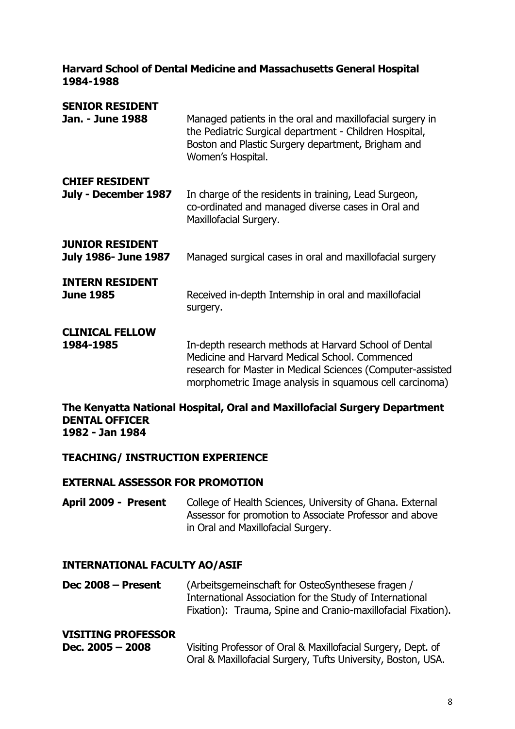#### **Harvard School of Dental Medicine and Massachusetts General Hospital 1984-1988**

| <b>SENIOR RESIDENT</b><br>Jan. - June 1988            | Managed patients in the oral and maxillofacial surgery in<br>the Pediatric Surgical department - Children Hospital,<br>Boston and Plastic Surgery department, Brigham and<br>Women's Hospital.                                   |
|-------------------------------------------------------|----------------------------------------------------------------------------------------------------------------------------------------------------------------------------------------------------------------------------------|
| <b>CHIEF RESIDENT</b><br>July - December 1987         | In charge of the residents in training, Lead Surgeon,<br>co-ordinated and managed diverse cases in Oral and<br>Maxillofacial Surgery.                                                                                            |
| <b>JUNIOR RESIDENT</b><br><b>July 1986- June 1987</b> | Managed surgical cases in oral and maxillofacial surgery                                                                                                                                                                         |
| <b>INTERN RESIDENT</b><br><b>June 1985</b>            | Received in-depth Internship in oral and maxillofacial<br>surgery.                                                                                                                                                               |
| <b>CLINICAL FELLOW</b><br>1984-1985                   | In-depth research methods at Harvard School of Dental<br>Medicine and Harvard Medical School, Commenced<br>research for Master in Medical Sciences (Computer-assisted<br>morphometric Image analysis in squamous cell carcinoma) |

#### **The Kenyatta National Hospital, Oral and Maxillofacial Surgery Department DENTAL OFFICER 1982 - Jan 1984**

#### **TEACHING/ INSTRUCTION EXPERIENCE**

#### **EXTERNAL ASSESSOR FOR PROMOTION**

**April 2009 - Present** College of Health Sciences, University of Ghana. External Assessor for promotion to Associate Professor and above in Oral and Maxillofacial Surgery.

## **INTERNATIONAL FACULTY AO/ASIF**

**Dec 2008 – Present** (Arbeitsgemeinschaft for OsteoSynthesese fragen / International Association for the Study of International Fixation): Trauma, Spine and Cranio-maxillofacial Fixation).

#### **VISITING PROFESSOR**

| Dec. $2005 - 2008$ | Visiting Professor of Oral & Maxillofacial Surgery, Dept. of |
|--------------------|--------------------------------------------------------------|
|                    | Oral & Maxillofacial Surgery, Tufts University, Boston, USA. |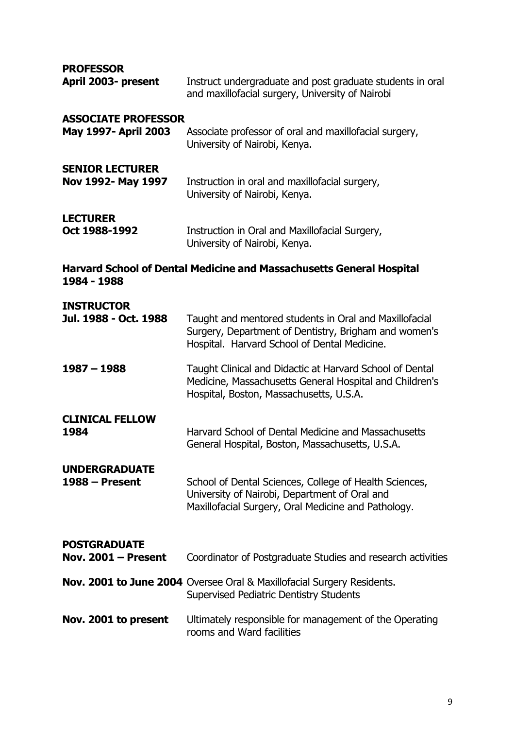**PROFESSOR**

| <b>PROFESSOR</b><br>April 2003- present            | Instruct undergraduate and post graduate students in oral<br>and maxillofacial surgery, University of Nairobi                                                   |
|----------------------------------------------------|-----------------------------------------------------------------------------------------------------------------------------------------------------------------|
| <b>ASSOCIATE PROFESSOR</b><br>May 1997- April 2003 | Associate professor of oral and maxillofacial surgery,<br>University of Nairobi, Kenya.                                                                         |
| <b>SENIOR LECTURER</b><br>Nov 1992- May 1997       | Instruction in oral and maxillofacial surgery,<br>University of Nairobi, Kenya.                                                                                 |
| <b>LECTURER</b><br>Oct 1988-1992                   | Instruction in Oral and Maxillofacial Surgery,<br>University of Nairobi, Kenya.                                                                                 |
| 1984 - 1988                                        | <b>Harvard School of Dental Medicine and Massachusetts General Hospital</b>                                                                                     |
| <b>INSTRUCTOR</b><br>Jul. 1988 - Oct. 1988         | Taught and mentored students in Oral and Maxillofacial<br>Surgery, Department of Dentistry, Brigham and women's<br>Hospital. Harvard School of Dental Medicine. |
| $1987 - 1988$                                      | Taught Clinical and Didactic at Harvard School of Dental<br>Medicine, Massachusetts General Hospital and Children's<br>Hospital, Boston, Massachusetts, U.S.A.  |
| <b>CLINICAL FELLOW</b><br>1984                     | Harvard School of Dental Medicine and Massachusetts<br>General Hospital, Boston, Massachusetts, U.S.A.                                                          |
| <b>UNDERGRADUATE</b><br>$1988 -$ Present           | School of Dental Sciences, College of Health Sciences,<br>University of Nairobi, Department of Oral and<br>Maxillofacial Surgery, Oral Medicine and Pathology.  |
| <b>POSTGRADUATE</b><br>Nov. $2001 -$ Present       | Coordinator of Postgraduate Studies and research activities                                                                                                     |
|                                                    | Nov. 2001 to June 2004 Oversee Oral & Maxillofacial Surgery Residents.<br><b>Supervised Pediatric Dentistry Students</b>                                        |
| Nov. 2001 to present                               | Ultimately responsible for management of the Operating<br>rooms and Ward facilities                                                                             |
|                                                    |                                                                                                                                                                 |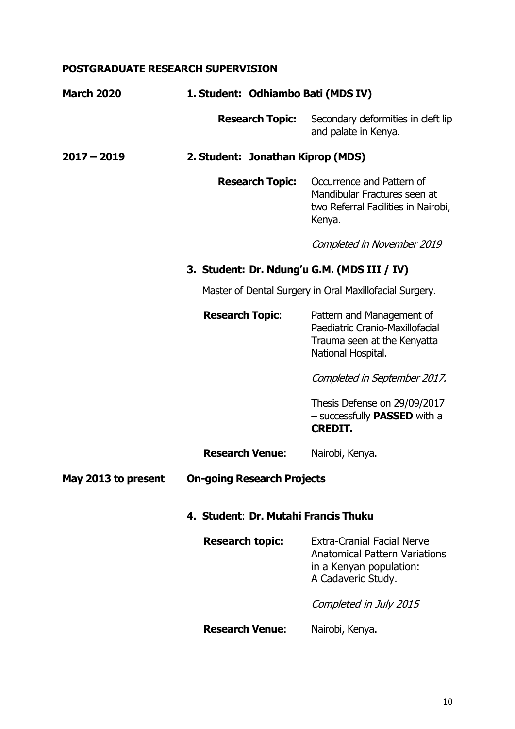## **POSTGRADUATE RESEARCH SUPERVISION**

| <b>March 2020</b>   | 1. Student: Odhiambo Bati (MDS IV)          |                                                                                                                            |
|---------------------|---------------------------------------------|----------------------------------------------------------------------------------------------------------------------------|
|                     | <b>Research Topic:</b>                      | Secondary deformities in cleft lip<br>and palate in Kenya.                                                                 |
| $2017 - 2019$       | 2. Student: Jonathan Kiprop (MDS)           |                                                                                                                            |
|                     | <b>Research Topic:</b>                      | Occurrence and Pattern of<br>Mandibular Fractures seen at<br>two Referral Facilities in Nairobi,<br>Kenya.                 |
|                     |                                             | Completed in November 2019                                                                                                 |
|                     | 3. Student: Dr. Ndung'u G.M. (MDS III / IV) |                                                                                                                            |
|                     |                                             | Master of Dental Surgery in Oral Maxillofacial Surgery.                                                                    |
|                     | <b>Research Topic:</b>                      | Pattern and Management of<br>Paediatric Cranio-Maxillofacial<br>Trauma seen at the Kenyatta<br>National Hospital.          |
|                     |                                             | Completed in September 2017.                                                                                               |
|                     |                                             | Thesis Defense on 29/09/2017<br>- successfully <b>PASSED</b> with a<br><b>CREDIT.</b>                                      |
|                     | <b>Research Venue:</b>                      | Nairobi, Kenya.                                                                                                            |
| May 2013 to present | <b>On-going Research Projects</b>           |                                                                                                                            |
|                     | 4. Student: Dr. Mutahi Francis Thuku        |                                                                                                                            |
|                     | <b>Research topic:</b>                      | <b>Extra-Cranial Facial Nerve</b><br><b>Anatomical Pattern Variations</b><br>in a Kenyan population:<br>A Cadaveric Study. |
|                     |                                             | Completed in July 2015                                                                                                     |
|                     | <b>Research Venue:</b>                      | Nairobi, Kenya.                                                                                                            |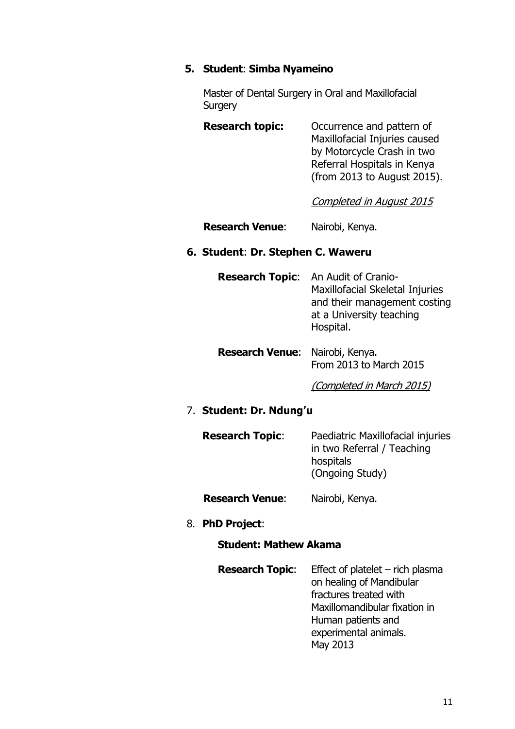## **5. Student**: **Simba Nyameino**

Master of Dental Surgery in Oral and Maxillofacial **Surgery** 

| <b>Research topic:</b> | Occurrence and pattern of     |
|------------------------|-------------------------------|
|                        | Maxillofacial Injuries caused |
|                        | by Motorcycle Crash in two    |
|                        | Referral Hospitals in Kenya   |
|                        | (from 2013 to August 2015).   |

Completed in August 2015

**Research Venue**: Nairobi, Kenya.

#### **6. Student**: **Dr. Stephen C. Waweru**

| <b>Research Topic:</b> An Audit of Cranio- |
|--------------------------------------------|
| Maxillofacial Skeletal Injuries            |
| and their management costing               |
| at a University teaching                   |
| Hospital.                                  |
|                                            |

**Research Venue**: Nairobi, Kenya. From 2013 to March 2015

(Completed in March 2015)

#### 7. **Student: Dr. Ndung'u**

| <b>Research Topic:</b> | Paediatric Maxillofacial injuries<br>in two Referral / Teaching<br>hospitals |
|------------------------|------------------------------------------------------------------------------|
|                        | (Ongoing Study)                                                              |

**Research Venue**: Nairobi, Kenya.

8. **PhD Project**:

## **Student: Mathew Akama**

| <b>Research Topic:</b> Effect of platelet $-$ rich plasma |
|-----------------------------------------------------------|
| on healing of Mandibular                                  |
| fractures treated with                                    |
| Maxillomandibular fixation in                             |
| Human patients and                                        |
| experimental animals.                                     |
| May 2013                                                  |
|                                                           |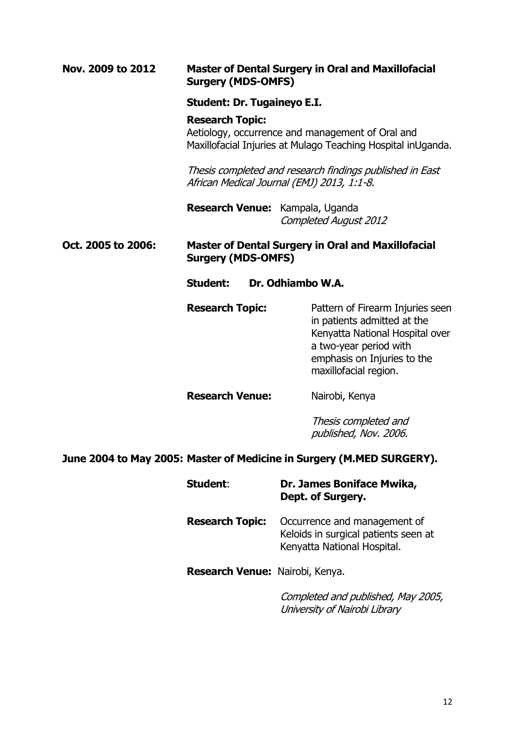#### **Nov. 2009 to 2012 Master of Dental Surgery in Oral and Maxillofacial Surgery (MDS-OMFS)**

#### **Student: Dr. Tugaineyo E.I.**

#### **Research Topic:**

Aetiology, occurrence and management of Oral and Maxillofacial Injuries at Mulago Teaching Hospital inUganda.

Thesis completed and research findings published in East African Medical Journal (EMJ) 2013, 1:1-8.

**Research Venue:** Kampala, Uganda Completed August 2012

#### **Oct. 2005 to 2006: Master of Dental Surgery in Oral and Maxillofacial Surgery (MDS-OMFS)**

**Student: Dr. Odhiambo W.A.**

**Research Topic:** Pattern of Firearm Injuries seen in patients admitted at the Kenyatta National Hospital over a two-year period with emphasis on Injuries to the maxillofacial region.

**Research Venue:** Nairobi, Kenya

Thesis completed and published, Nov. 2006.

#### **June 2004 to May 2005: Master of Medicine in Surgery (M.MED SURGERY).**

| Student:                        | Dr. James Boniface Mwika,<br>Dept. of Surgery.                                                      |
|---------------------------------|-----------------------------------------------------------------------------------------------------|
| <b>Research Topic:</b>          | Occurrence and management of<br>Keloids in surgical patients seen at<br>Kenyatta National Hospital. |
| Research Venue: Nairobi, Kenya. |                                                                                                     |
|                                 | Completed and published, May 2005,<br>.                                                             |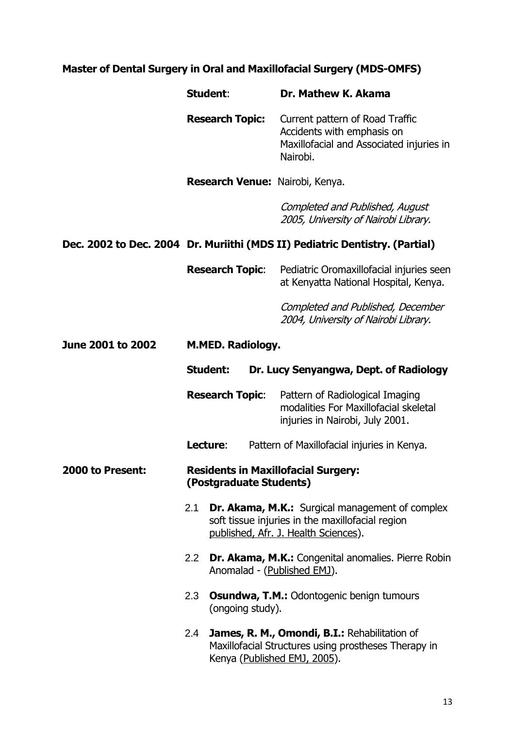# **Master of Dental Surgery in Oral and Maxillofacial Surgery (MDS-OMFS)**

|                   | Student:                                                              | Dr. Mathew K. Akama                                                                                                                                |
|-------------------|-----------------------------------------------------------------------|----------------------------------------------------------------------------------------------------------------------------------------------------|
|                   | <b>Research Topic:</b>                                                | Current pattern of Road Traffic<br>Accidents with emphasis on<br>Maxillofacial and Associated injuries in<br>Nairobi.                              |
|                   | Research Venue: Nairobi, Kenya.                                       |                                                                                                                                                    |
|                   |                                                                       | Completed and Published, August<br>2005, University of Nairobi Library.                                                                            |
|                   |                                                                       | Dec. 2002 to Dec. 2004 Dr. Muriithi (MDS II) Pediatric Dentistry. (Partial)                                                                        |
|                   | <b>Research Topic:</b>                                                | Pediatric Oromaxillofacial injuries seen<br>at Kenyatta National Hospital, Kenya.                                                                  |
|                   |                                                                       | Completed and Published, December<br>2004, University of Nairobi Library.                                                                          |
| June 2001 to 2002 | <b>M.MED. Radiology.</b>                                              |                                                                                                                                                    |
|                   | <b>Student:</b>                                                       | Dr. Lucy Senyangwa, Dept. of Radiology                                                                                                             |
|                   | <b>Research Topic:</b>                                                | Pattern of Radiological Imaging<br>modalities For Maxillofacial skeletal<br>injuries in Nairobi, July 2001.                                        |
|                   | Lecture:                                                              | Pattern of Maxillofacial injuries in Kenya.                                                                                                        |
| 2000 to Present:  | <b>Residents in Maxillofacial Surgery:</b><br>(Postgraduate Students) |                                                                                                                                                    |
|                   | 2.1                                                                   | <b>Dr. Akama, M.K.:</b> Surgical management of complex<br>soft tissue injuries in the maxillofacial region<br>published, Afr. J. Health Sciences). |
|                   | 2.2 <sub>2</sub><br>Anomalad - (Published EMJ).                       | Dr. Akama, M.K.: Congenital anomalies. Pierre Robin                                                                                                |
|                   | 2.3<br>(ongoing study).                                               | <b>Osundwa, T.M.: Odontogenic benign tumours</b>                                                                                                   |
|                   | 2.4<br>Kenya (Published EMJ, 2005).                                   | James, R. M., Omondi, B.I.: Rehabilitation of<br>Maxillofacial Structures using prostheses Therapy in                                              |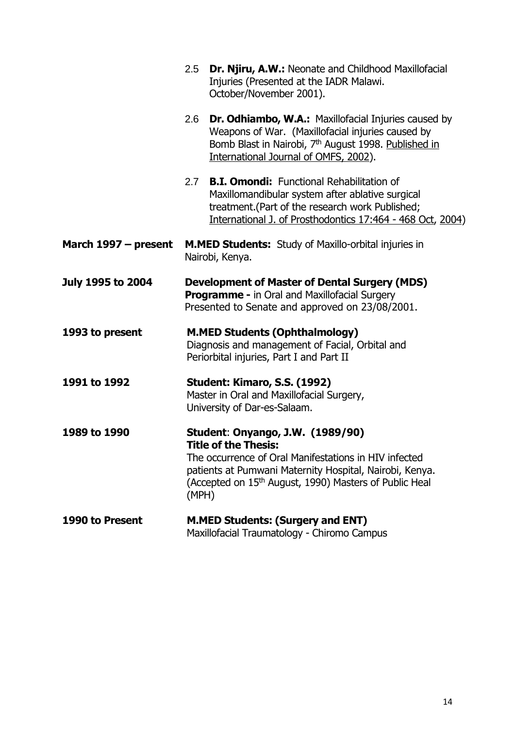|                          | 2.5                                                                                                                                                             | Dr. Njiru, A.W.: Neonate and Childhood Maxillofacial<br>Injuries (Presented at the IADR Malawi.<br>October/November 2001).                                                                                                                                |
|--------------------------|-----------------------------------------------------------------------------------------------------------------------------------------------------------------|-----------------------------------------------------------------------------------------------------------------------------------------------------------------------------------------------------------------------------------------------------------|
|                          | 2.6                                                                                                                                                             | <b>Dr. Odhiambo, W.A.:</b> Maxillofacial Injuries caused by<br>Weapons of War. (Maxillofacial injuries caused by<br>Bomb Blast in Nairobi, 7 <sup>th</sup> August 1998. Published in<br>International Journal of OMFS, 2002).                             |
|                          | 2.7                                                                                                                                                             | <b>B.I. Omondi:</b> Functional Rehabilitation of<br>Maxillomandibular system after ablative surgical<br>treatment. (Part of the research work Published;<br>International J. of Prosthodontics 17:464 - 468 Oct, 2004)                                    |
| March 1997 – present     | <b>M.MED Students:</b> Study of Maxillo-orbital injuries in<br>Nairobi, Kenya.                                                                                  |                                                                                                                                                                                                                                                           |
| <b>July 1995 to 2004</b> | <b>Development of Master of Dental Surgery (MDS)</b><br><b>Programme - in Oral and Maxillofacial Surgery</b><br>Presented to Senate and approved on 23/08/2001. |                                                                                                                                                                                                                                                           |
| 1993 to present          |                                                                                                                                                                 | <b>M.MED Students (Ophthalmology)</b><br>Diagnosis and management of Facial, Orbital and<br>Periorbital injuries, Part I and Part II                                                                                                                      |
| 1991 to 1992             | Student: Kimaro, S.S. (1992)<br>Master in Oral and Maxillofacial Surgery,<br>University of Dar-es-Salaam.                                                       |                                                                                                                                                                                                                                                           |
| 1989 to 1990             | (MPH)                                                                                                                                                           | Student: Onyango, J.W. (1989/90)<br><b>Title of the Thesis:</b><br>The occurrence of Oral Manifestations in HIV infected<br>patients at Pumwani Maternity Hospital, Nairobi, Kenya.<br>(Accepted on 15 <sup>th</sup> August, 1990) Masters of Public Heal |
| 1990 to Present          |                                                                                                                                                                 | <b>M.MED Students: (Surgery and ENT)</b><br>Maxillofacial Traumatology - Chiromo Campus                                                                                                                                                                   |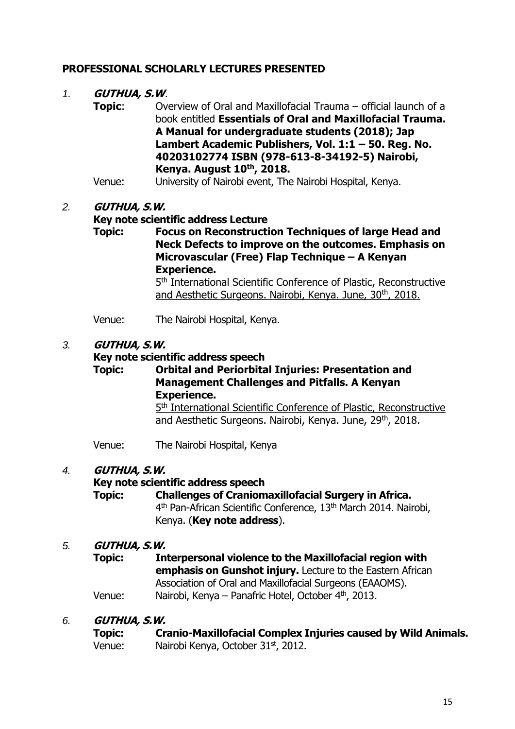## **PROFESSIONAL SCHOLARLY LECTURES PRESENTED**

#### *1.* **GUTHUA, S.W**.

- **Topic:** Overview of Oral and Maxillofacial Trauma official launch of a book entitled **Essentials of Oral and Maxillofacial Trauma. A Manual for undergraduate students (2018); Jap Lambert Academic Publishers, Vol. 1:1 – 50. Reg. No. 40203102774 ISBN (978-613-8-34192-5) Nairobi, Kenya. August 10th, 2018.**
- Venue: University of Nairobi event, The Nairobi Hospital, Kenya.

#### *2.* **GUTHUA, S.W.**

#### **Key note scientific address Lecture**

**Topic: Focus on Reconstruction Techniques of large Head and Neck Defects to improve on the outcomes. Emphasis on Microvascular (Free) Flap Technique – A Kenyan Experience.** 5<sup>th</sup> International Scientific Conference of Plastic, Reconstructive

and Aesthetic Surgeons. Nairobi, Kenya. June, 30<sup>th</sup>, 2018.

Venue: The Nairobi Hospital, Kenya.

#### *3.* **GUTHUA, S.W.**

#### **Key note scientific address speech**

**Topic: Orbital and Periorbital Injuries: Presentation and Management Challenges and Pitfalls. A Kenyan Experience.** 5<sup>th</sup> International Scientific Conference of Plastic, Reconstructive and Aesthetic Surgeons. Nairobi, Kenya. June, 29<sup>th</sup>, 2018.

Venue: The Nairobi Hospital, Kenya

#### *4.* **GUTHUA, S.W.**

#### **Key note scientific address speech**

**Topic: Challenges of Craniomaxillofacial Surgery in Africa.** 4<sup>th</sup> Pan-African Scientific Conference, 13<sup>th</sup> March 2014. Nairobi, Kenya. (**Key note address**).

#### *5.* **GUTHUA, S.W.**

**Topic: Interpersonal violence to the Maxillofacial region with emphasis on Gunshot injury.** Lecture to the Eastern African Association of Oral and Maxillofacial Surgeons (EAAOMS). Venue: Nairobi, Kenya – Panafric Hotel, October 4<sup>th</sup>, 2013.

#### *6.* **GUTHUA, S.W.**

| <b>Topic:</b> | <b>Cranio-Maxillofacial Complex Injuries caused by Wild Animals.</b> |
|---------------|----------------------------------------------------------------------|
| Venue:        | Nairobi Kenya, October 31 <sup>st</sup> , 2012.                      |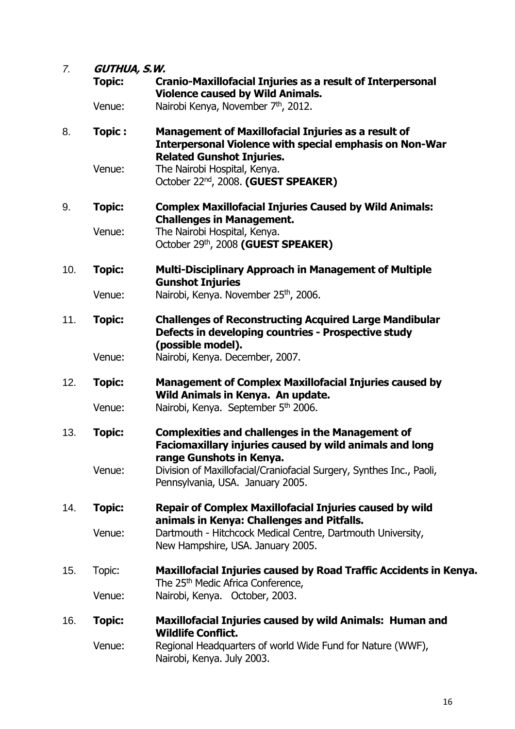| 7.  | <b>GUTHUA, S.W.</b> |                                                                                                                                                                  |
|-----|---------------------|------------------------------------------------------------------------------------------------------------------------------------------------------------------|
|     | <b>Topic:</b>       | <b>Cranio-Maxillofacial Injuries as a result of Interpersonal</b><br><b>Violence caused by Wild Animals.</b>                                                     |
|     | Venue:              | Nairobi Kenya, November 7 <sup>th</sup> , 2012.                                                                                                                  |
| 8.  | <b>Topic:</b>       | <b>Management of Maxillofacial Injuries as a result of</b><br><b>Interpersonal Violence with special emphasis on Non-War</b><br><b>Related Gunshot Injuries.</b> |
|     | Venue:              | The Nairobi Hospital, Kenya.<br>October 22 <sup>nd</sup> , 2008. (GUEST SPEAKER)                                                                                 |
| 9.  | <b>Topic:</b>       | <b>Complex Maxillofacial Injuries Caused by Wild Animals:</b><br><b>Challenges in Management.</b>                                                                |
|     | Venue:              | The Nairobi Hospital, Kenya.<br>October 29th, 2008 (GUEST SPEAKER)                                                                                               |
| 10. | <b>Topic:</b>       | <b>Multi-Disciplinary Approach in Management of Multiple</b><br><b>Gunshot Injuries</b>                                                                          |
|     | Venue:              | Nairobi, Kenya. November 25 <sup>th</sup> , 2006.                                                                                                                |
| 11. | <b>Topic:</b>       | <b>Challenges of Reconstructing Acquired Large Mandibular</b><br>Defects in developing countries - Prospective study<br>(possible model).                        |
|     | Venue:              | Nairobi, Kenya. December, 2007.                                                                                                                                  |
| 12. | <b>Topic:</b>       | <b>Management of Complex Maxillofacial Injuries caused by</b><br>Wild Animals in Kenya. An update.                                                               |
|     | Venue:              | Nairobi, Kenya. September 5 <sup>th</sup> 2006.                                                                                                                  |
| 13. | <b>Topic:</b>       | <b>Complexities and challenges in the Management of</b><br>Faciomaxillary injuries caused by wild animals and long<br>range Gunshots in Kenya.                   |
|     | Venue:              | Division of Maxillofacial/Craniofacial Surgery, Synthes Inc., Paoli,<br>Pennsylvania, USA. January 2005.                                                         |
| 14. | <b>Topic:</b>       | <b>Repair of Complex Maxillofacial Injuries caused by wild</b><br>animals in Kenya: Challenges and Pitfalls.                                                     |
|     | Venue:              | Dartmouth - Hitchcock Medical Centre, Dartmouth University,<br>New Hampshire, USA. January 2005.                                                                 |
| 15. | Topic:              | Maxillofacial Injuries caused by Road Traffic Accidents in Kenya.<br>The 25 <sup>th</sup> Medic Africa Conference,                                               |
|     | Venue:              | Nairobi, Kenya. October, 2003.                                                                                                                                   |
| 16. | <b>Topic:</b>       | Maxillofacial Injuries caused by wild Animals: Human and<br><b>Wildlife Conflict.</b>                                                                            |
|     | Venue:              | Regional Headquarters of world Wide Fund for Nature (WWF),<br>Nairobi, Kenya. July 2003.                                                                         |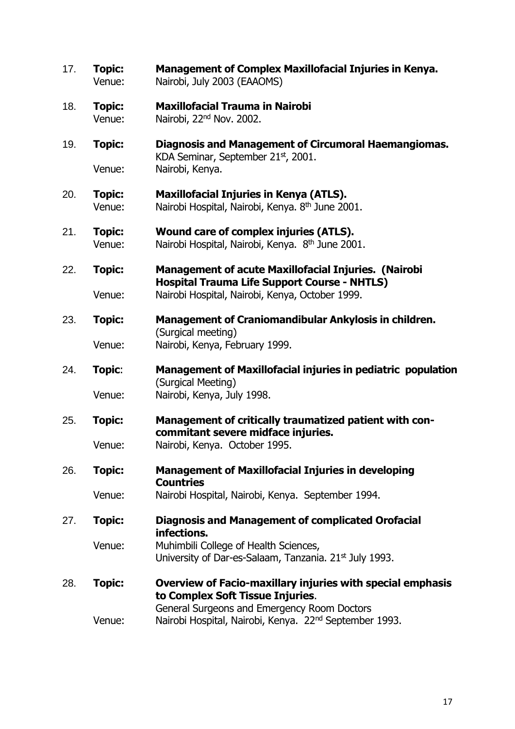| 17. | <b>Topic:</b><br>Venue: | <b>Management of Complex Maxillofacial Injuries in Kenya.</b><br>Nairobi, July 2003 (EAAOMS)                       |
|-----|-------------------------|--------------------------------------------------------------------------------------------------------------------|
| 18. | <b>Topic:</b><br>Venue: | <b>Maxillofacial Trauma in Nairobi</b><br>Nairobi, 22 <sup>nd</sup> Nov. 2002.                                     |
| 19. | <b>Topic:</b>           | Diagnosis and Management of Circumoral Haemangiomas.<br>KDA Seminar, September 21st, 2001.                         |
|     | Venue:                  | Nairobi, Kenya.                                                                                                    |
| 20. | <b>Topic:</b><br>Venue: | <b>Maxillofacial Injuries in Kenya (ATLS).</b><br>Nairobi Hospital, Nairobi, Kenya. 8 <sup>th</sup> June 2001.     |
| 21. | <b>Topic:</b><br>Venue: | Wound care of complex injuries (ATLS).<br>Nairobi Hospital, Nairobi, Kenya. 8 <sup>th</sup> June 2001.             |
| 22. | <b>Topic:</b>           | <b>Management of acute Maxillofacial Injuries. (Nairobi</b><br><b>Hospital Trauma Life Support Course - NHTLS)</b> |
|     | Venue:                  | Nairobi Hospital, Nairobi, Kenya, October 1999.                                                                    |
| 23. | <b>Topic:</b>           | Management of Craniomandibular Ankylosis in children.<br>(Surgical meeting)                                        |
|     | Venue:                  | Nairobi, Kenya, February 1999.                                                                                     |
| 24. | Topic:                  | Management of Maxillofacial injuries in pediatric population<br>(Surgical Meeting)                                 |
|     | Venue:                  | Nairobi, Kenya, July 1998.                                                                                         |
| 25. | <b>Topic:</b>           | Management of critically traumatized patient with con-<br>commitant severe midface injuries.                       |
|     | Venue:                  | Nairobi, Kenya. October 1995.                                                                                      |
| 26. | <b>Topic:</b>           | <b>Management of Maxillofacial Injuries in developing</b><br><b>Countries</b>                                      |
|     | Venue:                  | Nairobi Hospital, Nairobi, Kenya. September 1994.                                                                  |
| 27. | <b>Topic:</b>           | <b>Diagnosis and Management of complicated Orofacial</b><br>infections.                                            |
|     | Venue:                  | Muhimbili College of Health Sciences,<br>University of Dar-es-Salaam, Tanzania. 21 <sup>st</sup> July 1993.        |
| 28. | <b>Topic:</b>           | Overview of Facio-maxillary injuries with special emphasis<br>to Complex Soft Tissue Injuries.                     |
|     | Venue:                  | General Surgeons and Emergency Room Doctors<br>Nairobi Hospital, Nairobi, Kenya. 22 <sup>nd</sup> September 1993.  |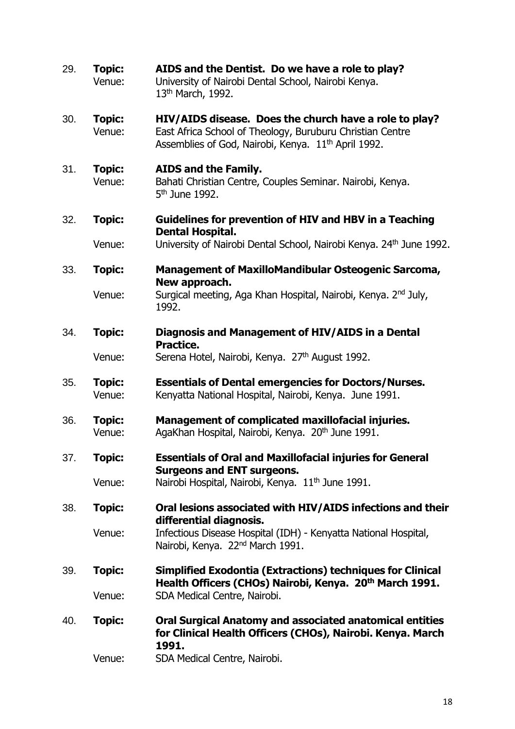| 29. | <b>Topic:</b><br>Venue: | AIDS and the Dentist. Do we have a role to play?<br>University of Nairobi Dental School, Nairobi Kenya.<br>13 <sup>th</sup> March, 1992.                                               |
|-----|-------------------------|----------------------------------------------------------------------------------------------------------------------------------------------------------------------------------------|
| 30. | <b>Topic:</b><br>Venue: | HIV/AIDS disease. Does the church have a role to play?<br>East Africa School of Theology, Buruburu Christian Centre<br>Assemblies of God, Nairobi, Kenya. 11 <sup>th</sup> April 1992. |
| 31. | <b>Topic:</b><br>Venue: | <b>AIDS and the Family.</b><br>Bahati Christian Centre, Couples Seminar. Nairobi, Kenya.<br>5 <sup>th</sup> June 1992.                                                                 |
| 32. | <b>Topic:</b>           | <b>Guidelines for prevention of HIV and HBV in a Teaching</b><br><b>Dental Hospital.</b>                                                                                               |
|     | Venue:                  | University of Nairobi Dental School, Nairobi Kenya. 24 <sup>th</sup> June 1992.                                                                                                        |
| 33. | <b>Topic:</b>           | <b>Management of MaxilloMandibular Osteogenic Sarcoma,</b><br>New approach.                                                                                                            |
|     | Venue:                  | Surgical meeting, Aga Khan Hospital, Nairobi, Kenya. 2 <sup>nd</sup> July,<br>1992.                                                                                                    |
| 34. | <b>Topic:</b>           | Diagnosis and Management of HIV/AIDS in a Dental<br>Practice.                                                                                                                          |
|     | Venue:                  | Serena Hotel, Nairobi, Kenya. 27 <sup>th</sup> August 1992.                                                                                                                            |
| 35. | <b>Topic:</b><br>Venue: | <b>Essentials of Dental emergencies for Doctors/Nurses.</b><br>Kenyatta National Hospital, Nairobi, Kenya. June 1991.                                                                  |
| 36. | <b>Topic:</b><br>Venue: | <b>Management of complicated maxillofacial injuries.</b><br>AgaKhan Hospital, Nairobi, Kenya. 20 <sup>th</sup> June 1991.                                                              |
| 37. | <b>Topic:</b>           | <b>Essentials of Oral and Maxillofacial injuries for General</b><br><b>Surgeons and ENT surgeons.</b>                                                                                  |
|     | Venue:                  | Nairobi Hospital, Nairobi, Kenya. 11 <sup>th</sup> June 1991.                                                                                                                          |
| 38. | <b>Topic:</b>           | Oral lesions associated with HIV/AIDS infections and their<br>differential diagnosis.                                                                                                  |
|     | Venue:                  | Infectious Disease Hospital (IDH) - Kenyatta National Hospital,<br>Nairobi, Kenya. 22 <sup>nd</sup> March 1991.                                                                        |
| 39. | <b>Topic:</b>           | <b>Simplified Exodontia (Extractions) techniques for Clinical</b><br>Health Officers (CHOs) Nairobi, Kenya. 20 <sup>th</sup> March 1991.                                               |
|     | Venue:                  | SDA Medical Centre, Nairobi.                                                                                                                                                           |
| 40. | <b>Topic:</b>           | Oral Surgical Anatomy and associated anatomical entities<br>for Clinical Health Officers (CHOs), Nairobi. Kenya. March<br>1991.                                                        |
|     | Venue:                  | SDA Medical Centre, Nairobi.                                                                                                                                                           |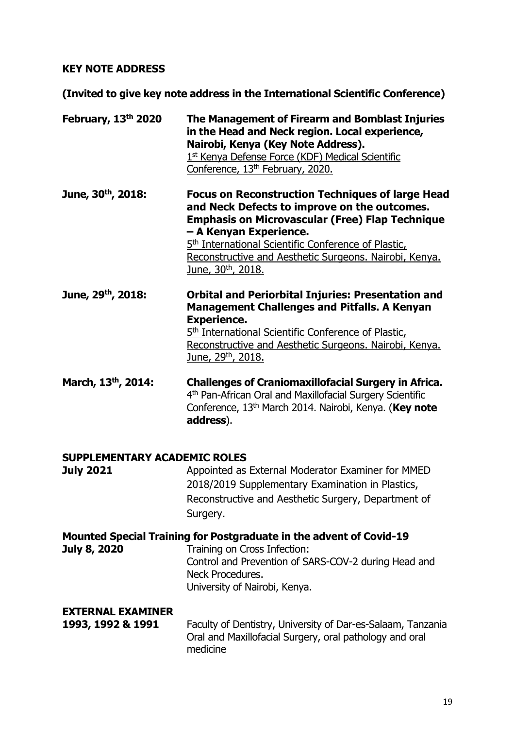## **KEY NOTE ADDRESS**

**(Invited to give key note address in the International Scientific Conference)**

| February, 13th 2020                                     | The Management of Firearm and Bomblast Injuries<br>in the Head and Neck region. Local experience,<br>Nairobi, Kenya (Key Note Address).<br>1st Kenya Defense Force (KDF) Medical Scientific<br>Conference, 13 <sup>th</sup> February, 2020.                                                                                                                |
|---------------------------------------------------------|------------------------------------------------------------------------------------------------------------------------------------------------------------------------------------------------------------------------------------------------------------------------------------------------------------------------------------------------------------|
| June, 30th, 2018:                                       | <b>Focus on Reconstruction Techniques of large Head</b><br>and Neck Defects to improve on the outcomes.<br><b>Emphasis on Microvascular (Free) Flap Technique</b><br>- A Kenyan Experience.<br>5 <sup>th</sup> International Scientific Conference of Plastic,<br>Reconstructive and Aesthetic Surgeons. Nairobi, Kenya.<br>June, 30 <sup>th</sup> , 2018. |
| June, 29th, 2018:                                       | <b>Orbital and Periorbital Injuries: Presentation and</b><br><b>Management Challenges and Pitfalls. A Kenyan</b><br><b>Experience.</b><br>5 <sup>th</sup> International Scientific Conference of Plastic,<br>Reconstructive and Aesthetic Surgeons. Nairobi, Kenya.<br>June, 29th, 2018.                                                                   |
| March, 13th, 2014:                                      | <b>Challenges of Craniomaxillofacial Surgery in Africa.</b><br>4th Pan-African Oral and Maxillofacial Surgery Scientific<br>Conference, 13 <sup>th</sup> March 2014. Nairobi, Kenya. (Key note<br>address).                                                                                                                                                |
| <b>SUPPLEMENTARY ACADEMIC ROLES</b><br><b>July 2021</b> | Appointed as External Moderator Examiner for MMED<br>2018/2019 Supplementary Examination in Plastics,<br>Reconstructive and Aesthetic Surgery, Department of<br>Surgery.                                                                                                                                                                                   |
| <b>July 8, 2020</b>                                     | Mounted Special Training for Postgraduate in the advent of Covid-19<br>Training on Cross Infection:<br>Control and Prevention of SARS-COV-2 during Head and<br>Neck Procedures.                                                                                                                                                                            |

University of Nairobi, Kenya.

## **EXTERNAL EXAMINER**

| 1993, 1992 & 1991 | Faculty of Dentistry, University of Dar-es-Salaam, Tanzania |
|-------------------|-------------------------------------------------------------|
|                   | Oral and Maxillofacial Surgery, oral pathology and oral     |
|                   | medicine                                                    |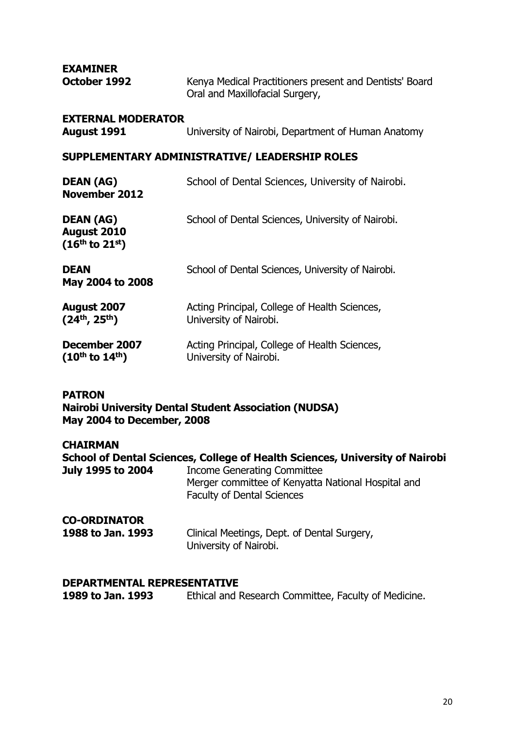**EXAMINER** 

| October 1992 | Kenya Medical Practitioners present and Dentists' Board |
|--------------|---------------------------------------------------------|
|              | Oral and Maxillofacial Surgery,                         |

#### **EXTERNAL MODERATOR**

**August 1991** University of Nairobi, Department of Human Anatomy

#### **SUPPLEMENTARY ADMINISTRATIVE/ LEADERSHIP ROLES**

| <b>DEAN (AG)</b><br><b>November 2012</b>                           | School of Dental Sciences, University of Nairobi.                       |
|--------------------------------------------------------------------|-------------------------------------------------------------------------|
| <b>DEAN (AG)</b><br><b>August 2010</b><br>$(16^{th}$ to $21^{st})$ | School of Dental Sciences, University of Nairobi.                       |
| <b>DEAN</b><br>May 2004 to 2008                                    | School of Dental Sciences, University of Nairobi.                       |
| August 2007<br>$(24^{th}, 25^{th})$                                | Acting Principal, College of Health Sciences,<br>University of Nairobi. |
| December 2007<br>$(10^{th}$ to $14^{th})$                          | Acting Principal, College of Health Sciences,<br>University of Nairobi. |

#### **PATRON**

**Nairobi University Dental Student Association (NUDSA) May 2004 to December, 2008** 

#### **CHAIRMAN**

**School of Dental Sciences, College of Health Sciences, University of Nairobi July 1995 to 2004** Income Generating Committee Merger committee of Kenyatta National Hospital and Faculty of Dental Sciences

#### **CO-ORDINATOR**

| 1988 to Jan. 1993 | Clinical Meetings, Dept. of Dental Surgery, |
|-------------------|---------------------------------------------|
|                   | University of Nairobi.                      |

# **DEPARTMENTAL REPRESENTATIVE**<br>**1989 to Jan. 1993** Ethical and I

**1989 to Jan. 1993** Ethical and Research Committee, Faculty of Medicine.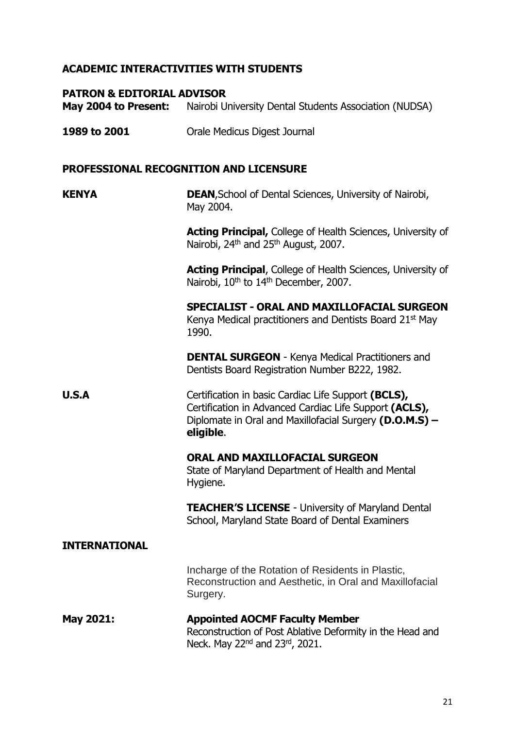## **ACADEMIC INTERACTIVITIES WITH STUDENTS**

#### **PATRON & EDITORIAL ADVISOR**

**May 2004 to Present:** Nairobi University Dental Students Association (NUDSA)

**1989 to 2001** Orale Medicus Digest Journal

#### **PROFESSIONAL RECOGNITION AND LICENSURE**

#### **KENYA DEAN**, School of Dental Sciences, University of Nairobi, May 2004.

**Acting Principal,** College of Health Sciences, University of Nairobi, 24<sup>th</sup> and 25<sup>th</sup> August, 2007.

**Acting Principal**, College of Health Sciences, University of Nairobi, 10<sup>th</sup> to 14<sup>th</sup> December, 2007.

**SPECIALIST - ORAL AND MAXILLOFACIAL SURGEON**  Kenya Medical practitioners and Dentists Board 21st May 1990.

**DENTAL SURGEON** - Kenya Medical Practitioners and Dentists Board Registration Number B222, 1982.

**U.S.A** Certification in basic Cardiac Life Support **(BCLS),** Certification in Advanced Cardiac Life Support **(ACLS),** Diplomate in Oral and Maxillofacial Surgery **(D.O.M.S) – eligible**.

> **ORAL AND MAXILLOFACIAL SURGEON**  State of Maryland Department of Health and Mental Hygiene.

**TEACHER'S LICENSE** - University of Maryland Dental School, Maryland State Board of Dental Examiners

#### **INTERNATIONAL**

Incharge of the Rotation of Residents in Plastic, Reconstruction and Aesthetic, in Oral and Maxillofacial Surgery.

#### **May 2021: Appointed AOCMF Faculty Member** Reconstruction of Post Ablative Deformity in the Head and Neck. May 22<sup>nd</sup> and 23<sup>rd</sup>, 2021.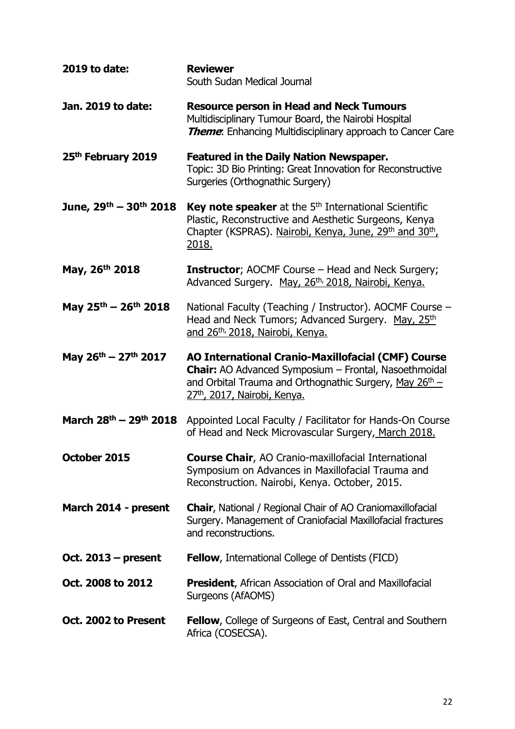| 2019 to date:                                  | <b>Reviewer</b><br>South Sudan Medical Journal                                                                                                                                                                                        |
|------------------------------------------------|---------------------------------------------------------------------------------------------------------------------------------------------------------------------------------------------------------------------------------------|
| Jan. 2019 to date:                             | <b>Resource person in Head and Neck Tumours</b><br>Multidisciplinary Tumour Board, the Nairobi Hospital<br><b>Theme:</b> Enhancing Multidisciplinary approach to Cancer Care                                                          |
| 25 <sup>th</sup> February 2019                 | <b>Featured in the Daily Nation Newspaper.</b><br>Topic: 3D Bio Printing: Great Innovation for Reconstructive<br>Surgeries (Orthognathic Surgery)                                                                                     |
| June, 29th - 30th 2018                         | Key note speaker at the 5 <sup>th</sup> International Scientific<br>Plastic, Reconstructive and Aesthetic Surgeons, Kenya<br>Chapter (KSPRAS). Nairobi, Kenya, June, 29th and 30th,<br>2018.                                          |
| May, 26th 2018                                 | <b>Instructor</b> ; AOCMF Course – Head and Neck Surgery;<br>Advanced Surgery. May, 26th, 2018, Nairobi, Kenya.                                                                                                                       |
| May $25^{th}$ – $26^{th}$ 2018                 | National Faculty (Teaching / Instructor). AOCMF Course -<br>Head and Neck Tumors; Advanced Surgery. May, 25th<br>and 26th, 2018, Nairobi, Kenya.                                                                                      |
| May $26^{\text{th}} - 27^{\text{th}}$ 2017     | <b>AO International Cranio-Maxillofacial (CMF) Course</b><br>Chair: AO Advanced Symposium - Frontal, Nasoethmoidal<br>and Orbital Trauma and Orthognathic Surgery, May 26 <sup>th</sup> –<br>27 <sup>th</sup> , 2017, Nairobi, Kenya. |
| March 28 <sup>th</sup> – 29 <sup>th</sup> 2018 | Appointed Local Faculty / Facilitator for Hands-On Course<br>of Head and Neck Microvascular Surgery, March 2018.                                                                                                                      |
| October 2015                                   | <b>Course Chair, AO Cranio-maxillofacial International</b><br>Symposium on Advances in Maxillofacial Trauma and<br>Reconstruction. Nairobi, Kenya. October, 2015.                                                                     |
| March 2014 - present                           | <b>Chair, National / Regional Chair of AO Craniomaxillofacial</b><br>Surgery. Management of Craniofacial Maxillofacial fractures<br>and reconstructions.                                                                              |
| Oct. $2013$ – present                          | <b>Fellow, International College of Dentists (FICD)</b>                                                                                                                                                                               |
| Oct. 2008 to 2012                              | <b>President, African Association of Oral and Maxillofacial</b><br>Surgeons (AfAOMS)                                                                                                                                                  |
| Oct. 2002 to Present                           | <b>Fellow, College of Surgeons of East, Central and Southern</b><br>Africa (COSECSA).                                                                                                                                                 |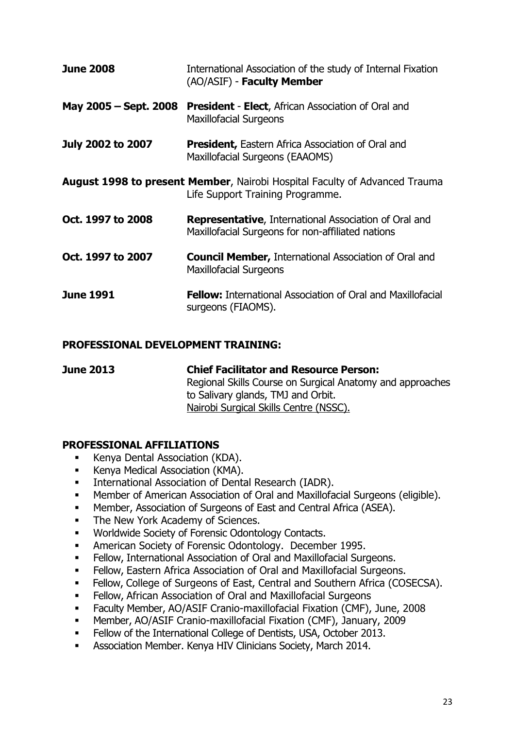| <b>June 2008</b>                                                                                                      | International Association of the study of Internal Fixation<br>(AO/ASIF) - Faculty Member                         |
|-----------------------------------------------------------------------------------------------------------------------|-------------------------------------------------------------------------------------------------------------------|
| May 2005 – Sept. 2008                                                                                                 | <b>President - Elect, African Association of Oral and</b><br><b>Maxillofacial Surgeons</b>                        |
| <b>July 2002 to 2007</b>                                                                                              | <b>President, Eastern Africa Association of Oral and</b><br>Maxillofacial Surgeons (EAAOMS)                       |
| <b>August 1998 to present Member, Nairobi Hospital Faculty of Advanced Trauma</b><br>Life Support Training Programme. |                                                                                                                   |
| Oct. 1997 to 2008                                                                                                     | <b>Representative, International Association of Oral and</b><br>Maxillofacial Surgeons for non-affiliated nations |
| Oct. 1997 to 2007                                                                                                     | <b>Council Member, International Association of Oral and</b><br><b>Maxillofacial Surgeons</b>                     |
| <b>June 1991</b>                                                                                                      | <b>Fellow:</b> International Association of Oral and Maxillofacial<br>surgeons (FIAOMS).                          |

## **PROFESSIONAL DEVELOPMENT TRAINING:**

**June 2013 Chief Facilitator and Resource Person:** Regional Skills Course on Surgical Anatomy and approaches to Salivary glands, TMJ and Orbit. Nairobi Surgical Skills Centre (NSSC).

## **PROFESSIONAL AFFILIATIONS**

- **Kenya Dental Association (KDA).**
- **Kenya Medical Association (KMA).**
- **International Association of Dental Research (IADR).**
- Member of American Association of Oral and Maxillofacial Surgeons (eligible).
- Member, Association of Surgeons of East and Central Africa (ASEA).
- The New York Academy of Sciences.
- **Worldwide Society of Forensic Odontology Contacts.**
- American Society of Forensic Odontology. December 1995.
- Fellow, International Association of Oral and Maxillofacial Surgeons.
- **Fellow, Eastern Africa Association of Oral and Maxillofacial Surgeons.**
- **Fellow, College of Surgeons of East, Central and Southern Africa (COSECSA).**
- Fellow, African Association of Oral and Maxillofacial Surgeons
- Faculty Member, AO/ASIF Cranio-maxillofacial Fixation (CMF), June, 2008
- Member, AO/ASIF Cranio-maxillofacial Fixation (CMF), January, 2009
- Fellow of the International College of Dentists, USA, October 2013.
- **Association Member. Kenya HIV Clinicians Society, March 2014.**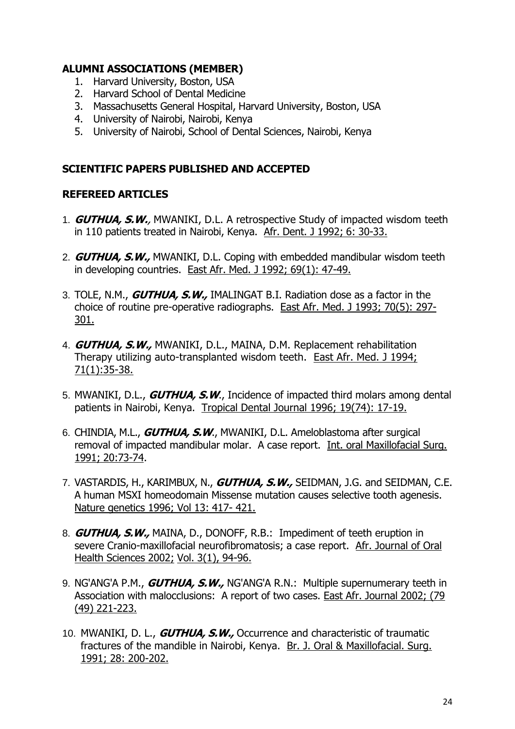## **ALUMNI ASSOCIATIONS (MEMBER)**

- 1. Harvard University, Boston, USA
- 2. Harvard School of Dental Medicine
- 3. Massachusetts General Hospital, Harvard University, Boston, USA
- 4. University of Nairobi, Nairobi, Kenya
- 5. University of Nairobi, School of Dental Sciences, Nairobi, Kenya

## **SCIENTIFIC PAPERS PUBLISHED AND ACCEPTED**

## **REFEREED ARTICLES**

- 1. **GUTHUA, S.W.**, MWANIKI, D.L. A retrospective Study of impacted wisdom teeth in 110 patients treated in Nairobi, Kenya. Afr. Dent. J 1992; 6: 30-33.
- 2. **GUTHUA, S.W.,** MWANIKI, D.L. Coping with embedded mandibular wisdom teeth in developing countries. East Afr. Med. J 1992; 69(1): 47-49.
- 3. TOLE, N.M., **GUTHUA, S.W.,** IMALINGAT B.I. Radiation dose as a factor in the choice of routine pre-operative radiographs. East Afr. Med. J 1993; 70(5): 297- 301.
- 4. **GUTHUA, S.W.,** MWANIKI, D.L., MAINA, D.M. Replacement rehabilitation Therapy utilizing auto-transplanted wisdom teeth. East Afr. Med. J 1994; 71(1):35-38.
- 5. MWANIKI, D.L., **GUTHUA, S.W**., Incidence of impacted third molars among dental patients in Nairobi, Kenya. Tropical Dental Journal 1996; 19(74): 17-19.
- 6. CHINDIA, M.L., **GUTHUA, S.W**., MWANIKI, D.L. Ameloblastoma after surgical removal of impacted mandibular molar. A case report. Int. oral Maxillofacial Surg. 1991; 20:73-74.
- 7. VASTARDIS, H., KARIMBUX, N., **GUTHUA, S.W.,** SEIDMAN, J.G. and SEIDMAN, C.E. A human MSXI homeodomain Missense mutation causes selective tooth agenesis. Nature genetics 1996; Vol 13: 417- 421.
- 8. **GUTHUA, S.W.,** MAINA, D., DONOFF, R.B.: Impediment of teeth eruption in severe Cranio-maxillofacial neurofibromatosis; a case report. Afr. Journal of Oral Health Sciences 2002; Vol. 3(1), 94-96.
- 9. NG'ANG'A P.M., **GUTHUA, S.W.,** NG'ANG'A R.N.: Multiple supernumerary teeth in Association with malocclusions: A report of two cases. East Afr. Journal 2002; (79 (49) 221-223.
- 10. MWANIKI, D. L., **GUTHUA, S.W.,** Occurrence and characteristic of traumatic fractures of the mandible in Nairobi, Kenya. Br. J. Oral & Maxillofacial. Surg. 1991; 28: 200-202.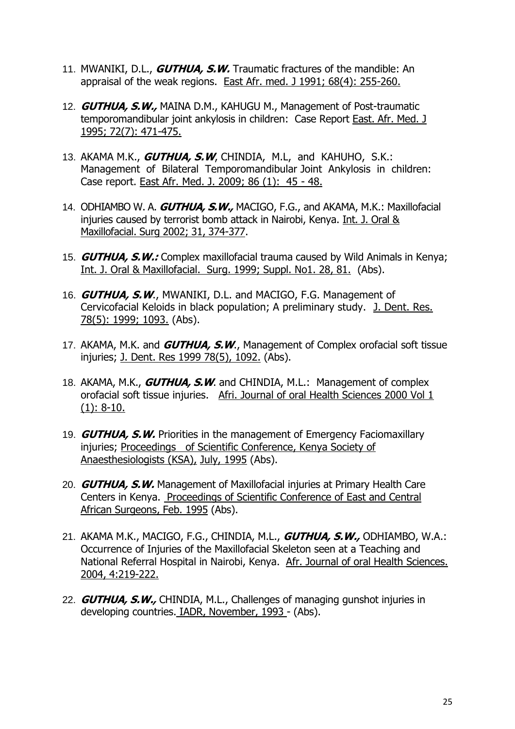- 11. MWANIKI, D.L., **GUTHUA, S.W.** Traumatic fractures of the mandible: An appraisal of the weak regions. East Afr. med. J 1991; 68(4): 255-260.
- 12. **GUTHUA, S.W.,** MAINA D.M., KAHUGU M., Management of Post-traumatic temporomandibular joint ankylosis in children: Case Report East. Afr. Med. J 1995; 72(7): 471-475.
- 13. AKAMA M.K., **GUTHUA, S.W**, CHINDIA, M.L, and KAHUHO, S.K.: Management of Bilateral Temporomandibular Joint Ankylosis in children: Case report. East Afr. Med. J. 2009; 86 (1): 45 - 48.
- 14. ODHIAMBO W. A. **GUTHUA, S.W.,** MACIGO, F.G., and AKAMA, M.K.: Maxillofacial injuries caused by terrorist bomb attack in Nairobi, Kenya. Int. J. Oral & Maxillofacial. Surg 2002; 31, 374-377.
- 15. **GUTHUA, S.W.:** Complex maxillofacial trauma caused by Wild Animals in Kenya; Int. J. Oral & Maxillofacial. Surg. 1999; Suppl. No1. 28, 81. (Abs).
- 16. **GUTHUA, S.W**., MWANIKI, D.L. and MACIGO, F.G. Management of Cervicofacial Keloids in black population; A preliminary study. J. Dent. Res. 78(5): 1999; 1093. (Abs).
- 17. AKAMA, M.K. and **GUTHUA, S.W**., Management of Complex orofacial soft tissue injuries; J. Dent. Res 1999 78(5), 1092. (Abs).
- 18. AKAMA, M.K., **GUTHUA, S.W**. and CHINDIA, M.L.: Management of complex orofacial soft tissue injuries. Afri. Journal of oral Health Sciences 2000 Vol 1  $(1): 8-10.$
- 19. **GUTHUA, S.W.** Priorities in the management of Emergency Faciomaxillary injuries; Proceedings of Scientific Conference, Kenya Society of Anaesthesiologists (KSA), July, 1995 (Abs).
- 20. **GUTHUA, S.W.** Management of Maxillofacial injuries at Primary Health Care Centers in Kenya. Proceedings of Scientific Conference of East and Central African Surgeons, Feb. 1995 (Abs).
- 21. AKAMA M.K., MACIGO, F.G., CHINDIA, M.L., **GUTHUA, S.W.,** ODHIAMBO, W.A.: Occurrence of Injuries of the Maxillofacial Skeleton seen at a Teaching and National Referral Hospital in Nairobi, Kenya. Afr. Journal of oral Health Sciences. 2004, 4:219-222.
- 22. **GUTHUA, S.W.,** CHINDIA, M.L., Challenges of managing gunshot injuries in developing countries. IADR, November, 1993 - (Abs).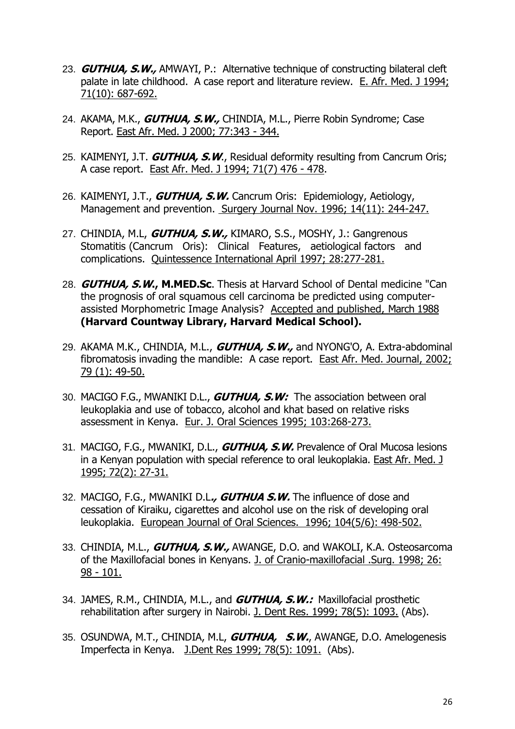- 23. **GUTHUA, S.W.,** AMWAYI, P.: Alternative technique of constructing bilateral cleft palate in late childhood. A case report and literature review. E. Afr. Med. J 1994; 71(10): 687-692.
- 24. AKAMA, M.K., **GUTHUA, S.W.,** CHINDIA, M.L., Pierre Robin Syndrome; Case Report. East Afr. Med. J 2000; 77:343 - 344.
- 25. KAIMENYI, J.T. **GUTHUA, S.W**., Residual deformity resulting from Cancrum Oris; A case report. East Afr. Med. J 1994; 71(7) 476 - 478.
- 26. KAIMENYI, J.T., **GUTHUA, S.W.** Cancrum Oris: Epidemiology, Aetiology, Management and prevention. Surgery Journal Nov. 1996; 14(11): 244-247.
- 27. CHINDIA, M.L, **GUTHUA, S.W.,** KIMARO, S.S., MOSHY, J.: Gangrenous Stomatitis (Cancrum Oris): Clinical Features, aetiological factors and complications. Quintessence International April 1997; 28:277-281.
- 28. **GUTHUA, S.W., M.MED.Sc**. Thesis at Harvard School of Dental medicine "Can the prognosis of oral squamous cell carcinoma be predicted using computerassisted Morphometric Image Analysis? Accepted and published, March 1988 **(Harvard Countway Library, Harvard Medical School).**
- 29. AKAMA M.K., CHINDIA, M.L., **GUTHUA, S.W.,** and NYONG'O, A. Extra-abdominal fibromatosis invading the mandible: A case report. East Afr. Med. Journal, 2002; 79 (1): 49-50.
- 30. MACIGO F.G., MWANIKI D.L., **GUTHUA, S.W:** The association between oral leukoplakia and use of tobacco, alcohol and khat based on relative risks assessment in Kenya. Eur. J. Oral Sciences 1995; 103:268-273.
- 31. MACIGO, F.G., MWANIKI, D.L., **GUTHUA, S.W.** Prevalence of Oral Mucosa lesions in a Kenyan population with special reference to oral leukoplakia. East Afr. Med. J 1995; 72(2): 27-31.
- 32. MACIGO, F.G., MWANIKI D.L**., GUTHUA S.W.** The influence of dose and cessation of Kiraiku, cigarettes and alcohol use on the risk of developing oral leukoplakia. European Journal of Oral Sciences. 1996; 104(5/6): 498-502.
- 33. CHINDIA, M.L., **GUTHUA, S.W.,** AWANGE, D.O. and WAKOLI, K.A. Osteosarcoma of the Maxillofacial bones in Kenyans. J. of Cranio-maxillofacial .Surg. 1998; 26: 98 - 101.
- 34. JAMES, R.M., CHINDIA, M.L., and **GUTHUA, S.W.:** Maxillofacial prosthetic rehabilitation after surgery in Nairobi. J. Dent Res. 1999; 78(5): 1093. (Abs).
- 35. OSUNDWA, M.T., CHINDIA, M.L, **GUTHUA, S.W.**, AWANGE, D.O. Amelogenesis Imperfecta in Kenya. J.Dent Res 1999; 78(5): 1091. (Abs).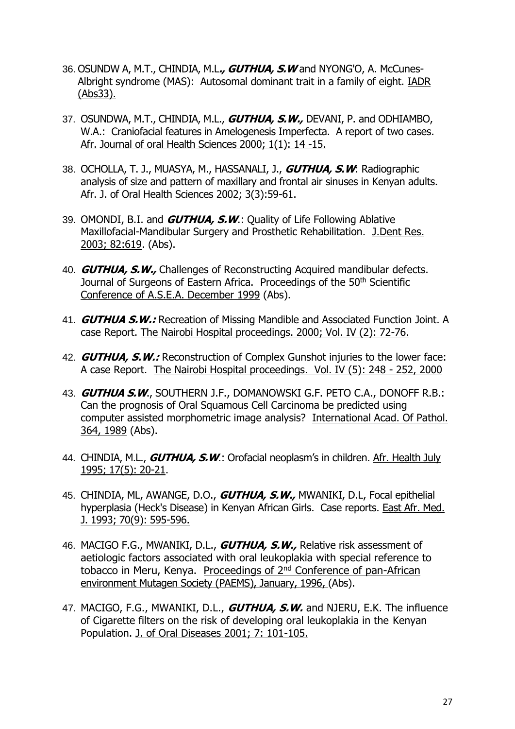- 36. OSUNDW A, M.T., CHINDIA, M.L**., GUTHUA, S.W** and NYONG'O, A. McCunes-Albright syndrome (MAS): Autosomal dominant trait in a family of eight. IADR (Abs33).
- 37. OSUNDWA, M.T., CHINDIA, M.L., **GUTHUA, S.W.,** DEVANI, P. and ODHIAMBO, W.A.: Craniofacial features in Amelogenesis Imperfecta. A report of two cases. Afr. Journal of oral Health Sciences 2000; 1(1): 14 -15.
- 38. OCHOLLA, T. J., MUASYA, M., HASSANALI, J., **GUTHUA, S.W**: Radiographic analysis of size and pattern of maxillary and frontal air sinuses in Kenyan adults. Afr. J. of Oral Health Sciences 2002; 3(3):59-61.
- 39. OMONDI, B.I. and **GUTHUA, S.W**.: Quality of Life Following Ablative Maxillofacial-Mandibular Surgery and Prosthetic Rehabilitation. J.Dent Res. 2003; 82:619. (Abs).
- 40. **GUTHUA, S.W.,** Challenges of Reconstructing Acquired mandibular defects. Journal of Surgeons of Eastern Africa. Proceedings of the 50<sup>th</sup> Scientific Conference of A.S.E.A. December 1999 (Abs).
- 41. **GUTHUA S.W.:** Recreation of Missing Mandible and Associated Function Joint. A case Report. The Nairobi Hospital proceedings. 2000; Vol. IV (2): 72-76.
- 42. **GUTHUA, S.W.:** Reconstruction of Complex Gunshot injuries to the lower face: A case Report. The Nairobi Hospital proceedings. Vol. IV (5): 248 - 252, 2000
- 43. **GUTHUA S.W**., SOUTHERN J.F., DOMANOWSKI G.F. PETO C.A., DONOFF R.B.: Can the prognosis of Oral Squamous Cell Carcinoma be predicted using computer assisted morphometric image analysis? International Acad. Of Pathol. 364, 1989 (Abs).
- 44. CHINDIA, M.L., **GUTHUA, S.W**.: Orofacial neoplasm's in children. Afr. Health July 1995; 17(5): 20-21.
- 45. CHINDIA, ML, AWANGE, D.O., **GUTHUA, S.W.,** MWANIKI, D.L, Focal epithelial hyperplasia (Heck's Disease) in Kenyan African Girls. Case reports. East Afr. Med. J. 1993; 70(9): 595-596.
- 46. MACIGO F.G., MWANIKI, D.L., **GUTHUA, S.W.,** Relative risk assessment of aetiologic factors associated with oral leukoplakia with special reference to tobacco in Meru, Kenya. Proceedings of 2<sup>nd</sup> Conference of pan-African environment Mutagen Society (PAEMS), January, 1996, (Abs).
- 47. MACIGO, F.G., MWANIKI, D.L., **GUTHUA, S.W.** and NJERU, E.K. The influence of Cigarette filters on the risk of developing oral leukoplakia in the Kenyan Population. J. of Oral Diseases 2001; 7: 101-105.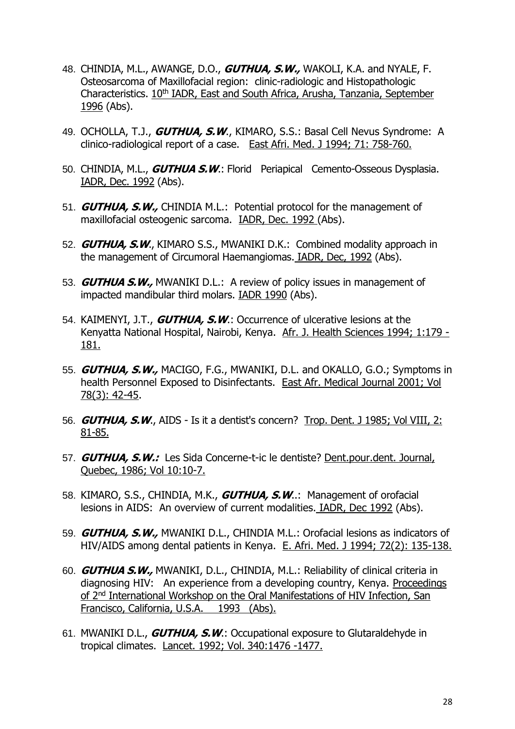- 48. CHINDIA, M.L., AWANGE, D.O., **GUTHUA, S.W.,** WAKOLI, K.A. and NYALE, F. Osteosarcoma of Maxillofacial region: clinic-radiologic and Histopathologic Characteristics. 10<sup>th</sup> IADR, East and South Africa, Arusha, Tanzania, September 1996 (Abs).
- 49. OCHOLLA, T.J., **GUTHUA, S.W**., KIMARO, S.S.: Basal Cell Nevus Syndrome: A clinico-radiological report of a case. East Afri. Med. J 1994; 71: 758-760.
- 50. CHINDIA, M.L., **GUTHUA S.W**.: Florid Periapical Cemento-Osseous Dysplasia. IADR, Dec. 1992 (Abs).
- 51. **GUTHUA, S.W.,** CHINDIA M.L.: Potential protocol for the management of maxillofacial osteogenic sarcoma. IADR, Dec. 1992 (Abs).
- 52. **GUTHUA, S.W**., KIMARO S.S., MWANIKI D.K.: Combined modality approach in the management of Circumoral Haemangiomas. IADR, Dec, 1992 (Abs).
- 53. **GUTHUA S.W.,** MWANIKI D.L.: A review of policy issues in management of impacted mandibular third molars. IADR 1990 (Abs).
- 54. KAIMENYI, J.T., **GUTHUA, S.W**.: Occurrence of ulcerative lesions at the Kenyatta National Hospital, Nairobi, Kenya. Afr. J. Health Sciences 1994; 1:179 - 181.
- 55. **GUTHUA, S.W.,** MACIGO, F.G., MWANIKI, D.L. and OKALLO, G.O.; Symptoms in health Personnel Exposed to Disinfectants. East Afr. Medical Journal 2001; Vol 78(3): 42-45.
- 56. **GUTHUA, S.W**., AIDS Is it a dentist's concern? Trop. Dent. J 1985; Vol VIII, 2: 81-85.
- 57. **GUTHUA, S.W.:** Les Sida Concerne-t-ic le dentiste? Dent.pour.dent. Journal, Quebec, 1986; Vol 10:10-7.
- 58. KIMARO, S.S., CHINDIA, M.K., **GUTHUA, S.W**..: Management of orofacial lesions in AIDS: An overview of current modalities. IADR, Dec 1992 (Abs).
- 59. **GUTHUA, S.W.,** MWANIKI D.L., CHINDIA M.L.: Orofacial lesions as indicators of HIV/AIDS among dental patients in Kenya. E. Afri. Med. J 1994; 72(2): 135-138.
- 60. **GUTHUA S.W.,** MWANIKI, D.L., CHINDIA, M.L.: Reliability of clinical criteria in diagnosing HIV: An experience from a developing country, Kenya. Proceedings of 2<sup>nd</sup> International Workshop on the Oral Manifestations of HIV Infection, San Francisco, California, U.S.A. 1993 (Abs).
- 61. MWANIKI D.L., **GUTHUA, S.W**.: Occupational exposure to Glutaraldehyde in tropical climates. Lancet. 1992; Vol. 340:1476 -1477.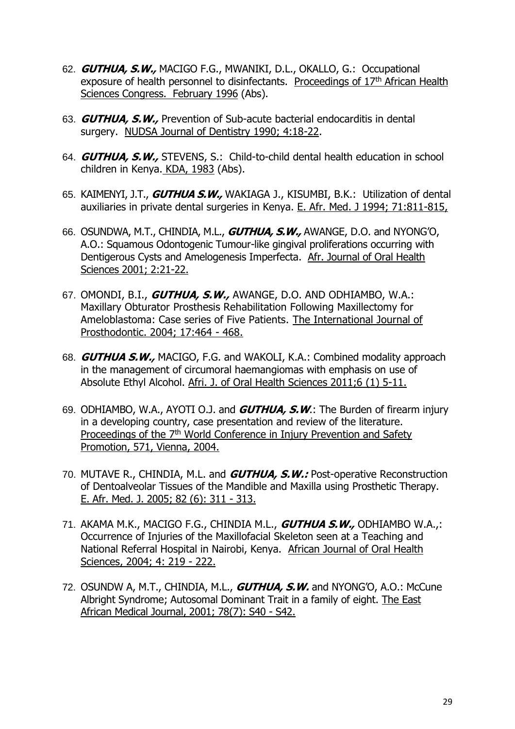- 62. **GUTHUA, S.W.,** MACIGO F.G., MWANIKI, D.L., OKALLO, G.: Occupational exposure of health personnel to disinfectants. Proceedings of 17<sup>th</sup> African Health Sciences Congress. February 1996 (Abs).
- 63. **GUTHUA, S.W.,** Prevention of Sub-acute bacterial endocarditis in dental surgery. NUDSA Journal of Dentistry 1990; 4:18-22.
- 64. **GUTHUA, S.W.,** STEVENS, S.: Child-to-child dental health education in school children in Kenya. KDA, 1983 (Abs).
- 65. KAIMENYI, J.T., **GUTHUA S.W.,** WAKIAGA J., KISUMBI, B.K.: Utilization of dental auxiliaries in private dental surgeries in Kenya. E. Afr. Med. J 1994; 71:811-815,
- 66. OSUNDWA, M.T., CHINDIA, M.L., **GUTHUA, S.W.,** AWANGE, D.O. and NYONG'O, A.O.: Squamous Odontogenic Tumour-like gingival proliferations occurring with Dentigerous Cysts and Amelogenesis Imperfecta. Afr. Journal of Oral Health Sciences 2001; 2:21-22.
- 67. OMONDI, B.I., **GUTHUA, S.W.,** AWANGE, D.O. AND ODHIAMBO, W.A.: Maxillary Obturator Prosthesis Rehabilitation Following Maxillectomy for Ameloblastoma: Case series of Five Patients. The International Journal of Prosthodontic. 2004; 17:464 - 468.
- 68. **GUTHUA S.W.,** MACIGO, F.G. and WAKOLI, K.A.: Combined modality approach in the management of circumoral haemangiomas with emphasis on use of Absolute Ethyl Alcohol. Afri. J. of Oral Health Sciences 2011;6 (1) 5-11.
- 69. ODHIAMBO, W.A., AYOTI O.J. and **GUTHUA, S.W**.: The Burden of firearm injury in a developing country, case presentation and review of the literature. Proceedings of the 7<sup>th</sup> World Conference in Injury Prevention and Safety Promotion, 571, Vienna, 2004.
- 70. MUTAVE R., CHINDIA, M.L. and **GUTHUA, S.W.:** Post-operative Reconstruction of Dentoalveolar Tissues of the Mandible and Maxilla using Prosthetic Therapy. E. Afr. Med. J. 2005; 82 (6): 311 - 313.
- 71. AKAMA M.K., MACIGO F.G., CHINDIA M.L., **GUTHUA S.W.,** ODHIAMBO W.A.,: Occurrence of Injuries of the Maxillofacial Skeleton seen at a Teaching and National Referral Hospital in Nairobi, Kenya. African Journal of Oral Health Sciences, 2004; 4: 219 - 222.
- 72. OSUNDW A, M.T., CHINDIA, M.L., **GUTHUA, S.W.** and NYONG'O, A.O.: McCune Albright Syndrome; Autosomal Dominant Trait in a family of eight. The East African Medical Journal, 2001; 78(7): S40 - S42.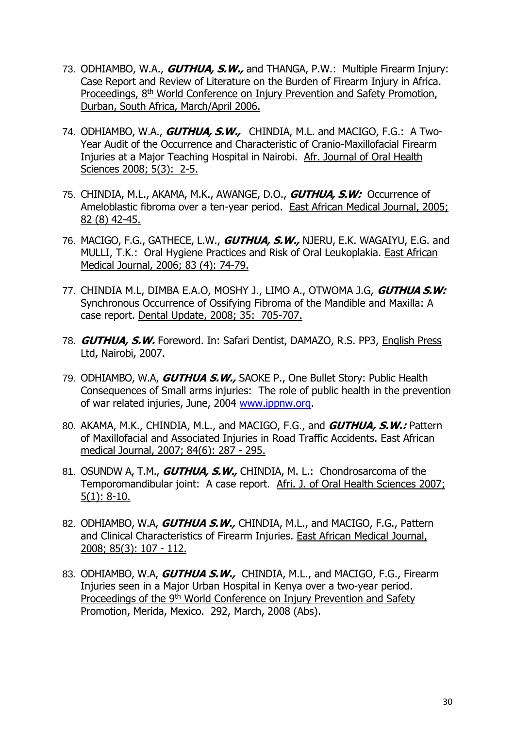- 73. ODHIAMBO, W.A., **GUTHUA, S.W.,** and THANGA, P.W.: Multiple Firearm Injury: Case Report and Review of Literature on the Burden of Firearm Injury in Africa. Proceedings, 8<sup>th</sup> World Conference on Injury Prevention and Safety Promotion, Durban, South Africa, March/April 2006.
- 74. ODHIAMBO, W.A., **GUTHUA, S.W.,** CHINDIA, M.L. and MACIGO, F.G.: A Two-Year Audit of the Occurrence and Characteristic of Cranio-Maxillofacial Firearm Injuries at a Major Teaching Hospital in Nairobi. Afr. Journal of Oral Health Sciences 2008; 5(3): 2-5.
- 75. CHINDIA, M.L., AKAMA, M.K., AWANGE, D.O., **GUTHUA, S.W:** Occurrence of Ameloblastic fibroma over a ten-year period. East African Medical Journal, 2005; 82 (8) 42-45.
- 76. MACIGO, F.G., GATHECE, L.W., **GUTHUA, S.W.,** NJERU, E.K. WAGAIYU, E.G. and MULLI, T.K.: Oral Hygiene Practices and Risk of Oral Leukoplakia. East African Medical Journal, 2006; 83 (4): 74-79.
- 77. CHINDIA M.L, DIMBA E.A.O, MOSHY J., LIMO A., OTWOMA J.G, **GUTHUA S.W:** Synchronous Occurrence of Ossifying Fibroma of the Mandible and Maxilla: A case report. Dental Update, 2008; 35: 705-707.
- 78. **GUTHUA, S.W.** Foreword. In: Safari Dentist, DAMAZO, R.S. PP3, English Press Ltd, Nairobi, 2007.
- 79. ODHIAMBO, W.A, **GUTHUA S.W.,** SAOKE P., One Bullet Story: Public Health Consequences of Small arms injuries: The role of public health in the prevention of war related injuries, June, 2004 [www.ippnw.org.](http://www.ippnw.org./)
- 80. AKAMA, M.K., CHINDIA, M.L., and MACIGO, F.G., and **GUTHUA, S.W.:** Pattern of Maxillofacial and Associated Injuries in Road Traffic Accidents. East African medical Journal, 2007; 84(6): 287 - 295.
- 81. OSUNDW A, T.M., **GUTHUA, S.W.,** CHINDIA, M. L.: Chondrosarcoma of the Temporomandibular joint: A case report. Afri. J. of Oral Health Sciences 2007; 5(1): 8-10.
- 82. ODHIAMBO, W.A, **GUTHUA S.W.,** CHINDIA, M.L., and MACIGO, F.G., Pattern and Clinical Characteristics of Firearm Injuries. East African Medical Journal, 2008; 85(3): 107 - 112.
- 83. ODHIAMBO, W.A, **GUTHUA S.W.,** CHINDIA, M.L., and MACIGO, F.G., Firearm Injuries seen in a Major Urban Hospital in Kenya over a two-year period. Proceedings of the 9<sup>th</sup> World Conference on Injury Prevention and Safety Promotion, Merida, Mexico. 292, March, 2008 (Abs).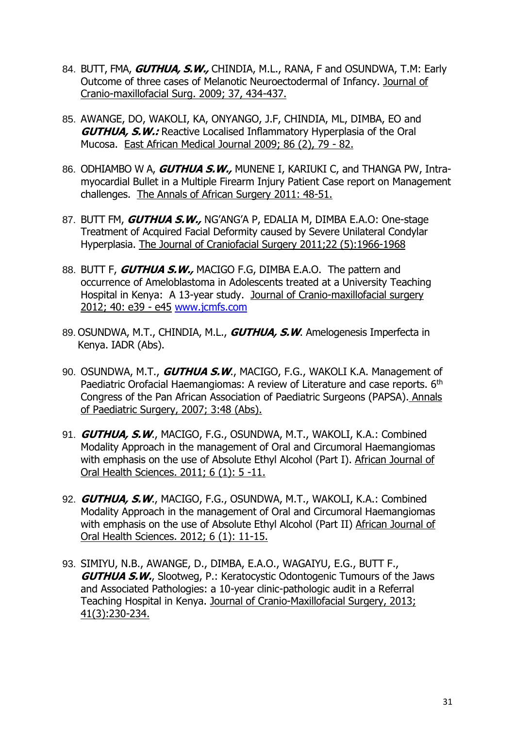- 84. BUTT, FMA, **GUTHUA, S.W.,** CHINDIA, M.L., RANA, F and OSUNDWA, T.M: Early Outcome of three cases of Melanotic Neuroectodermal of Infancy. Journal of Cranio-maxillofacial Surg. 2009; 37, 434-437.
- 85. AWANGE, DO, WAKOLI, KA, ONYANGO, J.F, CHINDIA, ML, DIMBA, EO and **GUTHUA, S.W.:** Reactive Localised Inflammatory Hyperplasia of the Oral Mucosa. East African Medical Journal 2009; 86 (2), 79 - 82.
- 86. ODHIAMBO W A, **GUTHUA S.W.,** MUNENE I, KARIUKI C, and THANGA PW, Intramyocardial Bullet in a Multiple Firearm Injury Patient Case report on Management challenges. The Annals of African Surgery 2011: 48-51.
- 87. BUTT FM, **GUTHUA S.W.,** NG'ANG'A P, EDALIA M, DIMBA E.A.O: One-stage Treatment of Acquired Facial Deformity caused by Severe Unilateral Condylar Hyperplasia. The Journal of Craniofacial Surgery 2011;22 (5):1966-1968
- 88. BUTT F, **GUTHUA S.W.,** MACIGO F.G, DIMBA E.A.O. The pattern and occurrence of Ameloblastoma in Adolescents treated at a University Teaching Hospital in Kenya: A 13-year study. Journal of Cranio-maxillofacial surgery 2012; 40: e39 - e45 [www.jcmfs.com](http://www.jcmfs.com/)
- 89. OSUNDWA, M.T., CHINDIA, M.L., **GUTHUA, S.W**. Amelogenesis Imperfecta in Kenya. IADR (Abs).
- 90. OSUNDWA, M.T., **GUTHUA S.W**., MACIGO, F.G., WAKOLI K.A. Management of Paediatric Orofacial Haemangiomas: A review of Literature and case reports. 6<sup>th</sup> Congress of the Pan African Association of Paediatric Surgeons (PAPSA). Annals of Paediatric Surgery, 2007; 3:48 (Abs).
- 91. **GUTHUA, S.W**., MACIGO, F.G., OSUNDWA, M.T., WAKOLI, K.A.: Combined Modality Approach in the management of Oral and Circumoral Haemangiomas with emphasis on the use of Absolute Ethyl Alcohol (Part I). African Journal of Oral Health Sciences. 2011; 6 (1): 5 -11.
- 92. **GUTHUA, S.W**., MACIGO, F.G., OSUNDWA, M.T., WAKOLI, K.A.: Combined Modality Approach in the management of Oral and Circumoral Haemangiomas with emphasis on the use of Absolute Ethyl Alcohol (Part II) African Journal of Oral Health Sciences. 2012; 6 (1): 11-15.
- 93. SIMIYU, N.B., AWANGE, D., DIMBA, E.A.O., WAGAIYU, E.G., BUTT F., **GUTHUA S.W.**, Slootweg, P.: Keratocystic Odontogenic Tumours of the Jaws and Associated Pathologies: a 10-year clinic-pathologic audit in a Referral Teaching Hospital in Kenya. Journal of Cranio-Maxillofacial Surgery, 2013; 41(3):230-234.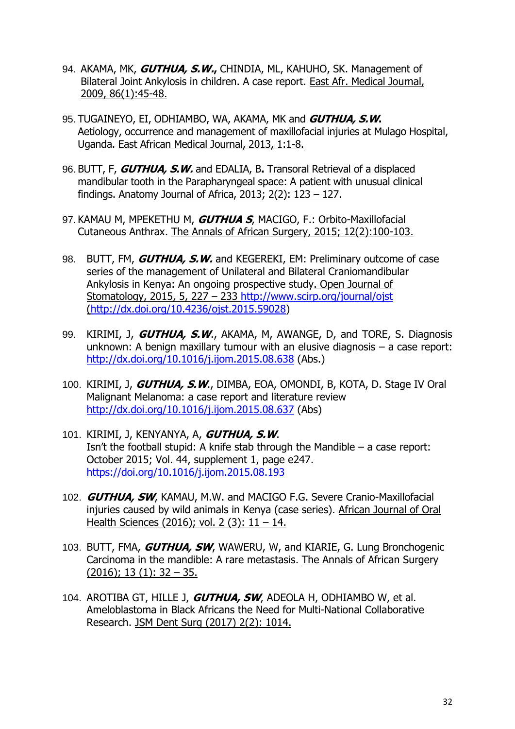- 94. AKAMA, MK, **GUTHUA, S.W.,** CHINDIA, ML, KAHUHO, SK. Management of Bilateral Joint Ankylosis in children. A case report. East Afr. Medical Journal, 2009, 86(1):45-48.
- 95. TUGAINEYO, EI, ODHIAMBO, WA, AKAMA, MK and **GUTHUA, S.W.** Aetiology, occurrence and management of maxillofacial injuries at Mulago Hospital, Uganda. East African Medical Journal, 2013, 1:1-8.
- 96. BUTT, F, **GUTHUA, S.W.** and EDALIA, B**.** Transoral Retrieval of a displaced mandibular tooth in the Parapharyngeal space: A patient with unusual clinical findings. Anatomy Journal of Africa, 2013; 2(2): 123 – 127.
- 97. KAMAU M, MPEKETHU M, **GUTHUA S**, MACIGO, F.: Orbito-Maxillofacial Cutaneous Anthrax. The Annals of African Surgery, 2015; 12(2):100-103.
- 98. BUTT, FM, **GUTHUA, S.W.** and KEGEREKI, EM: Preliminary outcome of case series of the management of Unilateral and Bilateral Craniomandibular Ankylosis in Kenya: An ongoing prospective study. Open Journal of Stomatology, 2015, 5, 227 – 233<http://www.scirp.org/journal/ojst> [\(http://dx.doi.org/10.4236/ojst.2015.59028\)](http://dx.doi.or/10.4236/ojst.2015.59028)
- 99. KIRIMI, J, **GUTHUA, S.W**., AKAMA, M, AWANGE, D, and TORE, S. Diagnosis unknown: A benign maxillary tumour with an elusive diagnosis – a case report: <http://dx.doi.org/10.1016/j.ijom.2015.08.638> (Abs.)
- 100. KIRIMI, J, **GUTHUA, S.W**., DIMBA, EOA, OMONDI, B, KOTA, D. Stage IV Oral Malignant Melanoma: a case report and literature review <http://dx.doi.org/10.1016/j.ijom.2015.08.637> (Abs)
- 101. KIRIMI, J, KENYANYA, A, **GUTHUA, S.W**. Isn't the football stupid: A knife stab through the Mandible – a case report: October 2015; Vol. 44, supplement 1, page e247. <https://doi.org/10.1016/j.ijom.2015.08.193>
- 102. **GUTHUA, SW**, KAMAU, M.W. and MACIGO F.G. Severe Cranio-Maxillofacial injuries caused by wild animals in Kenya (case series). African Journal of Oral Health Sciences (2016); vol. 2 (3): 11 - 14.
- 103. BUTT, FMA, **GUTHUA, SW**, WAWERU, W, and KIARIE, G. Lung Bronchogenic Carcinoma in the mandible: A rare metastasis. The Annals of African Surgery  $(2016)$ ; 13 (1): 32 – 35.
- 104. AROTIBA GT, HILLE J, **GUTHUA, SW**, ADEOLA H, ODHIAMBO W, et al. Ameloblastoma in Black Africans the Need for Multi-National Collaborative Research. JSM Dent Surg (2017) 2(2): 1014.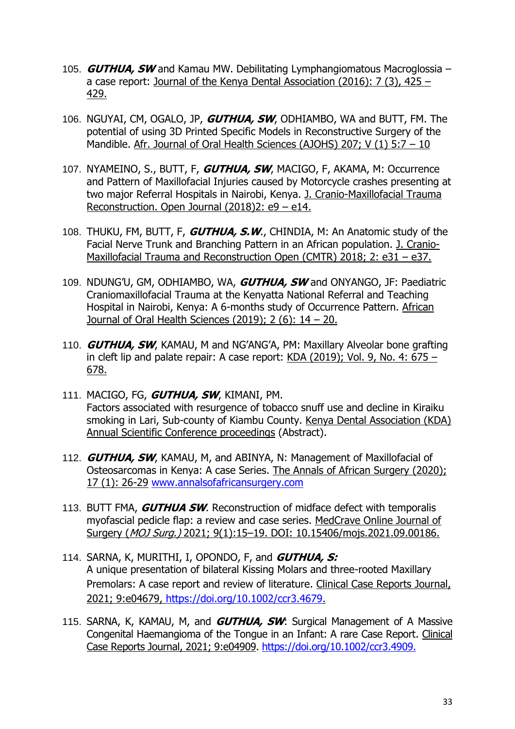- 105. **GUTHUA, SW** and Kamau MW. Debilitating Lymphangiomatous Macroglossia a case report: Journal of the Kenya Dental Association (2016): 7 (3), 425 – 429.
- 106. NGUYAI, CM, OGALO, JP, **GUTHUA, SW**, ODHIAMBO, WA and BUTT, FM. The potential of using 3D Printed Specific Models in Reconstructive Surgery of the Mandible. Afr. Journal of Oral Health Sciences (AJOHS) 207; V (1) 5:7 - 10
- 107. NYAMEINO, S., BUTT, F, **GUTHUA, SW**, MACIGO, F, AKAMA, M: Occurrence and Pattern of Maxillofacial Injuries caused by Motorcycle crashes presenting at two major Referral Hospitals in Nairobi, Kenya. J. Cranio-Maxillofacial Trauma Reconstruction. Open Journal (2018)2: e9 – e14.
- 108. THUKU, FM, BUTT, F, **GUTHUA, S.W**., CHINDIA, M: An Anatomic study of the Facial Nerve Trunk and Branching Pattern in an African population. J. Cranio-Maxillofacial Trauma and Reconstruction Open (CMTR) 2018; 2: e31 – e37.
- 109. NDUNG'U, GM, ODHIAMBO, WA, **GUTHUA, SW** and ONYANGO, JF: Paediatric Craniomaxillofacial Trauma at the Kenyatta National Referral and Teaching Hospital in Nairobi, Kenya: A 6-months study of Occurrence Pattern. African Journal of Oral Health Sciences (2019); 2 (6): 14 – 20.
- 110. **GUTHUA, SW**, KAMAU, M and NG'ANG'A, PM: Maxillary Alveolar bone grafting in cleft lip and palate repair: A case report:  $KDA$  (2019); Vol. 9, No. 4: 675 – 678.
- 111. MACIGO, FG, **GUTHUA, SW**, KIMANI, PM. Factors associated with resurgence of tobacco snuff use and decline in Kiraiku smoking in Lari, Sub-county of Kiambu County. Kenya Dental Association (KDA) Annual Scientific Conference proceedings (Abstract).
- 112. **GUTHUA, SW**, KAMAU, M, and ABINYA, N: Management of Maxillofacial of Osteosarcomas in Kenya: A case Series. The Annals of African Surgery (2020); 17 (1): 26-29 [www.annalsofafricansurgery.com](http://www.annalsofafricansurgery.com/)
- 113. BUTT FMA, **GUTHUA SW**. Reconstruction of midface defect with temporalis myofascial pedicle flap: a review and case series. MedCrave Online Journal of Surgery (MOJ Surg.) 2021; 9(1):15-19. DOI: 10.15406/mojs.2021.09.00186.
- 114. SARNA, K, MURITHI, I, OPONDO, F, and **GUTHUA, S:** A unique presentation of bilateral Kissing Molars and three-rooted Maxillary Premolars: A case report and review of literature. Clinical Case Reports Journal, 2021; 9:e04679, [https://doi.org/10.1002/ccr3.4679.](https://doi.org/10.1002/ccr3.4679)
- 115. SARNA, K, KAMAU, M, and **GUTHUA, SW**: Surgical Management of A Massive Congenital Haemangioma of the Tongue in an Infant: A rare Case Report. Clinical Case Reports Journal, 2021; 9:e04909. [https://doi.org/10.1002/ccr3.4909.](https://doi.org/10.1002/ccr3.4909)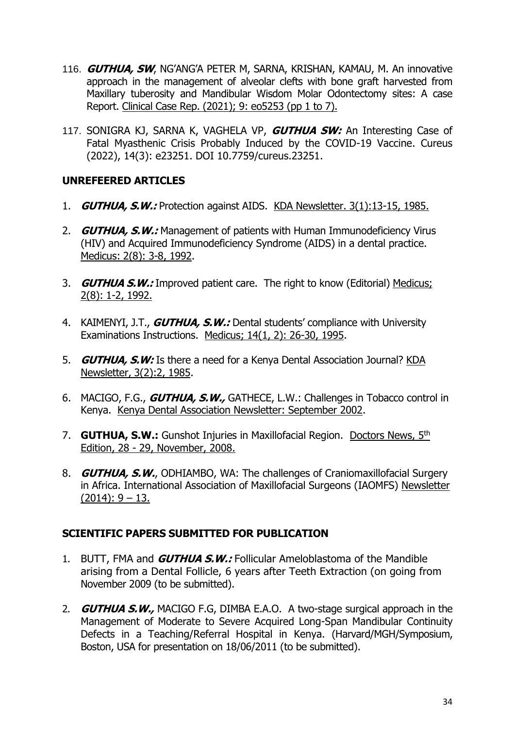- 116. **GUTHUA, SW**, NG'ANG'A PETER M, SARNA, KRISHAN, KAMAU, M. An innovative approach in the management of alveolar clefts with bone graft harvested from Maxillary tuberosity and Mandibular Wisdom Molar Odontectomy sites: A case Report. Clinical Case Rep. (2021); 9: eo5253 (pp 1 to 7).
- 117. SONIGRA KJ, SARNA K, VAGHELA VP, **GUTHUA SW:** An Interesting Case of Fatal Myasthenic Crisis Probably Induced by the COVID-19 Vaccine. Cureus (2022), 14(3): e23251. DOI 10.7759/cureus.23251.

## **UNREFEERED ARTICLES**

- 1. **GUTHUA, S.W.:** Protection against AIDS. KDA Newsletter. 3(1):13-15, 1985.
- 2. **GUTHUA, S.W.:** Management of patients with Human Immunodeficiency Virus (HIV) and Acquired Immunodeficiency Syndrome (AIDS) in a dental practice. Medicus: 2(8): 3-8, 1992.
- 3. **GUTHUA S.W.:** Improved patient care. The right to know (Editorial) Medicus; 2(8): 1-2, 1992.
- 4. KAIMENYI, J.T., **GUTHUA, S.W.:** Dental students' compliance with University Examinations Instructions. Medicus; 14(1, 2): 26-30, 1995.
- 5. **GUTHUA, S.W:** Is there a need for a Kenya Dental Association Journal? KDA Newsletter, 3(2):2, 1985.
- 6. MACIGO, F.G., **GUTHUA, S.W.,** GATHECE, L.W.: Challenges in Tobacco control in Kenya. Kenya Dental Association Newsletter: September 2002.
- 7. **GUTHUA, S.W.:** Gunshot Injuries in Maxillofacial Region. Doctors News, 5th Edition, 28 - 29, November, 2008.
- 8. **GUTHUA, S.W.**, ODHIAMBO, WA: The challenges of Craniomaxillofacial Surgery in Africa. International Association of Maxillofacial Surgeons (IAOMFS) Newsletter  $(2014): 9 - 13.$

## **SCIENTIFIC PAPERS SUBMITTED FOR PUBLICATION**

- 1. BUTT, FMA and **GUTHUA S.W.:** Follicular Ameloblastoma of the Mandible arising from a Dental Follicle, 6 years after Teeth Extraction (on going from November 2009 (to be submitted).
- 2. **GUTHUA S.W.,** MACIGO F.G, DIMBA E.A.O. A two-stage surgical approach in the Management of Moderate to Severe Acquired Long-Span Mandibular Continuity Defects in a Teaching/Referral Hospital in Kenya. (Harvard/MGH/Symposium, Boston, USA for presentation on 18/06/2011 (to be submitted).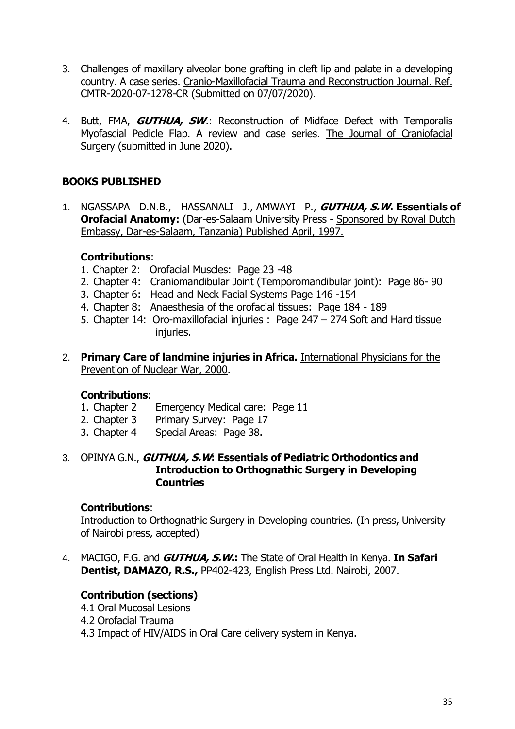- 3. Challenges of maxillary alveolar bone grafting in cleft lip and palate in a developing country. A case series. Cranio-Maxillofacial Trauma and Reconstruction Journal. Ref. CMTR-2020-07-1278-CR (Submitted on 07/07/2020).
- 4. Butt, FMA, **GUTHUA, SW**.: Reconstruction of Midface Defect with Temporalis Myofascial Pedicle Flap. A review and case series. The Journal of Craniofacial Surgery (submitted in June 2020).

## **BOOKS PUBLISHED**

1. NGASSAPA D.N.B., HASSANALI J., AMWAYI P., **GUTHUA, S.W. Essentials of Orofacial Anatomy:** (Dar-es-Salaam University Press - Sponsored by Royal Dutch Embassy, Dar-es-Salaam, Tanzania) Published April, 1997.

## **Contributions**:

- 1. Chapter 2: Orofacial Muscles: Page 23 -48
- 2. Chapter 4: Craniomandibular Joint (Temporomandibular joint): Page 86- 90
- 3. Chapter 6: Head and Neck Facial Systems Page 146 -154
- 4. Chapter 8: Anaesthesia of the orofacial tissues: Page 184 189
- 5. Chapter 14: Oro-maxillofacial injuries : Page 247 274 Soft and Hard tissue injuries.
- 2. **Primary Care of landmine injuries in Africa.** International Physicians for the Prevention of Nuclear War, 2000.

## **Contributions**:

- 1. Chapter 2 Emergency Medical care: Page 11
- 2. Chapter 3 Primary Survey: Page 17
- 3. Chapter 4 Special Areas: Page 38.

#### 3. OPINYA G.N., **GUTHUA, S.W: Essentials of Pediatric Orthodontics and Introduction to Orthognathic Surgery in Developing Countries**

## **Contributions**:

Introduction to Orthognathic Surgery in Developing countries. (In press, University of Nairobi press, accepted)

4. MACIGO, F.G. and **GUTHUA, S.W.:** The State of Oral Health in Kenya. **In Safari Dentist, DAMAZO, R.S.,** PP402-423, English Press Ltd. Nairobi, 2007.

## **Contribution (sections)**

- 4.1 Oral Mucosal Lesions
- 4.2 Orofacial Trauma
- 4.3 Impact of HIV/AIDS in Oral Care delivery system in Kenya.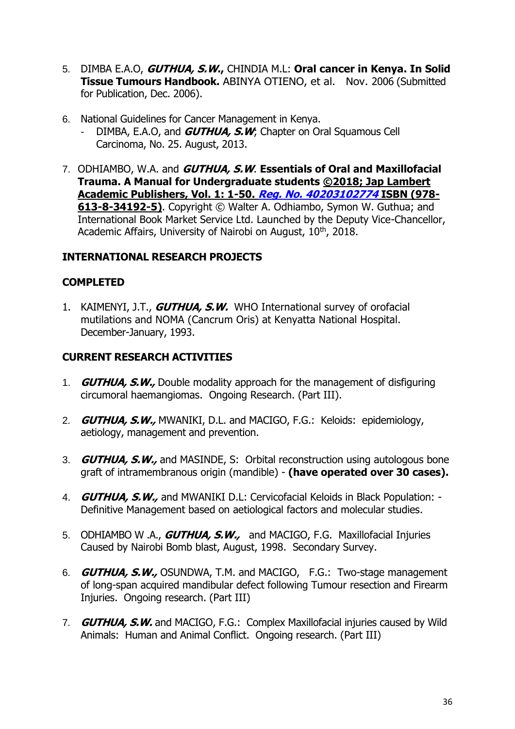- 5. DIMBA E.A.O, **GUTHUA, S.W.,** CHINDIA M.L: **Oral cancer in Kenya. In Solid Tissue Tumours Handbook.** ABINYA OTIENO, et al. Nov. 2006 (Submitted for Publication, Dec. 2006).
- 6. National Guidelines for Cancer Management in Kenya.
	- DIMBA, E.A.O, and **GUTHUA, S.W**; Chapter on Oral Squamous Cell Carcinoma, No. 25. August, 2013.
- 7. ODHIAMBO, W.A. and **GUTHUA, S.W**. **Essentials of Oral and Maxillofacial Trauma. A Manual for Undergraduate students ©2018; Jap Lambert Academic Publishers, Vol. 1: 1-50. Reg. No. 40203102774 ISBN (978- 613-8-34192-5)**. Copyright © Walter A. Odhiambo, Symon W. Guthua; and International Book Market Service Ltd. Launched by the Deputy Vice-Chancellor, Academic Affairs, University of Nairobi on August, 10<sup>th</sup>, 2018.

## **INTERNATIONAL RESEARCH PROJECTS**

## **COMPLETED**

1. KAIMENYI, J.T., **GUTHUA, S.W.** WHO International survey of orofacial mutilations and NOMA (Cancrum Oris) at Kenyatta National Hospital. December-January, 1993.

## **CURRENT RESEARCH ACTIVITIES**

- 1. **GUTHUA, S.W.,** Double modality approach for the management of disfiguring circumoral haemangiomas. Ongoing Research. (Part III).
- 2. **GUTHUA, S.W.,** MWANIKI, D.L. and MACIGO, F.G.: Keloids: epidemiology, aetiology, management and prevention.
- 3. **GUTHUA, S.W.,** and MASINDE, S: Orbital reconstruction using autologous bone graft of intramembranous origin (mandible) - **(have operated over 30 cases).**
- 4. **GUTHUA, S.W.,** and MWANIKI D.L: Cervicofacial Keloids in Black Population: Definitive Management based on aetiological factors and molecular studies.
- 5. ODHIAMBO W .A., **GUTHUA, S.W.,** and MACIGO, F.G. Maxillofacial Injuries Caused by Nairobi Bomb blast, August, 1998. Secondary Survey.
- 6. **GUTHUA, S.W.,** OSUNDWA, T.M. and MACIGO, F.G.: Two-stage management of long-span acquired mandibular defect following Tumour resection and Firearm Injuries. Ongoing research. (Part III)
- 7. **GUTHUA, S.W.** and MACIGO, F.G.: Complex Maxillofacial injuries caused by Wild Animals: Human and Animal Conflict. Ongoing research. (Part III)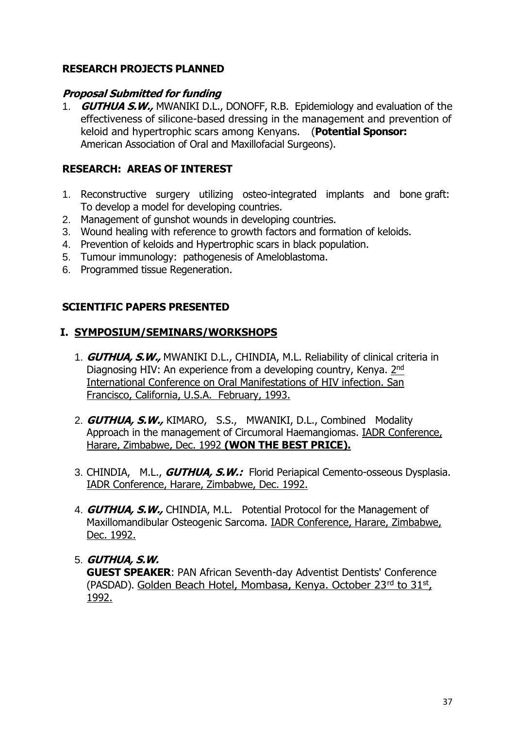## **RESEARCH PROJECTS PLANNED**

## **Proposal Submitted for funding**

1. **GUTHUA S.W.,** MWANIKI D.L., DONOFF, R.B. Epidemiology and evaluation of the effectiveness of silicone-based dressing in the management and prevention of keloid and hypertrophic scars among Kenyans. (**Potential Sponsor:** American Association of Oral and Maxillofacial Surgeons).

## **RESEARCH: AREAS OF INTEREST**

- 1. Reconstructive surgery utilizing osteo-integrated implants and bone graft: To develop a model for developing countries.
- 2. Management of gunshot wounds in developing countries.
- 3. Wound healing with reference to growth factors and formation of keloids.
- 4. Prevention of keloids and Hypertrophic scars in black population.
- 5. Tumour immunology: pathogenesis of Ameloblastoma.
- 6. Programmed tissue Regeneration.

## **SCIENTIFIC PAPERS PRESENTED**

## **I. SYMPOSIUM/SEMINARS/WORKSHOPS**

- 1. **GUTHUA, S.W.,** MWANIKI D.L., CHINDIA, M.L. Reliability of clinical criteria in Diagnosing HIV: An experience from a developing country, Kenya. 2nd International Conference on Oral Manifestations of HIV infection. San Francisco, California, U.S.A. February, 1993.
- 2. **GUTHUA, S.W.,** KIMARO, S.S., MWANIKI, D.L., Combined Modality Approach in the management of Circumoral Haemangiomas. IADR Conference, Harare, Zimbabwe, Dec. 1992 **(WON THE BEST PRICE).**
- 3. CHINDIA, M.L., **GUTHUA, S.W.:** Florid Periapical Cemento-osseous Dysplasia. IADR Conference, Harare, Zimbabwe, Dec. 1992.
- 4. **GUTHUA, S.W.,** CHINDIA, M.L. Potential Protocol for the Management of Maxillomandibular Osteogenic Sarcoma. IADR Conference, Harare, Zimbabwe, Dec. 1992.

## 5. **GUTHUA, S.W.**

**GUEST SPEAKER**: PAN African Seventh-day Adventist Dentists' Conference (PASDAD). Golden Beach Hotel, Mombasa, Kenya. October 23rd to 31st, 1992.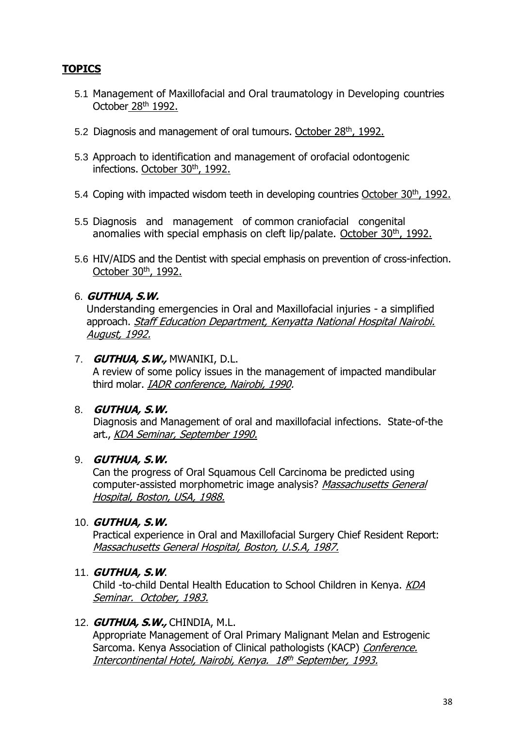## **TOPICS**

- 5.1 Management of Maxillofacial and Oral traumatology in Developing countries October 28th 1992.
- 5.2 Diagnosis and management of oral tumours. October 28<sup>th</sup>, 1992.
- 5.3 Approach to identification and management of orofacial odontogenic infections. October 30<sup>th</sup>, 1992.
- 5.4 Coping with impacted wisdom teeth in developing countries October 30th, 1992.
- 5.5 Diagnosis and management of common craniofacial congenital anomalies with special emphasis on cleft lip/palate. <u>October 30th, 1992.</u>
- 5.6 HIV/AIDS and the Dentist with special emphasis on prevention of cross-infection. October 30<sup>th</sup>, 1992.

## 6. **GUTHUA, S.W.**

Understanding emergencies in Oral and Maxillofacial injuries - a simplified approach. Staff Education Department, Kenyatta National Hospital Nairobi. August, 1992.

#### 7. **GUTHUA, S.W.,** MWANIKI, D.L.

A review of some policy issues in the management of impacted mandibular third molar. IADR conference, Nairobi, 1990.

#### 8. **GUTHUA, S.W.**

Diagnosis and Management of oral and maxillofacial infections. State-of-the art., KDA Seminar, September 1990.

## 9. **GUTHUA, S.W.**

Can the progress of Oral Squamous Cell Carcinoma be predicted using computer-assisted morphometric image analysis? Massachusetts General Hospital, Boston, USA, 1988.

#### 10. **GUTHUA, S.W.**

Practical experience in Oral and Maxillofacial Surgery Chief Resident Report: Massachusetts General Hospital, Boston, U.S.A, 1987.

#### 11. **GUTHUA, S.W**.

Child -to-child Dental Health Education to School Children in Kenya. KDA Seminar. October, 1983.

#### 12. **GUTHUA, S.W.,** CHINDIA, M.L.

Appropriate Management of Oral Primary Malignant Melan and Estrogenic Sarcoma. Kenya Association of Clinical pathologists (KACP) Conference. <u>Intercontinental Hotel, Nairobi, Kenya. 18<sup>th</sup> September, 1993.</u>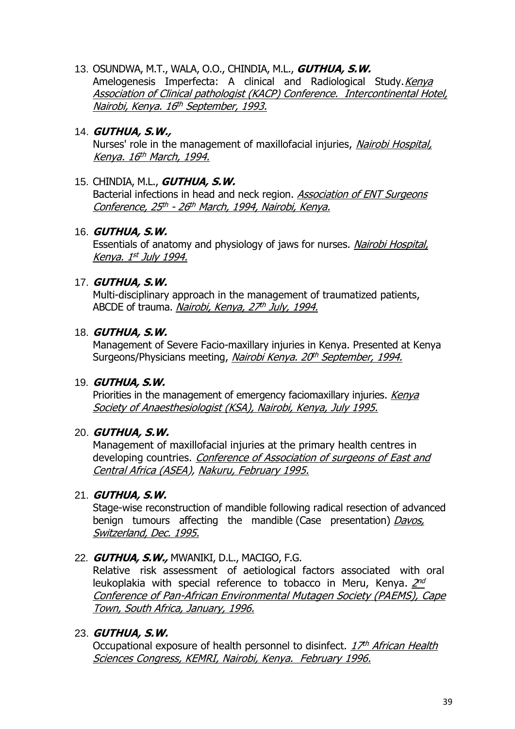13. OSUNDWA, M.T., WALA, O.O., CHINDIA, M.L., **GUTHUA, S.W.** Amelogenesis Imperfecta: A clinical and Radiological Study. Kenya Association of Clinical pathologist (KACP) Conference. Intercontinental Hotel, <u>Nairobi, Kenya. 16<sup>th</sup> September, 1993.</u>

## 14. **GUTHUA, S.W.,**

Nurses' role in the management of maxillofacial injuries, Nairobi Hospital, <u>Kenya. 16<sup>th</sup> March, 1994.</u>

## 15. CHINDIA, M.L., **GUTHUA, S.W.**

Bacterial infections in head and neck region. Association of ENT Surgeons <u>Conference, 25th - 26th March, 1994, Nairobi, Kenya.</u>

#### 16. **GUTHUA, S.W.**

Essentials of anatomy and physiology of jaws for nurses. Nairobi Hospital, <u>Kenya. 1<sup>st</sup> July 1994.</u>

## 17. **GUTHUA, S.W.**

Multi-disciplinary approach in the management of traumatized patients, ABCDE of trauma. <u>*Nairobi, Kenya, 27<sup>th</sup> July, 1994.*</u>

#### 18. **GUTHUA, S.W.**

Management of Severe Facio-maxillary injuries in Kenya. Presented at Kenya Surgeons/Physicians meeting, <u>*Nairobi Kenya. 20<sup>th</sup> September, 1994.*</u>

#### 19. **GUTHUA, S.W.**

Priorities in the management of emergency faciomaxillary injuries. Kenya Society of Anaesthesiologist (KSA), Nairobi, Kenya, July 1995.

## 20. **GUTHUA, S.W.**

Management of maxillofacial injuries at the primary health centres in developing countries. Conference of Association of surgeons of East and Central Africa (ASEA), Nakuru, February 1995.

## 21. **GUTHUA, S.W.**

Stage-wise reconstruction of mandible following radical resection of advanced benign tumours affecting the mandible (Case presentation) Davos, Switzerland, Dec. 1995.

## 22. **GUTHUA, S.W.,** MWANIKI, D.L., MACIGO, F.G.

Relative risk assessment of aetiological factors associated with oral leukoplakia with special reference to tobacco in Meru, Kenya. 2nd Conference of Pan-African Environmental Mutagen Society (PAEMS), Cape Town, South Africa, January, 1996.

## 23. **GUTHUA, S.W.**

Occupational exposure of health personnel to disinfect. *17<sup>th</sup> African Health* Sciences Congress, KEMRI, Nairobi, Kenya. February 1996.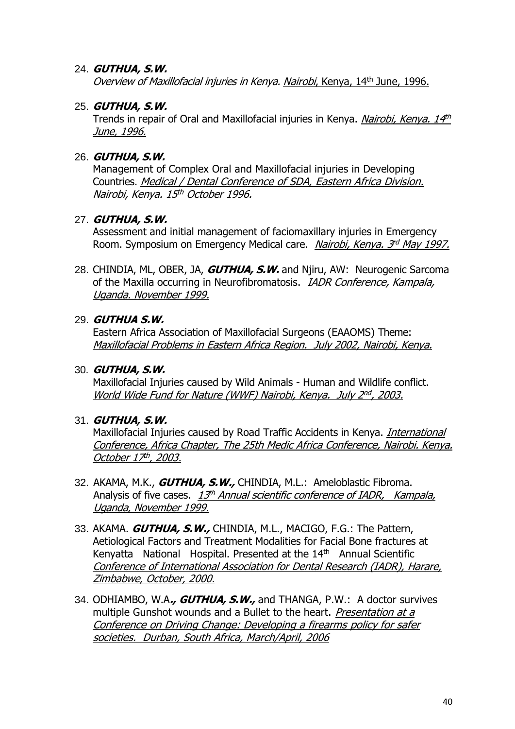## 24. **GUTHUA, S.W.**

Overview of Maxillofacial injuries in Kenya. Nairobi, Kenya, 14<sup>th</sup> June, 1996.

## 25. **GUTHUA, S.W.**

Trends in repair of Oral and Maxillofacial injuries in Kenya. <u>*Nairobi, Kenya. 14<sup>th</sup>*</u> June, 1996.

## 26. **GUTHUA, S.W.**

Management of Complex Oral and Maxillofacial injuries in Developing Countries. Medical / Dental Conference of SDA, Eastern Africa Division. <u>Nairobi, Kenya. 15th October 1996.</u>

## 27. **GUTHUA, S.W.**

Assessment and initial management of faciomaxillary injuries in Emergency Room. Symposium on Emergency Medical care. *Nairobi, Kenya. 3<sup>rd</sup> May 1997.* 

28. CHINDIA, ML, OBER, JA, **GUTHUA, S.W.** and Njiru, AW: Neurogenic Sarcoma of the Maxilla occurring in Neurofibromatosis. IADR Conference, Kampala, Uganda. November 1999.

## 29. **GUTHUA S.W.**

Eastern Africa Association of Maxillofacial Surgeons (EAAOMS) Theme: Maxillofacial Problems in Eastern Africa Region. July 2002, Nairobi, Kenya.

## 30. **GUTHUA, S.W.**

Maxillofacial Injuries caused by Wild Animals - Human and Wildlife conflict. <u>World Wide Fund for Nature (WWF) Nairobi, Kenya. July 2nd, 2003.</u>

## 31. **GUTHUA, S.W.**

Maxillofacial Injuries caused by Road Traffic Accidents in Kenya. *International* Conference, Africa Chapter, The 25th Medic Africa Conference, Nairobi. Kenya. <u>October 17th, 2003.</u>

- 32. AKAMA, M.K., **GUTHUA, S.W.,** CHINDIA, M.L.: Ameloblastic Fibroma. Analysis of five cases. 13th Annual scientific conference of IADR, Kampala, Uganda, November 1999.
- 33. AKAMA. **GUTHUA, S.W.,** CHINDIA, M.L., MACIGO, F.G.: The Pattern, Aetiological Factors and Treatment Modalities for Facial Bone fractures at Kenyatta National Hospital. Presented at the 14<sup>th</sup> Annual Scientific Conference of International Association for Dental Research (IADR), Harare, Zimbabwe, October, 2000.
- 34. ODHIAMBO, W.A**., GUTHUA, S.W.,** and THANGA, P.W.: A doctor survives multiple Gunshot wounds and a Bullet to the heart. Presentation at a Conference on Driving Change: Developing a firearms policy for safer societies. Durban, South Africa, March/April, 2006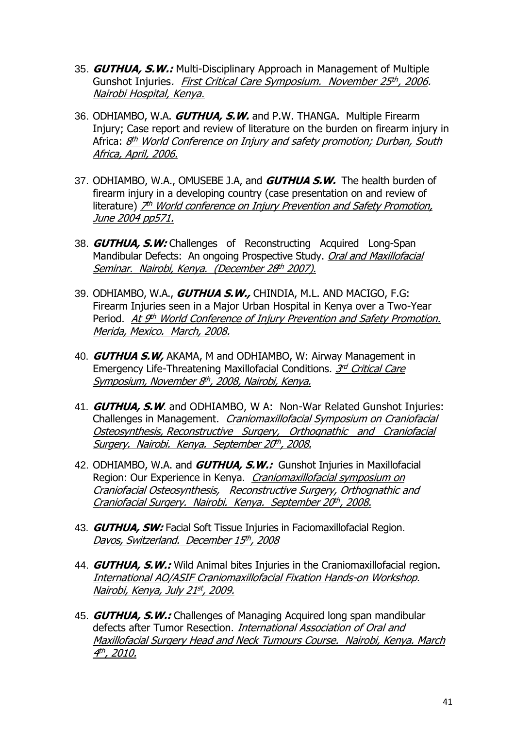- 35. **GUTHUA, S.W.:** Multi-Disciplinary Approach in Management of Multiple Gunshot Injuries*. <u>First Critical Care Symposium. November 25<sup>th</sup>, 2006</u>.* Nairobi Hospital, Kenya.
- 36. ODHIAMBO, W.A. **GUTHUA, S.W.** and P.W. THANGA. Multiple Firearm Injury; Case report and review of literature on the burden on firearm injury in Africa: <u>8<sup>th</sup> World Conference on Injury and safety promotion; Durban, South</u> Africa, April, 2006.
- 37. ODHIAMBO, W.A., OMUSEBE J.A, and **GUTHUA S.W.** The health burden of firearm injury in a developing country (case presentation on and review of literature) <u>7th World conference on Injury Prevention and Safety Promotion,</u> June 2004 pp571.
- 38. **GUTHUA, S.W:** Challenges of Reconstructing Acquired Long-Span Mandibular Defects: An ongoing Prospective Study. Oral and Maxillofacial <u>Seminar. Nairobi, Kenya. (December 28<sup>th</sup> 2007).</u>
- 39. ODHIAMBO, W.A., **GUTHUA S.W.,** CHINDIA, M.L. AND MACIGO, F.G: Firearm Injuries seen in a Major Urban Hospital in Kenya over a Two-Year Period. <u>At 9<sup>th</sup> World Conference of Injury Prevention and Safety Promotion.</u> Merida, Mexico. March, 2008.
- 40. **GUTHUA S.W,** AKAMA, M and ODHIAMBO, W: Airway Management in Emergency Life-Threatening Maxillofacial Conditions. 3rd Critical Care <u>Symposium, November 8<sup>th</sup>, 2008, Nairobi, Kenya.</u>
- 41. **GUTHUA, S.W**. and ODHIAMBO, W A: Non-War Related Gunshot Injuries: Challenges in Management. *Craniomaxillofacial Symposium on Craniofacial* Osteosynthesis, Reconstructive Surgery, Orthognathic and Craniofacial <u>Surgery. Nairobi. Kenya. September 20th, 2008.</u>
- 42. ODHIAMBO, W.A. and **GUTHUA, S.W.:** Gunshot Injuries in Maxillofacial Region: Our Experience in Kenya. Craniomaxillofacial symposium on Craniofacial Osteosynthesis, Reconstructive Surgery, Orthognathic and Craniofacial Surgery. Nairobi. Kenya. September 20th, 2008.
- 43. **GUTHUA, SW:** Facial Soft Tissue Injuries in Faciomaxillofacial Region. <u>Davos, Switzerland. December 15th, 2008</u>
- 44. **GUTHUA, S.W.:** Wild Animal bites Injuries in the Craniomaxillofacial region. International AO/ASIF Craniomaxillofacial Fixation Hands-on Workshop. <u>Nairobi, Kenya, July 21st, 2009.</u>
- 45. **GUTHUA, S.W.:** Challenges of Managing Acquired long span mandibular defects after Tumor Resection. *International Association of Oral and* Maxillofacial Surgery Head and Neck Tumours Course. Nairobi, Kenya. March .4<sup>th</sup>, 2010.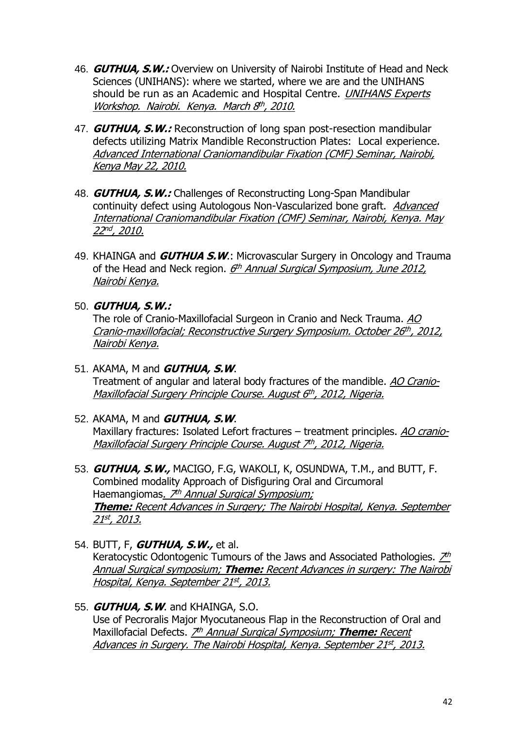- 46. **GUTHUA, S.W.:** Overview on University of Nairobi Institute of Head and Neck Sciences (UNIHANS): where we started, where we are and the UNIHANS should be run as an Academic and Hospital Centre. UNIHANS Experts <u>Workshop. Nairobi. Kenya. March 8th, 2010.</u>
- 47. **GUTHUA, S.W.:** Reconstruction of long span post-resection mandibular defects utilizing Matrix Mandible Reconstruction Plates: Local experience. Advanced International Craniomandibular Fixation (CMF) Seminar, Nairobi, Kenya May 22, 2010.
- 48. **GUTHUA, S.W.:** Challenges of Reconstructing Long-Span Mandibular continuity defect using Autologous Non-Vascularized bone graft. Advanced International Craniomandibular Fixation (CMF) Seminar, Nairobi, Kenya. May <u>22nd, 2010.</u>
- 49. KHAINGA and **GUTHUA S.W**.: Microvascular Surgery in Oncology and Trauma of the Head and Neck region. *6<sup>th</sup> Annual Surgical Symposium, June 2012,* Nairobi Kenya.
- 50. **GUTHUA, S.W.:**

The role of Cranio-Maxillofacial Surgeon in Cranio and Neck Trauma. AO Cranio-maxillofacial; Reconstructive Surgery Symposium. October 26th, 2012, Nairobi Kenya.

- 51. AKAMA, M and **GUTHUA, S.W**. Treatment of angular and lateral body fractures of the mandible. AO Cranio-<u>Maxillofacial Surgery Principle Course. August 6th, 2012, Nigeria.</u>
- 52. AKAMA, M and **GUTHUA, S.W**. Maxillary fractures: Isolated Lefort fractures – treatment principles. AO cranio-<u>Maxillofacial Surgery Principle Course. August 7th, 2012, Nigeria.</u>
- 53. **GUTHUA, S.W.,** MACIGO, F.G, WAKOLI, K, OSUNDWA, T.M., and BUTT, F. Combined modality Approach of Disfiguring Oral and Circumoral Haemangiomas<u>. *7<sup>th</sup> Annual Surgical Symposium;*</u> **Theme:** Recent Advances in Surgery; The Nairobi Hospital, Kenya. September <u>21st, 2013.</u>
- 54. BUTT, F, **GUTHUA, S.W.,** et al. Keratocystic Odontogenic Tumours of the Jaws and Associated Pathologies.  $\mathcal{Z}^h$ Annual Surgical symposium; **Theme:** Recent Advances in surgery: The Nairobi <u>Hospital, Kenya. September 21st, 2013.</u>
- 55. **GUTHUA, S.W**. and KHAINGA, S.O. Use of Pecroralis Major Myocutaneous Flap in the Reconstruction of Oral and Maxillofacial Defects. <u>プ<sup>h</sup> Annual Surgical Symposium; **Theme:** Recent</u> <u>Advances in Surgery. The Nairobi Hospital, Kenya. September 21st, 2013.</u>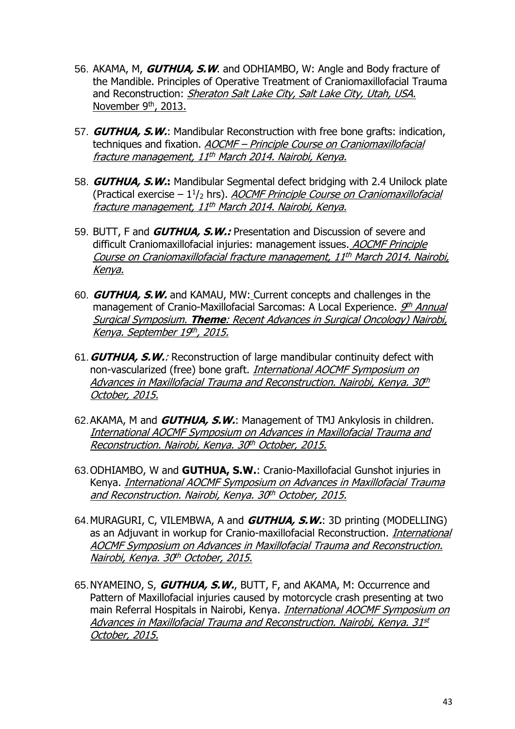- 56. AKAMA, M, **GUTHUA, S.W**. and ODHIAMBO, W: Angle and Body fracture of the Mandible. Principles of Operative Treatment of Craniomaxillofacial Trauma and Reconstruction: Sheraton Salt Lake City, Salt Lake City, Utah, USA. November 9<sup>th</sup>, 2013.
- 57. **GUTHUA, S.W.**: Mandibular Reconstruction with free bone grafts: indication, techniques and fixation. **AOCMF** – Principle Course on Craniomaxillofacial fracture management, 11 th March 2014. Nairobi, Kenya.
- 58. **GUTHUA, S.W.:** Mandibular Segmental defect bridging with 2.4 Unilock plate (Practical exercise – 1½ hrs). *AOCMF Principle Course on Craniomaxillofacial* <u>fracture management, 11<sup>th</sup> March 2014. Nairobi, Kenya.</u>
- 59. BUTT, F and **GUTHUA, S.W.:** Presentation and Discussion of severe and difficult Craniomaxillofacial injuries: management issues. AOCMF Principle Course on Craniomaxillofacial fracture management, 11th March 2014. Nairobi, Kenya.
- 60. **GUTHUA, S.W.** and KAMAU, MW: Current concepts and challenges in the management of Cranio-Maxillofacial Sarcomas: A Local Experience. *9th Annual* Surgical Symposium. **Theme**: Recent Advances in Surgical Oncology) Nairobi, <u>Kenya. September 19th, 2015.</u>
- 61.**GUTHUA, S.W.**: Reconstruction of large mandibular continuity defect with non-vascularized (free) bone graft. International AOCMF Symposium on <u>Advances in Maxillofacial Trauma and Reconstruction. Nairobi, Kenya. 30<sup>th</sup></u> October, 2015.
- 62.AKAMA, M and **GUTHUA, S.W.**: Management of TMJ Ankylosis in children. International AOCMF Symposium on Advances in Maxillofacial Trauma and <u>Reconstruction. Nairobi, Kenya. 30th October, 2015.</u>
- 63.ODHIAMBO, W and **GUTHUA, S.W.**: Cranio-Maxillofacial Gunshot injuries in Kenya. International AOCMF Symposium on Advances in Maxillofacial Trauma and Reconstruction. Nairobi, Kenya. 30th October, 2015.
- 64.MURAGURI, C, VILEMBWA, A and **GUTHUA, S.W.**: 3D printing (MODELLING) as an Adjuvant in workup for Cranio-maxillofacial Reconstruction. *International* AOCMF Symposium on Advances in Maxillofacial Trauma and Reconstruction. <u>Nairobi, Kenya. 30th October, 2015.</u>
- 65.NYAMEINO, S, **GUTHUA, S.W.**, BUTT, F, and AKAMA, M: Occurrence and Pattern of Maxillofacial injuries caused by motorcycle crash presenting at two main Referral Hospitals in Nairobi, Kenya. *International AOCMF Symposium on* Advances in Maxillofacial Trauma and Reconstruction. Nairobi, Kenya. 31 st October, 2015.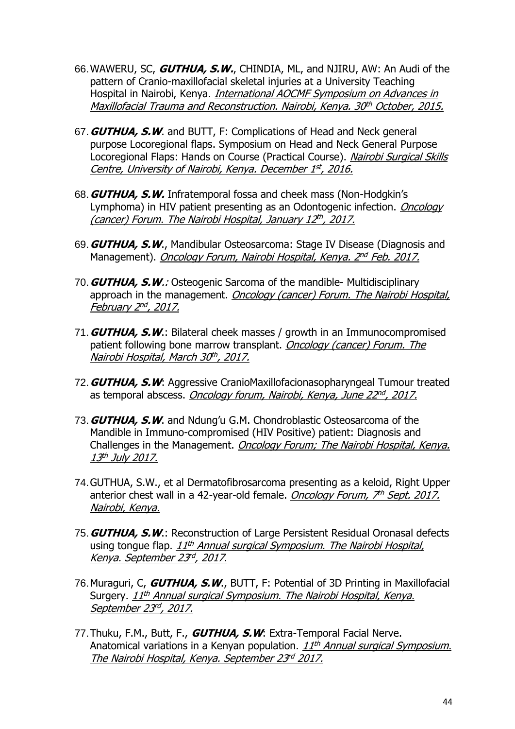- 66.WAWERU, SC, **GUTHUA, S.W.**, CHINDIA, ML, and NJIRU, AW: An Audi of the pattern of Cranio-maxillofacial skeletal injuries at a University Teaching Hospital in Nairobi, Kenya. *International AOCMF Symposium on Advances in* <u>Maxillofacial Trauma and Reconstruction. Nairobi, Kenya. 30th October, 2015.</u>
- 67.**GUTHUA, S.W**. and BUTT, F: Complications of Head and Neck general purpose Locoregional flaps. Symposium on Head and Neck General Purpose Locoregional Flaps: Hands on Course (Practical Course). Nairobi Surgical Skills <u>Centre, University of Nairobi, Kenya. December 1st, 2016.</u>
- 68.**GUTHUA, S.W.** Infratemporal fossa and cheek mass (Non-Hodgkin's Lymphoma) in HIV patient presenting as an Odontogenic infection. *Oncology* (cancer) Forum. The Nairobi Hospital, January 12th, 2017.
- 69.**GUTHUA, S.W**., Mandibular Osteosarcoma: Stage IV Disease (Diagnosis and Management). <u>*Oncology Forum, Nairobi Hospital, Kenya. 2<sup>nd</sup> Feb. 2017.*</u>
- 70.**GUTHUA, S.W**.: Osteogenic Sarcoma of the mandible- Multidisciplinary approach in the management. Oncology (cancer) Forum. The Nairobi Hospital, <u>February 2nd, 2017.</u>
- 71.**GUTHUA, S.W**.: Bilateral cheek masses / growth in an Immunocompromised patient following bone marrow transplant. Oncology (cancer) Forum. The <u>Nairobi Hospital, March 30th, 2017.</u>
- 72.**GUTHUA, S.W**: Aggressive CranioMaxillofacionasopharyngeal Tumour treated as temporal abscess. <u>Oncology forum, Nairobi, Kenya, June 22nd, 2017.</u>
- 73.**GUTHUA, S.W**. and Ndung'u G.M. Chondroblastic Osteosarcoma of the Mandible in Immuno-compromised (HIV Positive) patient: Diagnosis and Challenges in the Management. Oncology Forum; The Nairobi Hospital, Kenya. <u>13<sup>th</sup> July 2017.</u>
- 74.GUTHUA, S.W., et al Dermatofibrosarcoma presenting as a keloid, Right Upper anterior chest wall in a 42-year-old female. *Oncology Forum, 7<sup>th</sup> Sept. 2017.* Nairobi, Kenya.
- 75.**GUTHUA, S.W**.: Reconstruction of Large Persistent Residual Oronasal defects using tongue flap. *11<sup>th</sup> Annual surgical Symposium. The Nairobi Hospital,* <u>Kenya. September 23<sup>rd</sup>, 2017.</u>
- 76.Muraguri, C, **GUTHUA, S.W**., BUTT, F: Potential of 3D Printing in Maxillofacial Surgery. <u>11<sup>th</sup> Annual surgical Symposium. The Nairobi Hospital, Kenya.</u> <u>September 23rd, 2017.</u>
- 77.Thuku, F.M., Butt, F., **GUTHUA, S.W**: Extra-Temporal Facial Nerve. Anatomical variations in a Kenyan population. *11<sup>th</sup> Annual surgical Symposium.* <u>The Nairobi Hospital, Kenya. September 23<sup>rd</sup> 2017.</u>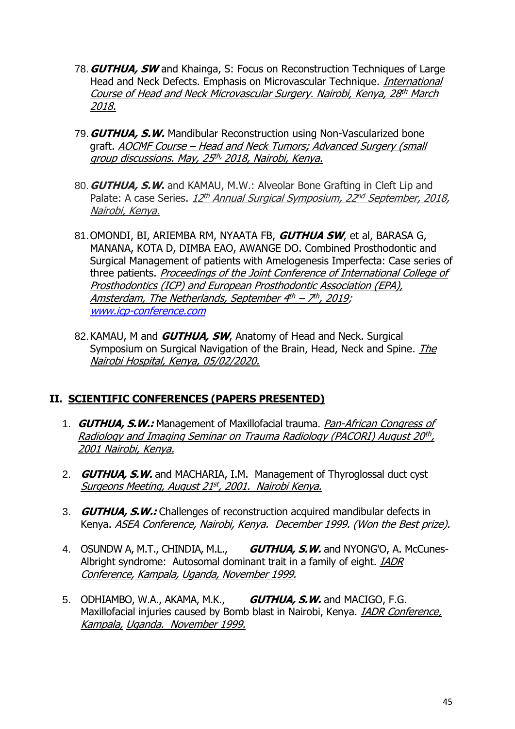- 78.**GUTHUA, SW** and Khainga, S: Focus on Reconstruction Techniques of Large Head and Neck Defects. Emphasis on Microvascular Technique. International Course of Head and Neck Microvascular Surgery. Nairobi, Kenya, 28th March 2018.
- 79.**GUTHUA, S.W.** Mandibular Reconstruction using Non-Vascularized bone graft. AOCMF Course – Head and Neck Tumors; Advanced Surgery (small group discussions. May, 25<sup>th,</sup> 2018, Nairobi, Kenya.
- 80.**GUTHUA, S.W.** and KAMAU, M.W.: Alveolar Bone Grafting in Cleft Lip and Palate: A case Series. <u>12<sup>th</sup> Annual Surgical Symposium, 22<sup>nd</sup> September, 2018,</u> Nairobi, Kenya.
- 81.OMONDI, BI, ARIEMBA RM, NYAATA FB, **GUTHUA SW**, et al, BARASA G, MANANA, KOTA D, DIMBA EAO, AWANGE DO. Combined Prosthodontic and Surgical Management of patients with Amelogenesis Imperfecta: Case series of three patients. Proceedings of the Joint Conference of International College of Prosthodontics (ICP) and European Prosthodontic Association (EPA), <u>Amsterdam, The Netherlands, September 4th – 7th, 2019</u>; [www.icp-conference.com](http://www.icp-conference.com/)
- 82.KAMAU, M and **GUTHUA, SW**, Anatomy of Head and Neck. Surgical Symposium on Surgical Navigation of the Brain, Head, Neck and Spine. The Nairobi Hospital, Kenya, 05/02/2020.

## **II. SCIENTIFIC CONFERENCES (PAPERS PRESENTED)**

- 1. **GUTHUA, S.W.:** Management of Maxillofacial trauma. Pan-African Congress of Radiology and Imaging Seminar on Trauma Radiology (PACORI) August 20th, 2001 Nairobi, Kenya.
- 2. **GUTHUA, S.W.** and MACHARIA, I.M. Management of Thyroglossal duct cyst <u>Surgeons Meeting, August 21st, 2001. Nairobi Kenya.</u>
- 3. **GUTHUA, S.W.:** Challenges of reconstruction acquired mandibular defects in Kenya. ASEA Conference, Nairobi, Kenya. December 1999. (Won the Best prize).
- 4. OSUNDW A, M.T., CHINDIA, M.L., **GUTHUA, S.W.** and NYONG'O, A. McCunes-Albright syndrome: Autosomal dominant trait in a family of eight. **IADR** Conference, Kampala, Uganda, November 1999.
- 5. ODHIAMBO, W.A., AKAMA, M.K., **GUTHUA, S.W.** and MACIGO, F.G. Maxillofacial injuries caused by Bomb blast in Nairobi, Kenya. *IADR Conference*, Kampala, Uganda. November 1999.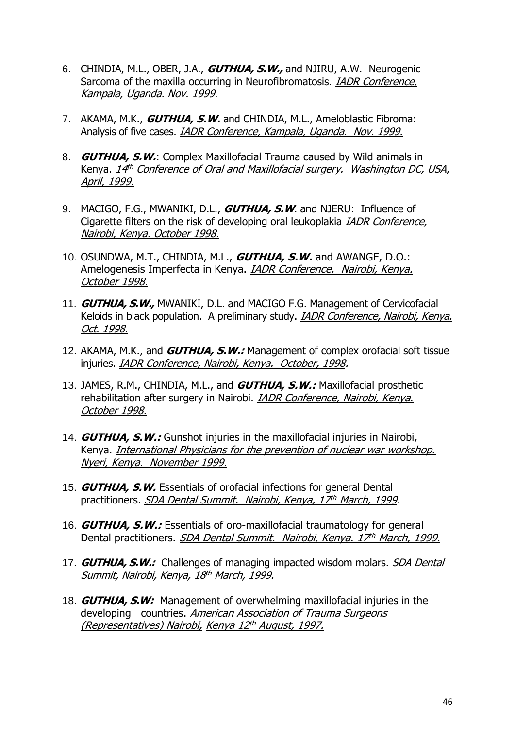- 6. CHINDIA, M.L., OBER, J.A., **GUTHUA, S.W.,** and NJIRU, A.W. Neurogenic Sarcoma of the maxilla occurring in Neurofibromatosis. IADR Conference, Kampala, Uganda. Nov. 1999.
- 7. AKAMA, M.K., **GUTHUA, S.W.** and CHINDIA, M.L., Ameloblastic Fibroma: Analysis of five cases. IADR Conference, Kampala, Uganda. Nov. 1999.
- 8. **GUTHUA, S.W.**: Complex Maxillofacial Trauma caused by Wild animals in Kenya. <u>14th Conference of Oral and Maxillofacial surgery. Washington DC, USA,</u> April, 1999.
- 9. MACIGO, F.G., MWANIKI, D.L., **GUTHUA, S.W**. and NJERU: Influence of Cigarette filters on the risk of developing oral leukoplakia **IADR Conference**, Nairobi, Kenya. October 1998.
- 10. OSUNDWA, M.T., CHINDIA, M.L., **GUTHUA, S.W.** and AWANGE, D.O.: Amelogenesis Imperfecta in Kenya. IADR Conference. Nairobi, Kenya. October 1998.
- 11. **GUTHUA, S.W.,** MWANIKI, D.L. and MACIGO F.G. Management of Cervicofacial Keloids in black population. A preliminary study. *IADR Conference, Nairobi, Kenya.* Oct. 1998.
- 12. AKAMA, M.K., and **GUTHUA, S.W.:** Management of complex orofacial soft tissue injuries. IADR Conference, Nairobi, Kenya. October, 1998.
- 13. JAMES, R.M., CHINDIA, M.L., and **GUTHUA, S.W.:** Maxillofacial prosthetic rehabilitation after surgery in Nairobi. IADR Conference, Nairobi, Kenya. October 1998.
- 14. **GUTHUA, S.W.:** Gunshot injuries in the maxillofacial injuries in Nairobi, Kenya. International Physicians for the prevention of nuclear war workshop. Nyeri, Kenya. November 1999.
- 15. **GUTHUA, S.W.** Essentials of orofacial infections for general Dental practitioners. *SDA Dental Summit. Nairobi, Kenya, 17<sup>th</sup> March, 1999*.
- 16. **GUTHUA, S.W.:** Essentials of oro-maxillofacial traumatology for general Dental practitioners. *SDA Dental Summit. Nairobi, Kenya. 17<sup>th</sup> March, 1999*.
- 17. **GUTHUA, S.W.:** Challenges of managing impacted wisdom molars. **SDA Dental** <u>Summit, Nairobi, Kenya, 18<sup>th</sup> March, 1999.</u>
- 18. **GUTHUA, S.W:** Management of overwhelming maxillofacial injuries in the developing countries. American Association of Trauma Surgeons <u>(Representatives) Nairobi, Kenya 12th August, 1997.</u>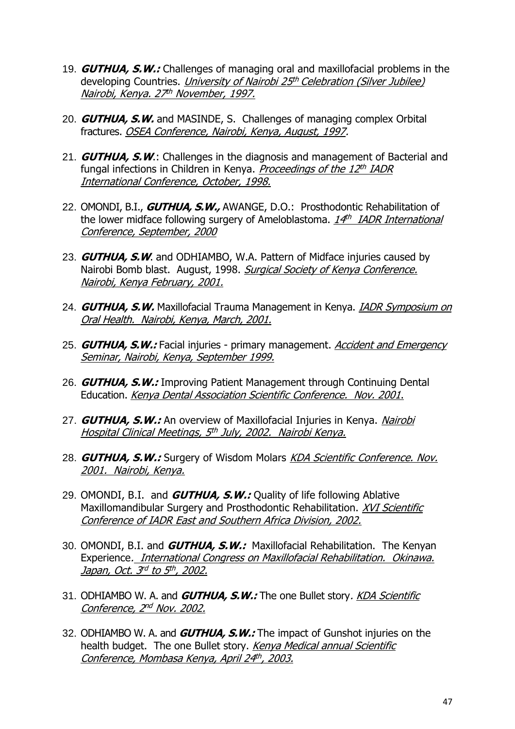- 19. **GUTHUA, S.W.:** Challenges of managing oral and maxillofacial problems in the developing Countries. *University of Nairobi 25<sup>th</sup> Celebration (Silver Jubilee)* <u>Nairobi, Kenya. 27th November, 1997.</u>
- 20. **GUTHUA, S.W.** and MASINDE, S. Challenges of managing complex Orbital fractures. OSEA Conference, Nairobi, Kenya, August, 1997.
- 21. **GUTHUA, S.W**.: Challenges in the diagnosis and management of Bacterial and fungal infections in Children in Kenya. *<u>Proceedings of the 12<sup>th</sup> IADR</u>* International Conference, October, 1998.
- 22. OMONDI, B.I., **GUTHUA, S.W.,** AWANGE, D.O.: Prosthodontic Rehabilitation of the lower midface following surgery of Ameloblastoma. <u>14th IADR International</u> Conference, September, 2000
- 23. **GUTHUA, S.W**. and ODHIAMBO, W.A. Pattern of Midface injuries caused by Nairobi Bomb blast. August, 1998. Surgical Society of Kenya Conference. Nairobi, Kenya February, 2001.
- 24. **GUTHUA, S.W.** Maxillofacial Trauma Management in Kenya. *IADR Symposium on* Oral Health. Nairobi, Kenya, March, 2001.
- 25. **GUTHUA, S.W.:** Facial injuries primary management. **Accident and Emergency** Seminar, Nairobi, Kenya, September 1999.
- 26. **GUTHUA, S.W.:** Improving Patient Management through Continuing Dental Education. Kenya Dental Association Scientific Conference. Nov. 2001.
- 27. **GUTHUA, S.W.:** An overview of Maxillofacial Injuries in Kenya. Nairobi <u>Hospital Clinical Meetings, 5th July, 2002. Nairobi Kenya.</u>
- 28. **GUTHUA, S.W.:** Surgery of Wisdom Molars KDA Scientific Conference. Nov. 2001. Nairobi, Kenya.
- 29. OMONDI, B.I. and **GUTHUA, S.W.:** Quality of life following Ablative Maxillomandibular Surgery and Prosthodontic Rehabilitation. XVI Scientific Conference of IADR East and Southern Africa Division, 2002.
- 30. OMONDI, B.I. and **GUTHUA, S.W.:** Maxillofacial Rehabilitation. The Kenyan Experience. International Congress on Maxillofacial Rehabilitation. Okinawa. <u>Japan, Oct. 3rd to 5th, 2002.</u>
- 31. ODHIAMBO W. A. and **GUTHUA, S.W.:** The one Bullet story. KDA Scientific <u>Conference, 2nd Nov. 2002.</u>
- 32. ODHIAMBO W. A. and **GUTHUA, S.W.:** The impact of Gunshot injuries on the health budget. The one Bullet story. Kenya Medical annual Scientific <u>Conference, Mombasa Kenya, April 24th, 2003.</u>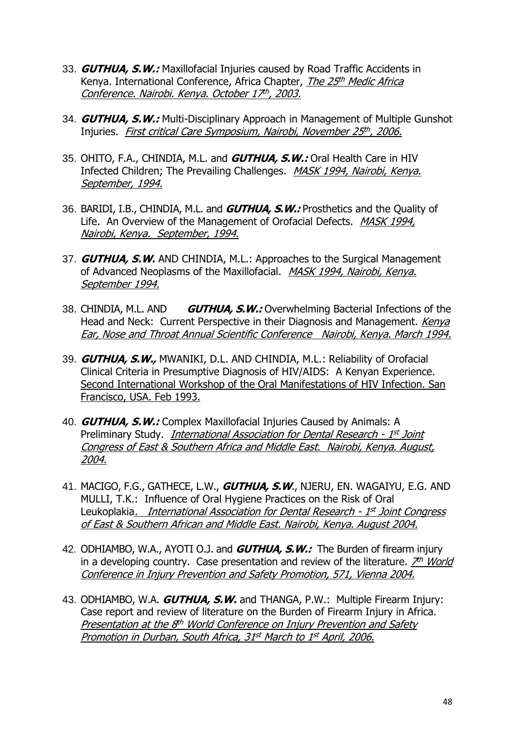- 33. **GUTHUA, S.W.:** Maxillofacial Injuries caused by Road Traffic Accidents in Kenya. International Conference, Africa Chapter, *The 25<sup>th</sup> Medic Africa* <u>Conference. Nairobi. Kenya. October 17th, 2003.</u>
- 34. **GUTHUA, S.W.:** Multi-Disciplinary Approach in Management of Multiple Gunshot Injuries. First critical Care Symposium, Nairobi, November 25 th , 2006.
- 35. OHITO, F.A., CHINDIA, M.L. and **GUTHUA, S.W.:** Oral Health Care in HIV Infected Children; The Prevailing Challenges. MASK 1994, Nairobi, Kenya. September, 1994.
- 36. BARIDI, I.B., CHINDIA, M.L. and **GUTHUA, S.W.:** Prosthetics and the Quality of Life. An Overview of the Management of Orofacial Defects. MASK 1994, Nairobi, Kenya. September, 1994.
- 37. **GUTHUA, S.W.** AND CHINDIA, M.L.: Approaches to the Surgical Management of Advanced Neoplasms of the Maxillofacial. MASK 1994, Nairobi, Kenya. September 1994.
- 38. CHINDIA, M.L. AND **GUTHUA, S.W.:** Overwhelming Bacterial Infections of the Head and Neck: Current Perspective in their Diagnosis and Management. Kenya Ear, Nose and Throat Annual Scientific Conference Nairobi, Kenya. March 1994.
- 39. **GUTHUA, S.W.,** MWANIKI, D.L. AND CHINDIA, M.L.: Reliability of Orofacial Clinical Criteria in Presumptive Diagnosis of HIV/AIDS: A Kenyan Experience. Second International Workshop of the Oral Manifestations of HIV Infection. San Francisco, USA. Feb 1993.
- 40. **GUTHUA, S.W.:** Complex Maxillofacial Injuries Caused by Animals: A Preliminary Study. *International Association for Dental Research - 1<sup>st</sup> Joint* Congress of East & Southern Africa and Middle East. Nairobi, Kenya. August. 2004.
- 41. MACIGO, F.G., GATHECE, L.W., **GUTHUA, S.W**., NJERU, EN. WAGAIYU, E.G. AND MULLI, T.K.: Influence of Oral Hygiene Practices on the Risk of Oral Leukoplakia<u>. International Association for Dental Research - 1<sup>st</sup> Joint Congress</u> of East & Southern African and Middle East. Nairobi, Kenya. August 2004.
- 42. ODHIAMBO, W.A., AYOTI O.J. and **GUTHUA, S.W.:** The Burden of firearm injury in a developing country. Case presentation and review of the literature. *7th World* Conference in Injury Prevention and Safety Promotion, 571, Vienna 2004.
- 43. ODHIAMBO, W.A. **GUTHUA, S.W.** and THANGA, P.W.: Multiple Firearm Injury: Case report and review of literature on the Burden of Firearm Injury in Africa. Presentation at the 8<sup>th</sup> World Conference on Injury Prevention and Safety <u>Promotion in Durban, South Africa, 31st March to 1st April, 2006.</u>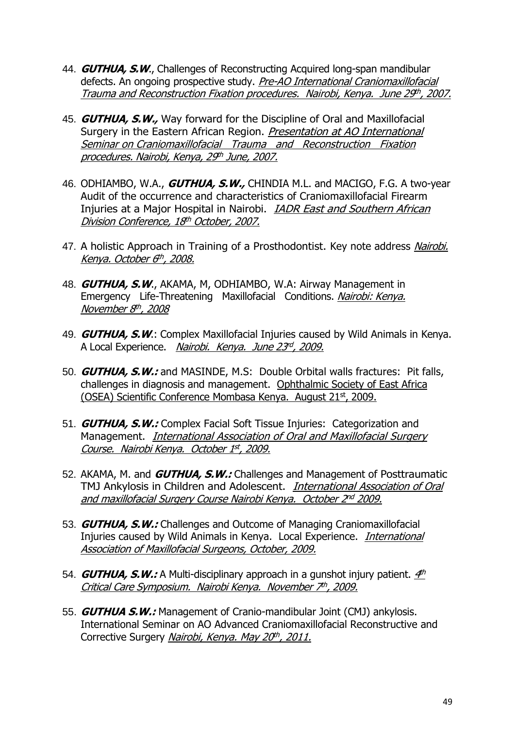- 44. **GUTHUA, S.W**., Challenges of Reconstructing Acquired long-span mandibular defects. An ongoing prospective study. Pre-AO International Craniomaxillofacial <u>Trauma and Reconstruction Fixation procedures. Nairobi, Kenya. June 29th, 2007.</u>
- 45. **GUTHUA, S.W.,** Way forward for the Discipline of Oral and Maxillofacial Surgery in the Eastern African Region. Presentation at AO International Seminar on Craniomaxillofacial Trauma and Reconstruction Fixation procedures. Nairobi, Kenya, 29th June, 2007.
- 46. ODHIAMBO, W.A., **GUTHUA, S.W.,** CHINDIA M.L. and MACIGO, F.G. A two-year Audit of the occurrence and characteristics of Craniomaxillofacial Firearm Injuries at a Major Hospital in Nairobi. IADR East and Southern African <u>Division Conference, 18th October, 2007.</u>
- 47. A holistic Approach in Training of a Prosthodontist. Key note address Nairobi. <u>Kenya. October 6th, 2008.</u>
- 48. **GUTHUA, S.W**., AKAMA, M, ODHIAMBO, W.A: Airway Management in Emergency Life-Threatening Maxillofacial Conditions. Nairobi: Kenya. <u>November 8th, 2008</u>
- 49. **GUTHUA, S.W**.: Complex Maxillofacial Injuries caused by Wild Animals in Kenya. A Local Experience. Nairobi. Kenya. June 23 rd , 2009.
- 50. **GUTHUA, S.W.:** and MASINDE, M.S: Double Orbital walls fractures: Pit falls, challenges in diagnosis and management. Ophthalmic Society of East Africa (OSEA) Scientific Conference Mombasa Kenya. August 21st, 2009.
- 51. **GUTHUA, S.W.:** Complex Facial Soft Tissue Injuries: Categorization and Management. International Association of Oral and Maxillofacial Surgery <u>Course. Nairobi Kenya. October 1st, 2009.</u>
- 52. AKAMA, M. and **GUTHUA, S.W.:** Challenges and Management of Posttraumatic TMJ Ankylosis in Children and Adolescent. *International Association of Oral* and maxillofacial Surgery Course Nairobi Kenya. October 2<sup>nd</sup> 2009.
- 53. **GUTHUA, S.W.:** Challenges and Outcome of Managing Craniomaxillofacial Injuries caused by Wild Animals in Kenya. Local Experience. International Association of Maxillofacial Surgeons, October, 2009.
- 54. *GUTHUA, S.W.:* A Multi-disciplinary approach in a gunshot injury patient.  $\frac{A^{th}}{A^{th}}$ Critical Care Symposium. Nairobi Kenya. November 7th, 2009.
- 55. **GUTHUA S.W.:** Management of Cranio-mandibular Joint (CMJ) ankylosis. International Seminar on AO Advanced Craniomaxillofacial Reconstructive and Corrective Surgery *Nairobi, Kenya. May 20<sup>th</sup>, 2011.*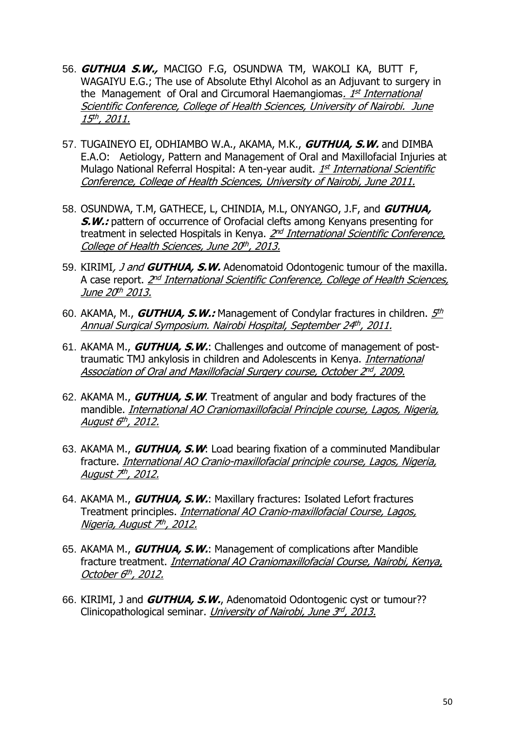- 56. **GUTHUA S.W.,** MACIGO F.G, OSUNDWA TM, WAKOLI KA, BUTT F, WAGAIYU E.G.; The use of Absolute Ethyl Alcohol as an Adjuvant to surgery in the Management of Oral and Circumoral Haemangiomas*. 1<sup>st</sup> International* Scientific Conference, College of Health Sciences, University of Nairobi. June <u>15th, 2011.</u>
- 57. TUGAINEYO EI, ODHIAMBO W.A., AKAMA, M.K., **GUTHUA, S.W.** and DIMBA E.A.O: Aetiology, Pattern and Management of Oral and Maxillofacial Injuries at Mulago National Referral Hospital: A ten-year audit. *1st International Scientific* Conference, College of Health Sciences, University of Nairobi, June 2011.
- 58. OSUNDWA, T.M, GATHECE, L, CHINDIA, M.L, ONYANGO, J.F, and **GUTHUA, S.W.:** pattern of occurrence of Orofacial clefts among Kenyans presenting for treatment in selected Hospitals in Kenya. *2<sup>nd</sup> International Scientific Conference,* <u>College of Health Sciences, June 20th, 2013.</u>
- 59. KIRIMI, J and **GUTHUA, S.W.** Adenomatoid Odontogenic tumour of the maxilla. A case report. <u>2<sup>nd</sup> International Scientific Conference, College of Health Sciences,</u> June 20t<sup>h</sup> 2013.
- 60. AKAMA, M., *GUTHUA, S.W.:* Management of Condylar fractures in children. <u>5th</u> <u>Annual Surgical Symposium. Nairobi Hospital, September 24th, 2011.</u>
- 61. AKAMA M., **GUTHUA, S.W.**: Challenges and outcome of management of posttraumatic TMJ ankylosis in children and Adolescents in Kenya. International <u>Association of Oral and Maxillofacial Surgery course, October 2nd, 2009.</u>
- 62. AKAMA M., **GUTHUA, S.W**. Treatment of angular and body fractures of the mandible. International AO Craniomaxillofacial Principle course, Lagos, Nigeria, <u>August 6th, 2012.</u>
- 63. AKAMA M., **GUTHUA, S.W**: Load bearing fixation of a comminuted Mandibular fracture. International AO Cranio-maxillofacial principle course, Lagos, Nigeria, <u>August 7th, 2012.</u>
- 64. AKAMA M., **GUTHUA, S.W.**: Maxillary fractures: Isolated Lefort fractures Treatment principles. International AO Cranio-maxillofacial Course, Lagos, <u>Nigeria, August 7th, 2012.</u>
- 65. AKAMA M., **GUTHUA, S.W.**: Management of complications after Mandible fracture treatment. International AO Craniomaxillofacial Course, Nairobi, Kenya, <u>October 6th, 2012.</u>
- 66. KIRIMI, J and **GUTHUA, S.W.**, Adenomatoid Odontogenic cyst or tumour?? Clinicopathological seminar. *University of Nairobi, June 3<sup>rd</sup>, 2013*.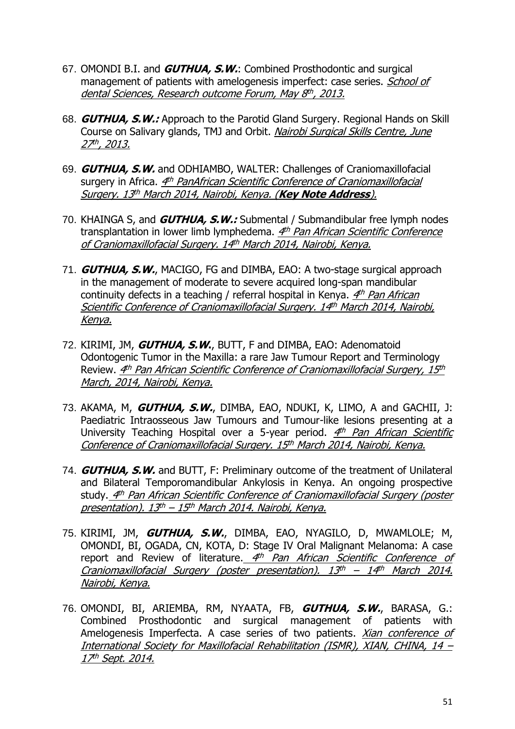- 67. OMONDI B.I. and **GUTHUA, S.W.**: Combined Prosthodontic and surgical management of patients with amelogenesis imperfect: case series. School of <u>dental Sciences, Research outcome Forum, May 8th, 2013.</u>
- 68. **GUTHUA, S.W.:** Approach to the Parotid Gland Surgery. Regional Hands on Skill Course on Salivary glands, TMJ and Orbit. Nairobi Surgical Skills Centre, June <u>27th, 2013.</u>
- 69. **GUTHUA, S.W.** and ODHIAMBO, WALTER: Challenges of Craniomaxillofacial surgery in Africa. <u>4th PanAfrican Scientific Conference of Craniomaxillofacial</u> Surgery. 13 th March 2014, Nairobi, Kenya. (**Key Note Address**).
- 70. KHAINGA S, and **GUTHUA, S.W.:** Submental / Submandibular free lymph nodes transplantation in lower limb lymphedema. <u>4th Pan African Scientific Conference</u> <u>of Craniomaxillofacial Surgery. 14th March 2014, Nairobi, Kenya.</u>
- 71. **GUTHUA, S.W.**, MACIGO, FG and DIMBA, EAO: A two-stage surgical approach in the management of moderate to severe acquired long-span mandibular continuity defects in a teaching / referral hospital in Kenya. <u>4th Pan African</u> Scientific Conference of Craniomaxillofacial Surgery. 14th March 2014, Nairobi, Kenya.
- 72. KIRIMI, JM, **GUTHUA, S.W.**, BUTT, F and DIMBA, EAO: Adenomatoid Odontogenic Tumor in the Maxilla: a rare Jaw Tumour Report and Terminology Review. <u>4th Pan African Scientific Conference of Craniomaxillofacial Surgery, 15th</u> March, 2014, Nairobi, Kenya.
- 73. AKAMA, M, **GUTHUA, S.W.**, DIMBA, EAO, NDUKI, K, LIMO, A and GACHII, J: Paediatric Intraosseous Jaw Tumours and Tumour-like lesions presenting at a University Teaching Hospital over a 5-year period. <u>4th Pan African Scientific</u> Conference of Craniomaxillofacial Surgery. 15th March 2014, Nairobi, Kenya.
- 74. **GUTHUA, S.W.** and BUTT, F: Preliminary outcome of the treatment of Unilateral and Bilateral Temporomandibular Ankylosis in Kenya. An ongoing prospective study.<u> 4<sup>th</sup> Pan African Scientific Conference of Craniomaxillofacial Surgery (poster</u> <u>presentation). 13th – 15th March 2014. Nairobi, Kenya.</u>
- 75. KIRIMI, JM, **GUTHUA, S.W.**, DIMBA, EAO, NYAGILO, D, MWAMLOLE; M, OMONDI, BI, OGADA, CN, KOTA, D: Stage IV Oral Malignant Melanoma: A case report and Review of literature. 4th Pan African Scientific Conference of Craniomaxillofacial Surgery (poster presentation). 13<sup>th</sup> – 14<sup>th</sup> March 2014. Nairobi, Kenya.
- 76. OMONDI, BI, ARIEMBA, RM, NYAATA, FB, **GUTHUA, S.W.**, BARASA, G.: Combined Prosthodontic and surgical management of patients with Amelogenesis Imperfecta. A case series of two patients. *Xian conference of* International Society for Maxillofacial Rehabilitation (ISMR), XIAN, CHINA, 14 – <u>17th Sept. 2014.</u>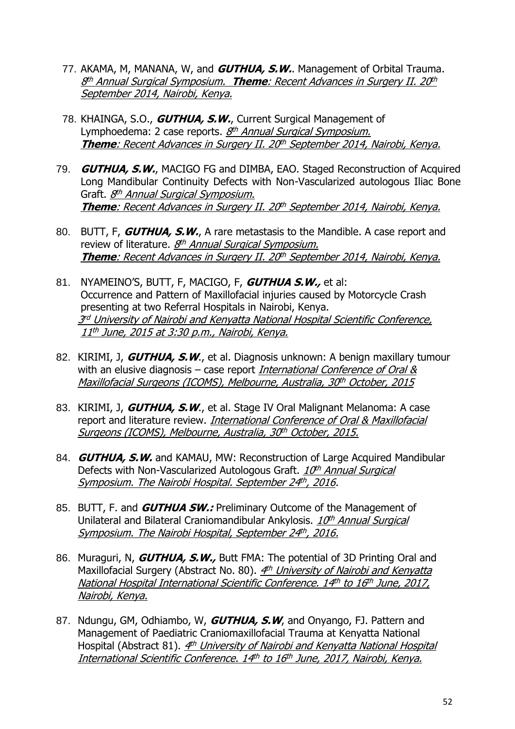- 77. AKAMA, M, MANANA, W, and **GUTHUA, S.W.**. Management of Orbital Trauma. 8<sup>th</sup> Annual Surgical Symposium. **Theme**: Recent Advances in Surgery II. 20<sup>th</sup> September 2014, Nairobi, Kenya.
- 78. KHAINGA, S.O., **GUTHUA, S.W.**, Current Surgical Management of Lymphoedema: 2 case reports. *8<sup>th</sup> Annual Surgical Symposium.* **Theme**: Recent Advances in Surgery II. 20 th September 2014, Nairobi, Kenya.
- 79. **GUTHUA, S.W.**, MACIGO FG and DIMBA, EAO. Staged Reconstruction of Acquired Long Mandibular Continuity Defects with Non-Vascularized autologous Iliac Bone Graft. <u>8<sup>th</sup> Annual Surgical Symposium.</u> **Theme**: Recent Advances in Surgery II. 20 th September 2014, Nairobi, Kenya.
- 80. BUTT, F, **GUTHUA, S.W.**, A rare metastasis to the Mandible. A case report and review of literature. *8<sup>th</sup> Annual Surgical Symposium.* **Theme**: Recent Advances in Surgery II. 20 th September 2014, Nairobi, Kenya.
- 81. NYAMEINO'S, BUTT, F, MACIGO, F, **GUTHUA S.W.,** et al: Occurrence and Pattern of Maxillofacial injuries caused by Motorcycle Crash presenting at two Referral Hospitals in Nairobi, Kenya. 3<sup>rd</sup> University of Nairobi and Kenyatta National Hospital Scientific Conference, 11 th June, 2015 at 3:30 p.m., Nairobi, Kenya.
- 82. KIRIMI, J, **GUTHUA, S.W**., et al. Diagnosis unknown: A benign maxillary tumour with an elusive diagnosis – case report International Conference of Oral  $\&$ <u>Maxillofacial Surgeons (ICOMS), Melbourne, Australia, 30<sup>th</sup> October, 2015</u>
- 83. KIRIMI, J, **GUTHUA, S.W**., et al. Stage IV Oral Malignant Melanoma: A case report and literature review. *International Conference of Oral & Maxillofacial* <u>Surgeons (ICOMS), Melbourne, Australia, 30th October, 2015.</u>
- 84. **GUTHUA, S.W.** and KAMAU, MW: Reconstruction of Large Acquired Mandibular Defects with Non-Vascularized Autologous Graft. *10<sup>th</sup> Annual Surgical* Symposium. The Nairobi Hospital. September 24th, 2016.
- 85. BUTT, F. and **GUTHUA SW.:** Preliminary Outcome of the Management of Unilateral and Bilateral Craniomandibular Ankylosis. 10th Annual Surgical Symposium. The Nairobi Hospital, September 24th, 2016.
- 86. Muraguri, N, **GUTHUA, S.W.,** Butt FMA: The potential of 3D Printing Oral and Maxillofacial Surgery (Abstract No. 80). <u>4th University of Nairobi and Kenyatta</u> National Hospital International Scientific Conference. 14th to 16th June, 2017, Nairobi, Kenya.
- 87. Ndungu, GM, Odhiambo, W, **GUTHUA, S.W**, and Onyango, FJ. Pattern and Management of Paediatric Craniomaxillofacial Trauma at Kenyatta National Hospital (Abstract 81). 4th University of Nairobi and Kenyatta National Hospital <u>International Scientific Conference. 14th to 16th June, 2017, Nairobi, Kenya.</u>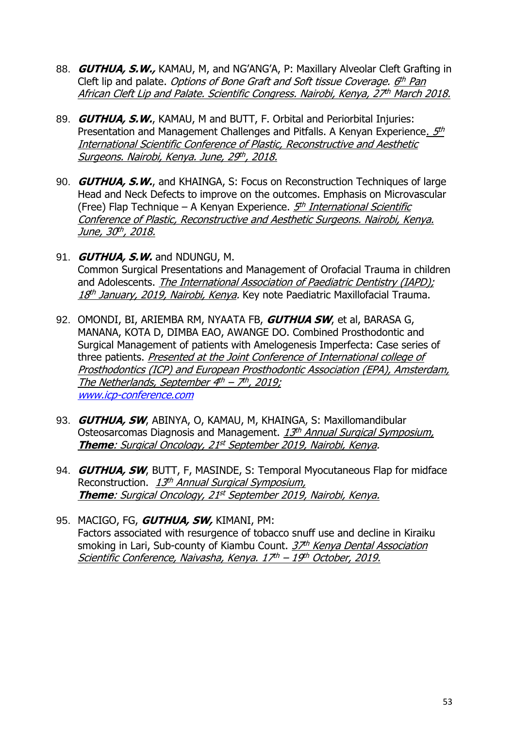- 88. **GUTHUA, S.W.,** KAMAU, M, and NG'ANG'A, P: Maxillary Alveolar Cleft Grafting in Cleft lip and palate. *Options of Bone Graft and Soft tissue Coverage. <u>6th Pan</u>* <u>African Cleft Lip and Palate. Scientific Congress. Nairobi, Kenya, 27th March 2018.</u>
- 89. **GUTHUA, S.W.**, KAMAU, M and BUTT, F. Orbital and Periorbital Injuries: Presentation and Management Challenges and Pitfalls. A Kenyan Experience<u>. 5th</u> International Scientific Conference of Plastic, Reconstructive and Aesthetic <u>Surgeons. Nairobi, Kenya. June, 29th, 2018.</u>
- 90. **GUTHUA, S.W.**, and KHAINGA, S: Focus on Reconstruction Techniques of large Head and Neck Defects to improve on the outcomes. Emphasis on Microvascular (Free) Flap Technique – A Kenyan Experience. *5<sup>th</sup> International Scientific* Conference of Plastic, Reconstructive and Aesthetic Surgeons. Nairobi, Kenya. <u>June, 30th, 2018.</u>
- 91. **GUTHUA, S.W.** and NDUNGU, M. Common Surgical Presentations and Management of Orofacial Trauma in children and Adolescents. The International Association of Paediatric Dentistry (IAPD); *18<sup>th</sup> January, 2019, Nairobi, Kenya.* Key note Paediatric Maxillofacial Trauma.
- 92. OMONDI, BI, ARIEMBA RM, NYAATA FB, **GUTHUA SW**, et al, BARASA G, MANANA, KOTA D, DIMBA EAO, AWANGE DO. Combined Prosthodontic and Surgical Management of patients with Amelogenesis Imperfecta: Case series of three patients. Presented at the Joint Conference of International college of Prosthodontics (ICP) and European Prosthodontic Association (EPA), Amsterdam, <u>The Netherlands, September 4th – 7th, 2019;</u> [www.icp-conference.com](http://www.icp-conference.com/)
- 93. **GUTHUA, SW**, ABINYA, O, KAMAU, M, KHAINGA, S: Maxillomandibular Osteosarcomas Diagnosis and Management. 13th Annual Surgical Symposium, <u>Theme: Surgical Oncology, 21st September 2019, Nairobi, Kenya</u>.
- 94. **GUTHUA, SW**, BUTT, F, MASINDE, S: Temporal Myocutaneous Flap for midface Reconstruction. 13th Annual Surgical Symposium, <u>Theme: Surgical Oncology, 21<sup>st</sup> September 2019, Nairobi, Kenya.</u>
- 95. MACIGO, FG, **GUTHUA, SW,** KIMANI, PM: Factors associated with resurgence of tobacco snuff use and decline in Kiraiku smoking in Lari, Sub-county of Kiambu Count. 37th Kenya Dental Association <u>Scientific Conference, Naivasha, Kenya. 17th – 19th October, 2019.</u>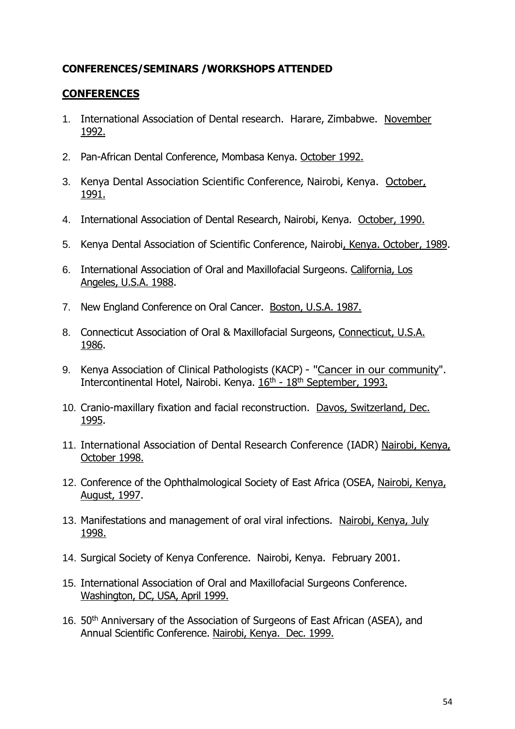## **CONFERENCES/SEMINARS /WORKSHOPS ATTENDED**

## **CONFERENCES**

- 1. International Association of Dental research. Harare, Zimbabwe. November 1992.
- 2. Pan-African Dental Conference, Mombasa Kenya. October 1992.
- 3. Kenya Dental Association Scientific Conference, Nairobi, Kenya. October, 1991.
- 4. International Association of Dental Research, Nairobi, Kenya. October, 1990.
- 5. Kenya Dental Association of Scientific Conference, Nairobi, Kenya. October, 1989.
- 6. International Association of Oral and Maxillofacial Surgeons. California, Los Angeles, U.S.A. 1988.
- 7. New England Conference on Oral Cancer. Boston, U.S.A. 1987.
- 8. Connecticut Association of Oral & Maxillofacial Surgeons, Connecticut, U.S.A. 1986.
- 9. Kenya Association of Clinical Pathologists (KACP) "Cancer in our community". Intercontinental Hotel, Nairobi. Kenya. 16<sup>th</sup> - 18<sup>th</sup> September, 1993.
- 10. Cranio-maxillary fixation and facial reconstruction. Davos, Switzerland, Dec. 1995.
- 11. International Association of Dental Research Conference (IADR) Nairobi, Kenya, October 1998.
- 12. Conference of the Ophthalmological Society of East Africa (OSEA, Nairobi, Kenya, August, 1997.
- 13. Manifestations and management of oral viral infections. Nairobi, Kenya, July 1998.
- 14. Surgical Society of Kenya Conference. Nairobi, Kenya. February 2001.
- 15. International Association of Oral and Maxillofacial Surgeons Conference. Washington, DC, USA, April 1999.
- 16. 50<sup>th</sup> Anniversary of the Association of Surgeons of East African (ASEA), and Annual Scientific Conference. Nairobi, Kenya. Dec. 1999.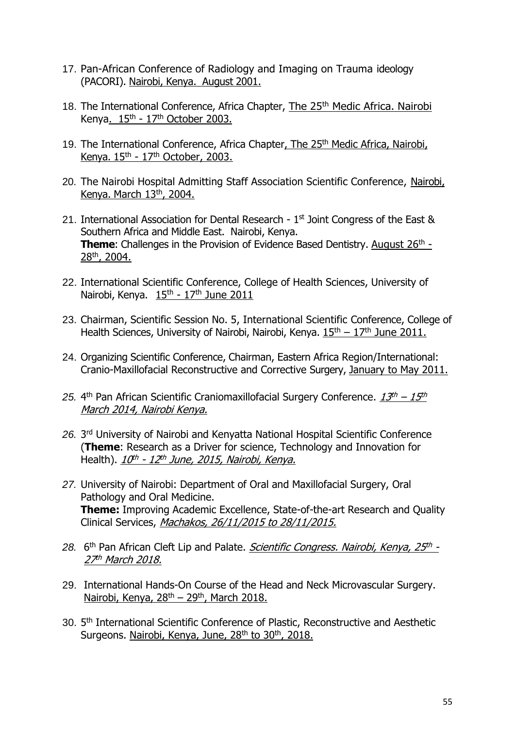- 17. Pan-African Conference of Radiology and Imaging on Trauma ideology (PACORI). Nairobi, Kenya. August 2001.
- 18. The International Conference, Africa Chapter, The 25<sup>th</sup> Medic Africa. Nairobi Kenya.  $15<sup>th</sup> - 17<sup>th</sup>$  October 2003.
- 19. The International Conference, Africa Chapter, The 25<sup>th</sup> Medic Africa, Nairobi, Kenya.  $15<sup>th</sup> - 17<sup>th</sup>$  October, 2003.
- 20. The Nairobi Hospital Admitting Staff Association Scientific Conference, Nairobi, Kenya. March 13th, 2004.
- 21. International Association for Dental Research  $1<sup>st</sup>$  Joint Congress of the East & Southern Africa and Middle East. Nairobi, Kenya. **Theme:** Challenges in the Provision of Evidence Based Dentistry. August 26<sup>th</sup> -28th, 2004.
- 22. International Scientific Conference, College of Health Sciences, University of Nairobi, Kenya. 15<sup>th</sup> - 17<sup>th</sup> June 2011
- 23. Chairman, Scientific Session No. 5, International Scientific Conference, College of Health Sciences, University of Nairobi, Nairobi, Kenya.  $15<sup>th</sup> - 17<sup>th</sup>$  June 2011.
- 24. Organizing Scientific Conference, Chairman, Eastern Africa Region/International: Cranio-Maxillofacial Reconstructive and Corrective Surgery, January to May 2011.
- 25. 4<sup>th</sup> Pan African Scientific Craniomaxillofacial Surgery Conference.  $\frac{13^{th} 15^{th}}{15^{th}}$ March 2014, Nairobi Kenya.
- *26.* 3 rd University of Nairobi and Kenyatta National Hospital Scientific Conference (**Theme**: Research as a Driver for science, Technology and Innovation for Health). <u>1*0<sup>th</sup> - 12<sup>th</sup> June, 2015, Nairobi, Kenya.*</u>
- *27.* University of Nairobi: Department of Oral and Maxillofacial Surgery, Oral Pathology and Oral Medicine. **Theme:** Improving Academic Excellence, State-of-the-art Research and Quality Clinical Services, Machakos, 26/11/2015 to 28/11/2015.
- 28. 6<sup>th</sup> Pan African Cleft Lip and Palate. *Scientific Congress. Nairobi, Kenya, 25<sup>th</sup> -*27<sup>th</sup> March 2018.
- 29. International Hands-On Course of the Head and Neck Microvascular Surgery. Nairobi, Kenya, 28<sup>th</sup> – 29<sup>th</sup>, March 2018.
- 30. 5<sup>th</sup> International Scientific Conference of Plastic, Reconstructive and Aesthetic Surgeons. Nairobi, Kenya, June, 28<sup>th</sup> to 30<sup>th</sup>, 2018.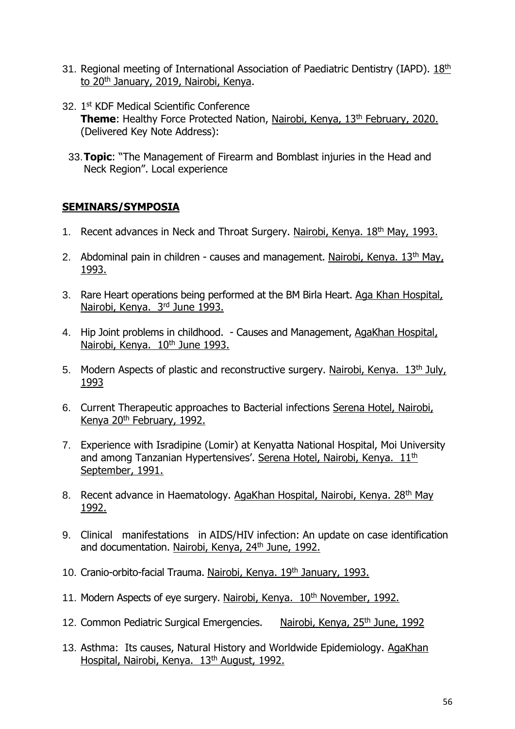- 31. Regional meeting of International Association of Paediatric Dentistry (IAPD). 18th to 20<sup>th</sup> January, 2019, Nairobi, Kenya.
- 32. 1st KDF Medical Scientific Conference **Theme:** Healthy Force Protected Nation, Nairobi, Kenya, 13<sup>th</sup> February, 2020. (Delivered Key Note Address):
- 33.**Topic**: "The Management of Firearm and Bomblast injuries in the Head and Neck Region". Local experience

## **SEMINARS/SYMPOSIA**

- 1. Recent advances in Neck and Throat Surgery. Nairobi, Kenya. 18th May, 1993.
- 2. Abdominal pain in children causes and management. Nairobi, Kenya. 13<sup>th</sup> May, 1993.
- 3. Rare Heart operations being performed at the BM Birla Heart. Aga Khan Hospital, Nairobi, Kenya. 3<sup>rd</sup> June 1993.
- 4. Hip Joint problems in childhood. Causes and Management, AgaKhan Hospital, Nairobi, Kenya. 10<sup>th</sup> June 1993.
- 5. Modern Aspects of plastic and reconstructive surgery. Nairobi, Kenya. 13<sup>th</sup> July, 1993
- 6. Current Therapeutic approaches to Bacterial infections Serena Hotel, Nairobi, Kenya 20<sup>th</sup> February, 1992.
- 7. Experience with Isradipine (Lomir) at Kenyatta National Hospital, Moi University and among Tanzanian Hypertensives'. Serena Hotel, Nairobi, Kenya. 11<sup>th</sup> September, 1991.
- 8. Recent advance in Haematology. AgaKhan Hospital, Nairobi, Kenya. 28<sup>th</sup> May 1992.
- 9. Clinical manifestations in AIDS/HIV infection: An update on case identification and documentation. Nairobi, Kenya, 24<sup>th</sup> June, 1992.
- 10. Cranio-orbito-facial Trauma. Nairobi, Kenya. 19th January, 1993.
- 11. Modern Aspects of eye surgery. Nairobi, Kenya. 10<sup>th</sup> November, 1992.
- 12. Common Pediatric Surgical Emergencies. Nairobi, Kenya, 25<sup>th</sup> June, 1992
- 13. Asthma: Its causes, Natural History and Worldwide Epidemiology. AgaKhan Hospital, Nairobi, Kenya. 13<sup>th</sup> August, 1992.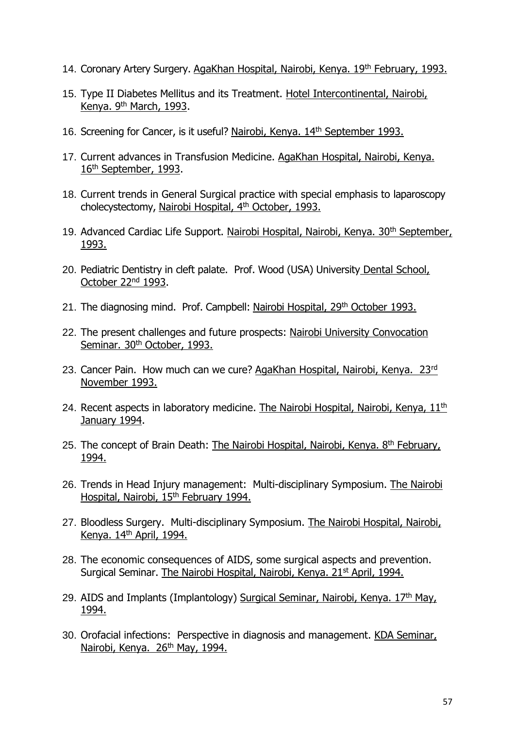- 14. Coronary Artery Surgery. AgaKhan Hospital, Nairobi, Kenya. 19<sup>th</sup> February, 1993.
- 15. Type II Diabetes Mellitus and its Treatment. Hotel Intercontinental, Nairobi, Kenya. 9<sup>th</sup> March, 1993.
- 16. Screening for Cancer, is it useful? Nairobi, Kenya. 14<sup>th</sup> September 1993.
- 17. Current advances in Transfusion Medicine. AgaKhan Hospital, Nairobi, Kenya. 16th September, 1993.
- 18. Current trends in General Surgical practice with special emphasis to laparoscopy cholecystectomy, Nairobi Hospital, 4th October, 1993.
- 19. Advanced Cardiac Life Support. Nairobi Hospital, Nairobi, Kenya. 30<sup>th</sup> September, 1993.
- 20. Pediatric Dentistry in cleft palate. Prof. Wood (USA) University Dental School, October 22<sup>nd</sup> 1993.
- 21. The diagnosing mind. Prof. Campbell: Nairobi Hospital, 29<sup>th</sup> October 1993.
- 22. The present challenges and future prospects: Nairobi University Convocation Seminar. 30<sup>th</sup> October, 1993.
- 23. Cancer Pain. How much can we cure? AgaKhan Hospital, Nairobi, Kenya. 23rd November 1993.
- 24. Recent aspects in laboratory medicine. The Nairobi Hospital, Nairobi, Kenya,  $11<sup>th</sup>$ January 1994.
- 25. The concept of Brain Death: The Nairobi Hospital, Nairobi, Kenya. 8<sup>th</sup> February, 1994.
- 26. Trends in Head Injury management: Multi-disciplinary Symposium. The Nairobi Hospital, Nairobi, 15th February 1994.
- 27. Bloodless Surgery. Multi-disciplinary Symposium. The Nairobi Hospital, Nairobi, Kenya. 14th April, 1994.
- 28. The economic consequences of AIDS, some surgical aspects and prevention. Surgical Seminar. The Nairobi Hospital, Nairobi, Kenya. 21<sup>st</sup> April, 1994.
- 29. AIDS and Implants (Implantology) Surgical Seminar, Nairobi, Kenya. 17<sup>th</sup> May, 1994.
- 30. Orofacial infections: Perspective in diagnosis and management. KDA Seminar, Nairobi, Kenya. 26<sup>th</sup> May, 1994.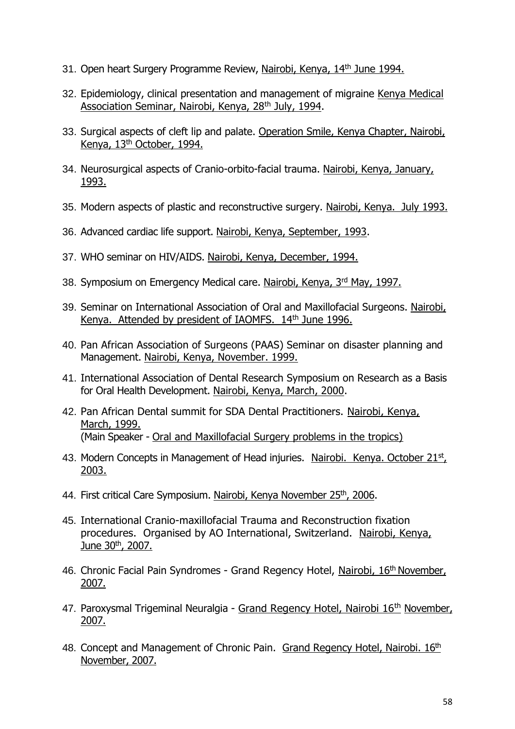- 31. Open heart Surgery Programme Review, Nairobi, Kenya, 14<sup>th</sup> June 1994.
- 32. Epidemiology, clinical presentation and management of migraine Kenya Medical Association Seminar, Nairobi, Kenya, 28<sup>th</sup> July, 1994.
- 33. Surgical aspects of cleft lip and palate. Operation Smile, Kenya Chapter, Nairobi, Kenya, 13th October, 1994.
- 34. Neurosurgical aspects of Cranio-orbito-facial trauma. Nairobi, Kenya, January, 1993.
- 35. Modern aspects of plastic and reconstructive surgery. Nairobi, Kenya. July 1993.
- 36. Advanced cardiac life support. Nairobi, Kenya, September, 1993.
- 37. WHO seminar on HIV/AIDS. Nairobi, Kenya, December, 1994.
- 38. Symposium on Emergency Medical care. Nairobi, Kenya, 3rd May, 1997.
- 39. Seminar on International Association of Oral and Maxillofacial Surgeons. Nairobi, Kenya. Attended by president of IAOMFS. 14th June 1996.
- 40. Pan African Association of Surgeons (PAAS) Seminar on disaster planning and Management. Nairobi, Kenya, November. 1999.
- 41. International Association of Dental Research Symposium on Research as a Basis for Oral Health Development. Nairobi, Kenya, March, 2000.
- 42. Pan African Dental summit for SDA Dental Practitioners. Nairobi, Kenya, March, 1999. (Main Speaker - Oral and Maxillofacial Surgery problems in the tropics)
- 43. Modern Concepts in Management of Head injuries. Nairobi. Kenya. October 21st, 2003.
- 44. First critical Care Symposium. Nairobi, Kenya November 25<sup>th</sup>, 2006.
- 45. International Cranio-maxillofacial Trauma and Reconstruction fixation procedures. Organised by AO International, Switzerland. Nairobi, Kenya, June 30<sup>th</sup>, 2007.
- 46. Chronic Facial Pain Syndromes Grand Regency Hotel, Nairobi, 16<sup>th</sup> November, 2007.
- 47. Paroxysmal Trigeminal Neuralgia Grand Regency Hotel, Nairobi 16<sup>th</sup> November, 2007.
- 48. Concept and Management of Chronic Pain. Grand Regency Hotel, Nairobi. 16th November, 2007.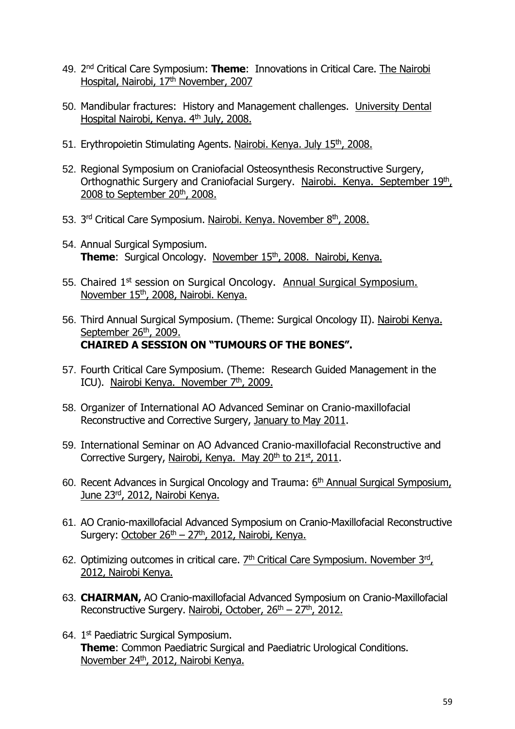- 49. 2<sup>nd</sup> Critical Care Symposium: **Theme**: Innovations in Critical Care. The Nairobi Hospital, Nairobi, 17<sup>th</sup> November, 2007
- 50. Mandibular fractures: History and Management challenges. University Dental Hospital Nairobi, Kenya. 4th July, 2008.
- 51. Erythropoietin Stimulating Agents. Nairobi. Kenya. July 15<sup>th</sup>, 2008.
- 52. Regional Symposium on Craniofacial Osteosynthesis Reconstructive Surgery, Orthognathic Surgery and Craniofacial Surgery. Nairobi. Kenya. September 19th, 2008 to September 20<sup>th</sup>, 2008.
- 53. 3<sup>rd</sup> Critical Care Symposium. Nairobi. Kenya. November 8<sup>th</sup>, 2008.
- 54. Annual Surgical Symposium. **Theme:** Surgical Oncology. November 15<sup>th</sup>, 2008. Nairobi, Kenya.
- 55. Chaired 1<sup>st</sup> session on Surgical Oncology. Annual Surgical Symposium. November 15<sup>th</sup>, 2008, Nairobi. Kenya.
- 56. Third Annual Surgical Symposium. (Theme: Surgical Oncology II). Nairobi Kenya. September 26<sup>th</sup>, 2009. **CHAIRED A SESSION ON "TUMOURS OF THE BONES".**
- 57. Fourth Critical Care Symposium. (Theme: Research Guided Management in the ICU). Nairobi Kenya. November 7<sup>th</sup>, 2009.
- 58. Organizer of International AO Advanced Seminar on Cranio-maxillofacial Reconstructive and Corrective Surgery, January to May 2011.
- 59. International Seminar on AO Advanced Cranio-maxillofacial Reconstructive and Corrective Surgery, Nairobi, Kenya. May  $20<sup>th</sup>$  to  $21<sup>st</sup>$ , 2011.
- 60. Recent Advances in Surgical Oncology and Trauma: 6<sup>th</sup> Annual Surgical Symposium, June 23rd, 2012, Nairobi Kenya.
- 61. AO Cranio-maxillofacial Advanced Symposium on Cranio-Maxillofacial Reconstructive Surgery: October  $26<sup>th</sup> - 27<sup>th</sup>$ , 2012, Nairobi, Kenya.
- 62. Optimizing outcomes in critical care. **7<sup>th</sup> Critical Care Symposium. November 3rd**, 2012, Nairobi Kenya.
- 63. **CHAIRMAN,** AO Cranio-maxillofacial Advanced Symposium on Cranio-Maxillofacial Reconstructive Surgery. Nairobi, October,  $26<sup>th</sup> - 27<sup>th</sup>$ , 2012.
- 64. 1<sup>st</sup> Paediatric Surgical Symposium. **Theme**: Common Paediatric Surgical and Paediatric Urological Conditions. November 24<sup>th</sup>, 2012, Nairobi Kenya.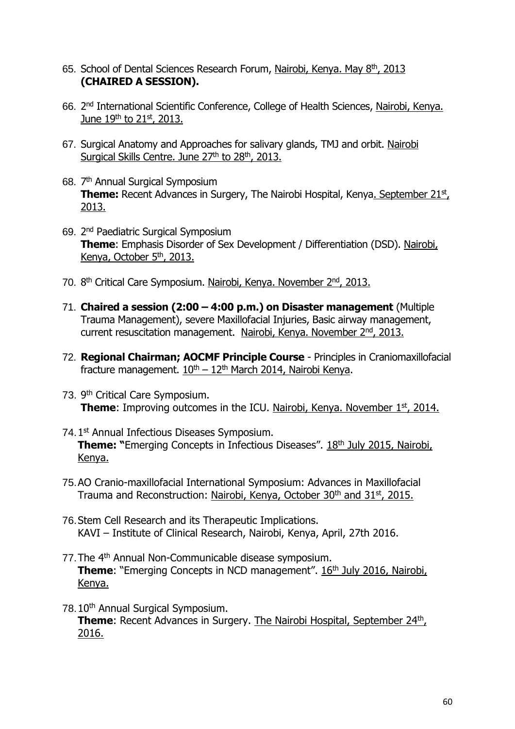- 65. School of Dental Sciences Research Forum, Nairobi, Kenya. May 8<sup>th</sup>, 2013 **(CHAIRED A SESSION).**
- 66. 2<sup>nd</sup> International Scientific Conference, College of Health Sciences, <u>Nairobi, Kenya.</u> June  $19^{th}$  to  $21^{st}$ , 2013.
- 67. Surgical Anatomy and Approaches for salivary glands, TMJ and orbit. Nairobi Surgical Skills Centre. June 27<sup>th</sup> to 28<sup>th</sup>, 2013.
- 68. 7<sup>th</sup> Annual Surgical Symposium **Theme:** Recent Advances in Surgery, The Nairobi Hospital, Kenya<u>. September 21st</u>, 2013.
- 69. 2 nd Paediatric Surgical Symposium **Theme**: Emphasis Disorder of Sex Development / Differentiation (DSD). Nairobi, Kenya, October 5<sup>th</sup>, 2013.
- 70. 8<sup>th</sup> Critical Care Symposium. Nairobi, Kenya. November 2<sup>nd</sup>, 2013.
- 71. **Chaired a session (2:00 – 4:00 p.m.) on Disaster management** (Multiple Trauma Management), severe Maxillofacial Injuries, Basic airway management, current resuscitation management. Nairobi, Kenya. November 2nd, 2013.
- 72. **Regional Chairman; AOCMF Principle Course** Principles in Craniomaxillofacial fracture management.  $10^{th} - 12^{th}$  March 2014, Nairobi Kenya.
- 73. 9<sup>th</sup> Critical Care Symposium. **Theme**: Improving outcomes in the ICU. Nairobi, Kenya. November 1<sup>st</sup>, 2014.
- 74.1<sup>st</sup> Annual Infectious Diseases Symposium. **Theme: "**Emerging Concepts in Infectious Diseases". 18<sup>th</sup> July 2015, Nairobi, Kenya.
- 75.AO Cranio-maxillofacial International Symposium: Advances in Maxillofacial Trauma and Reconstruction: Nairobi, Kenya, October 30<sup>th</sup> and 31<sup>st</sup>, 2015.
- 76.Stem Cell Research and its Therapeutic Implications. KAVI – Institute of Clinical Research, Nairobi, Kenya, April, 27th 2016.
- 77. The 4<sup>th</sup> Annual Non-Communicable disease symposium. **Theme:** "Emerging Concepts in NCD management". 16<sup>th</sup> July 2016, Nairobi, Kenya.
- 78.10<sup>th</sup> Annual Surgical Symposium. **Theme:** Recent Advances in Surgery. The Nairobi Hospital, September 24<sup>th</sup>, 2016.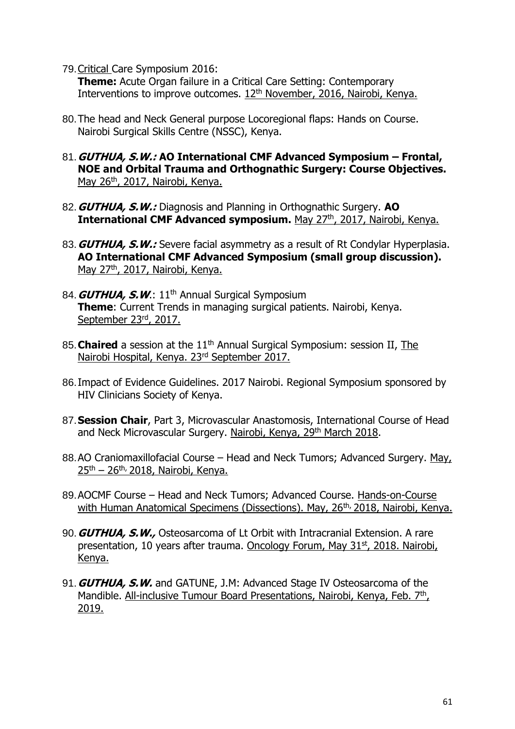79.Critical Care Symposium 2016:

**Theme:** Acute Organ failure in a Critical Care Setting: Contemporary Interventions to improve outcomes. 12<sup>th</sup> November, 2016, Nairobi, Kenya.

- 80.The head and Neck General purpose Locoregional flaps: Hands on Course. Nairobi Surgical Skills Centre (NSSC), Kenya.
- 81.**GUTHUA, S.W.: AO International CMF Advanced Symposium – Frontal, NOE and Orbital Trauma and Orthognathic Surgery: Course Objectives.**  May 26<sup>th</sup>, 2017, Nairobi, Kenya.
- 82.**GUTHUA, S.W.:** Diagnosis and Planning in Orthognathic Surgery. **AO International CMF Advanced symposium.** May 27th, 2017, Nairobi, Kenya.
- 83.**GUTHUA, S.W.:** Severe facial asymmetry as a result of Rt Condylar Hyperplasia. **AO International CMF Advanced Symposium (small group discussion).** May 27<sup>th</sup>, 2017, Nairobi, Kenya.
- 84. **GUTHUA, S.W.:** 11<sup>th</sup> Annual Surgical Symposium **Theme**: Current Trends in managing surgical patients. Nairobi, Kenya. September 23<sup>rd</sup>, 2017.
- 85. **Chaired** a session at the 11<sup>th</sup> Annual Surgical Symposium: session II, The Nairobi Hospital, Kenya. 23rd September 2017.
- 86.Impact of Evidence Guidelines. 2017 Nairobi. Regional Symposium sponsored by HIV Clinicians Society of Kenya.
- 87.**Session Chair**, Part 3, Microvascular Anastomosis, International Course of Head and Neck Microvascular Surgery. Nairobi, Kenya, 29<sup>th</sup> March 2018.
- 88.AO Craniomaxillofacial Course Head and Neck Tumors; Advanced Surgery. May,  $25<sup>th</sup> - 26<sup>th</sup>$ , 2018, Nairobi, Kenya.
- 89.AOCMF Course Head and Neck Tumors; Advanced Course. Hands-on-Course with Human Anatomical Specimens (Dissections). May, 26<sup>th,</sup> 2018, Nairobi, Kenya.
- 90.**GUTHUA, S.W.,** Osteosarcoma of Lt Orbit with Intracranial Extension. A rare presentation, 10 years after trauma. Oncology Forum, May 31<sup>st</sup>, 2018. Nairobi, Kenya.
- 91.**GUTHUA, S.W.** and GATUNE, J.M: Advanced Stage IV Osteosarcoma of the Mandible. All-inclusive Tumour Board Presentations, Nairobi, Kenya, Feb. 7<sup>th</sup>, 2019.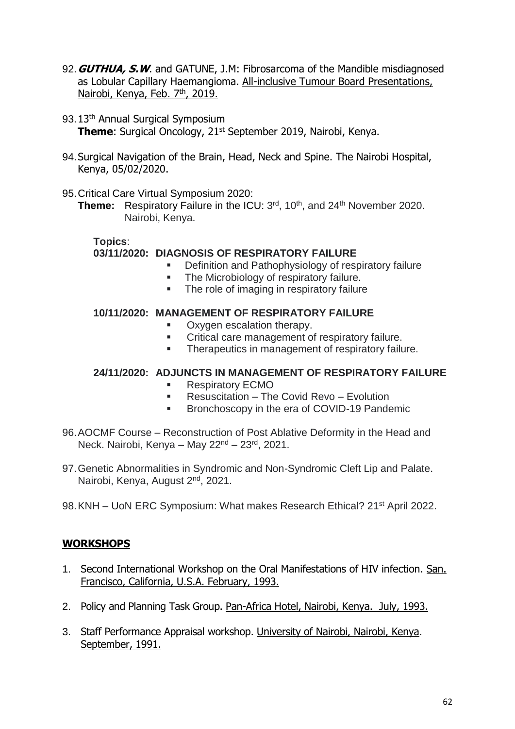- 92.**GUTHUA, S.W**. and GATUNE, J.M: Fibrosarcoma of the Mandible misdiagnosed as Lobular Capillary Haemangioma. All-inclusive Tumour Board Presentations, Nairobi, Kenya, Feb. 7<sup>th</sup>, 2019.
- 93.13<sup>th</sup> Annual Surgical Symposium **Theme**: Surgical Oncology, 21<sup>st</sup> September 2019, Nairobi, Kenya.
- 94.Surgical Navigation of the Brain, Head, Neck and Spine. The Nairobi Hospital, Kenya, 05/02/2020.
- 95.Critical Care Virtual Symposium 2020:

**Theme:** Respiratory Failure in the ICU: 3<sup>rd</sup>, 10<sup>th</sup>, and 24<sup>th</sup> November 2020. Nairobi, Kenya.

**Topics**: **03/11/2020: DIAGNOSIS OF RESPIRATORY FAILURE**

- Definition and Pathophysiology of respiratory failure
- **The Microbiology of respiratory failure.**
- The role of imaging in respiratory failure

## **10/11/2020: MANAGEMENT OF RESPIRATORY FAILURE**

- Oxygen escalation therapy.
- **Critical care management of respiratory failure.**
- **Therapeutics in management of respiratory failure.**

#### **24/11/2020: ADJUNCTS IN MANAGEMENT OF RESPIRATORY FAILURE**

- **Respiratory ECMO**
- **Resuscitation The Covid Revo Evolution**
- **Bronchoscopy in the era of COVID-19 Pandemic**
- 96.AOCMF Course Reconstruction of Post Ablative Deformity in the Head and Neck. Nairobi, Kenya – May 22<sup>nd</sup> – 23<sup>rd</sup>, 2021.
- 97.Genetic Abnormalities in Syndromic and Non-Syndromic Cleft Lip and Palate. Nairobi, Kenya, August 2nd, 2021.
- 98. KNH UoN ERC Symposium: What makes Research Ethical? 21<sup>st</sup> April 2022.

## **WORKSHOPS**

- 1. Second International Workshop on the Oral Manifestations of HIV infection. San. Francisco, California, U.S.A. February, 1993.
- 2. Policy and Planning Task Group. Pan-Africa Hotel, Nairobi, Kenya. July, 1993.
- 3. Staff Performance Appraisal workshop. University of Nairobi, Nairobi, Kenya. September, 1991.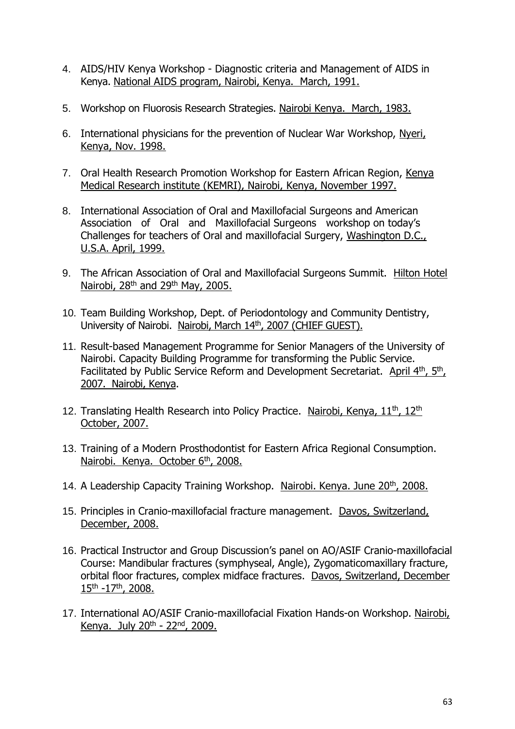- 4. AIDS/HIV Kenya Workshop Diagnostic criteria and Management of AIDS in Kenya. National AIDS program, Nairobi, Kenya. March, 1991.
- 5. Workshop on Fluorosis Research Strategies. Nairobi Kenya. March, 1983.
- 6. International physicians for the prevention of Nuclear War Workshop, Nyeri, Kenya, Nov. 1998.
- 7. Oral Health Research Promotion Workshop for Eastern African Region, Kenya Medical Research institute (KEMRI), Nairobi, Kenya, November 1997.
- 8. International Association of Oral and Maxillofacial Surgeons and American Association of Oral and Maxillofacial Surgeons workshop on today's Challenges for teachers of Oral and maxillofacial Surgery, Washington D.C., U.S.A. April, 1999.
- 9. The African Association of Oral and Maxillofacial Surgeons Summit. Hilton Hotel Nairobi, 28<sup>th</sup> and 29<sup>th</sup> May, 2005.
- 10. Team Building Workshop, Dept. of Periodontology and Community Dentistry, University of Nairobi. Nairobi, March 14th, 2007 (CHIEF GUEST).
- 11. Result-based Management Programme for Senior Managers of the University of Nairobi. Capacity Building Programme for transforming the Public Service. Facilitated by Public Service Reform and Development Secretariat. April 4<sup>th</sup>, 5<sup>th</sup>, 2007. Nairobi, Kenya.
- 12. Translating Health Research into Policy Practice. Nairobi, Kenya, 11<sup>th</sup>, 12<sup>th</sup> October, 2007.
- 13. Training of a Modern Prosthodontist for Eastern Africa Regional Consumption. Nairobi. Kenya. October 6<sup>th</sup>, 2008.
- 14. A Leadership Capacity Training Workshop. Nairobi. Kenya. June 20<sup>th</sup>, 2008.
- 15. Principles in Cranio-maxillofacial fracture management. Davos, Switzerland, December, 2008.
- 16. Practical Instructor and Group Discussion's panel on AO/ASIF Cranio-maxillofacial Course: Mandibular fractures (symphyseal, Angle), Zygomaticomaxillary fracture, orbital floor fractures, complex midface fractures. Davos, Switzerland, December 15<sup>th</sup> -17<sup>th</sup>, 2008.
- 17. International AO/ASIF Cranio-maxillofacial Fixation Hands-on Workshop. Nairobi, Kenya. July  $20<sup>th</sup> - 22<sup>nd</sup>$ , 2009.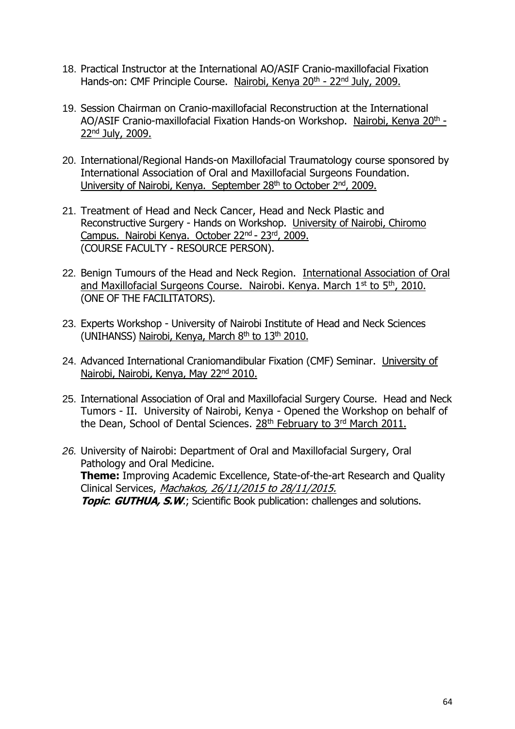- 18. Practical Instructor at the International AO/ASIF Cranio-maxillofacial Fixation Hands-on: CMF Principle Course. Nairobi, Kenya 20<sup>th</sup> - 22<sup>nd</sup> July, 2009.
- 19. Session Chairman on Cranio-maxillofacial Reconstruction at the International AO/ASIF Cranio-maxillofacial Fixation Hands-on Workshop. Nairobi, Kenya 20<sup>th</sup> -22nd July, 2009.
- 20. International/Regional Hands-on Maxillofacial Traumatology course sponsored by International Association of Oral and Maxillofacial Surgeons Foundation. University of Nairobi, Kenya. September 28<sup>th</sup> to October 2<sup>nd</sup>, 2009.
- 21. Treatment of Head and Neck Cancer, Head and Neck Plastic and Reconstructive Surgery - Hands on Workshop. University of Nairobi, Chiromo Campus. Nairobi Kenya. October 22nd - 23rd, 2009. (COURSE FACULTY - RESOURCE PERSON).
- 22. Benign Tumours of the Head and Neck Region. International Association of Oral and Maxillofacial Surgeons Course. Nairobi. Kenya. March 1st to 5th, 2010. (ONE OF THE FACILITATORS).
- 23. Experts Workshop University of Nairobi Institute of Head and Neck Sciences (UNIHANSS) Nairobi, Kenya, March 8<sup>th</sup> to 13<sup>th</sup> 2010.
- 24. Advanced International Craniomandibular Fixation (CMF) Seminar. University of Nairobi, Nairobi, Kenya, May 22nd 2010.
- 25. International Association of Oral and Maxillofacial Surgery Course. Head and Neck Tumors - II. University of Nairobi, Kenya - Opened the Workshop on behalf of the Dean, School of Dental Sciences. 28<sup>th</sup> February to 3<sup>rd</sup> March 2011.
- *26.* University of Nairobi: Department of Oral and Maxillofacial Surgery, Oral Pathology and Oral Medicine. **Theme:** Improving Academic Excellence, State-of-the-art Research and Quality Clinical Services, Machakos, 26/11/2015 to 28/11/2015. **Topic**: **GUTHUA, S.W**.; Scientific Book publication: challenges and solutions.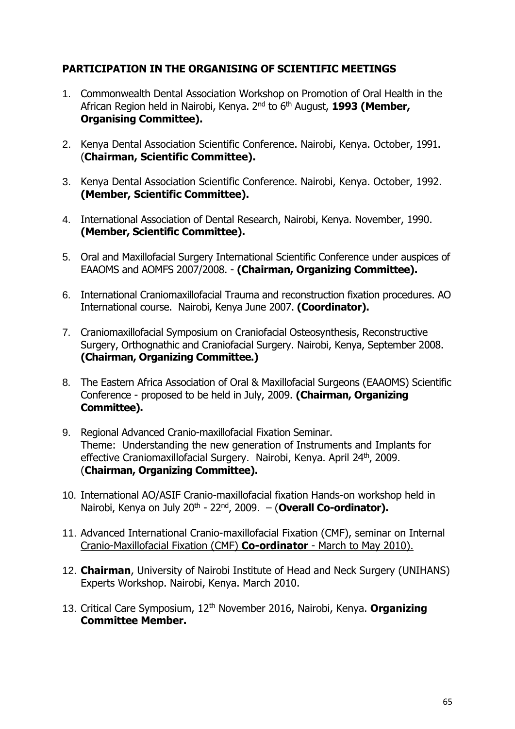## **PARTICIPATION IN THE ORGANISING OF SCIENTIFIC MEETINGS**

- 1. Commonwealth Dental Association Workshop on Promotion of Oral Health in the African Region held in Nairobi, Kenya. 2nd to 6th August, **1993 (Member, Organising Committee).**
- 2. Kenya Dental Association Scientific Conference. Nairobi, Kenya. October, 1991. (**Chairman, Scientific Committee).**
- 3. Kenya Dental Association Scientific Conference. Nairobi, Kenya. October, 1992. **(Member, Scientific Committee).**
- 4. International Association of Dental Research, Nairobi, Kenya. November, 1990. **(Member, Scientific Committee).**
- 5. Oral and Maxillofacial Surgery International Scientific Conference under auspices of EAAOMS and AOMFS 2007/2008. - **(Chairman, Organizing Committee).**
- 6. International Craniomaxillofacial Trauma and reconstruction fixation procedures. AO International course. Nairobi, Kenya June 2007. **(Coordinator).**
- 7. Craniomaxillofacial Symposium on Craniofacial Osteosynthesis, Reconstructive Surgery, Orthognathic and Craniofacial Surgery. Nairobi, Kenya, September 2008. **(Chairman, Organizing Committee.)**
- 8. The Eastern Africa Association of Oral & Maxillofacial Surgeons (EAAOMS) Scientific Conference - proposed to be held in July, 2009. **(Chairman, Organizing Committee).**
- 9. Regional Advanced Cranio-maxillofacial Fixation Seminar. Theme: Understanding the new generation of Instruments and Implants for effective Craniomaxillofacial Surgery. Nairobi, Kenya. April 24<sup>th</sup>, 2009. (**Chairman, Organizing Committee).**
- 10. International AO/ASIF Cranio-maxillofacial fixation Hands-on workshop held in Nairobi, Kenya on July 20<sup>th</sup> - 22<sup>nd</sup>, 2009. – (**Overall Co-ordinator).**
- 11. Advanced International Cranio-maxillofacial Fixation (CMF), seminar on Internal Cranio-Maxillofacial Fixation (CMF) **Co-ordinator** - March to May 2010).
- 12. **Chairman**, University of Nairobi Institute of Head and Neck Surgery (UNIHANS) Experts Workshop. Nairobi, Kenya. March 2010.
- 13. Critical Care Symposium, 12th November 2016, Nairobi, Kenya. **Organizing Committee Member.**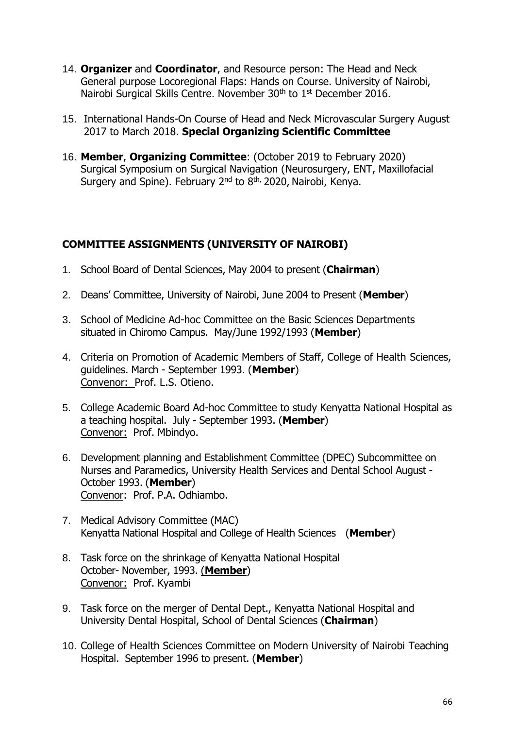- 14. **Organizer** and **Coordinator**, and Resource person: The Head and Neck General purpose Locoregional Flaps: Hands on Course. University of Nairobi, Nairobi Surgical Skills Centre. November 30<sup>th</sup> to 1<sup>st</sup> December 2016.
- 15. International Hands-On Course of Head and Neck Microvascular Surgery August 2017 to March 2018. **Special Organizing Scientific Committee**
- 16. **Member**, **Organizing Committee**: (October 2019 to February 2020) Surgical Symposium on Surgical Navigation (Neurosurgery, ENT, Maxillofacial Surgery and Spine). February 2<sup>nd</sup> to 8<sup>th,</sup> 2020, Nairobi, Kenya.

## **COMMITTEE ASSIGNMENTS (UNIVERSITY OF NAIROBI)**

- 1. School Board of Dental Sciences, May 2004 to present (**Chairman**)
- 2. Deans' Committee, University of Nairobi, June 2004 to Present (**Member**)
- 3. School of Medicine Ad-hoc Committee on the Basic Sciences Departments situated in Chiromo Campus. May/June 1992/1993 (**Member**)
- 4. Criteria on Promotion of Academic Members of Staff, College of Health Sciences, guidelines. March - September 1993. (**Member**) Convenor: Prof. L.S. Otieno.
- 5. College Academic Board Ad-hoc Committee to study Kenyatta National Hospital as a teaching hospital. July - September 1993. (**Member**) Convenor: Prof. Mbindyo.
- 6. Development planning and Establishment Committee (DPEC) Subcommittee on Nurses and Paramedics, University Health Services and Dental School August - October 1993. (**Member**) Convenor: Prof. P.A. Odhiambo.
- 7. Medical Advisory Committee (MAC) Kenyatta National Hospital and College of Health Sciences (**Member**)
- 8. Task force on the shrinkage of Kenyatta National Hospital October- November, 1993. (**Member**) Convenor: Prof. Kyambi
- 9. Task force on the merger of Dental Dept., Kenyatta National Hospital and University Dental Hospital, School of Dental Sciences (**Chairman**)
- 10. College of Health Sciences Committee on Modern University of Nairobi Teaching Hospital. September 1996 to present. (**Member**)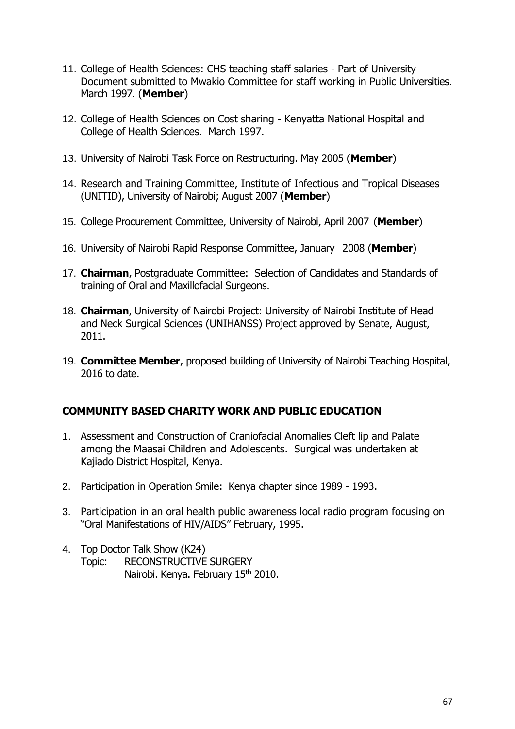- 11. College of Health Sciences: CHS teaching staff salaries Part of University Document submitted to Mwakio Committee for staff working in Public Universities. March 1997. (**Member**)
- 12. College of Health Sciences on Cost sharing Kenyatta National Hospital and College of Health Sciences. March 1997.
- 13. University of Nairobi Task Force on Restructuring. May 2005 (**Member**)
- 14. Research and Training Committee, Institute of Infectious and Tropical Diseases (UNITID), University of Nairobi; August 2007 (**Member**)
- 15. College Procurement Committee, University of Nairobi, April 2007 (**Member**)
- 16. University of Nairobi Rapid Response Committee, January 2008 (**Member**)
- 17. **Chairman**, Postgraduate Committee: Selection of Candidates and Standards of training of Oral and Maxillofacial Surgeons.
- 18. **Chairman**, University of Nairobi Project: University of Nairobi Institute of Head and Neck Surgical Sciences (UNIHANSS) Project approved by Senate, August, 2011.
- 19. **Committee Member**, proposed building of University of Nairobi Teaching Hospital, 2016 to date.

## **COMMUNITY BASED CHARITY WORK AND PUBLIC EDUCATION**

- 1. Assessment and Construction of Craniofacial Anomalies Cleft lip and Palate among the Maasai Children and Adolescents. Surgical was undertaken at Kajiado District Hospital, Kenya.
- 2. Participation in Operation Smile: Kenya chapter since 1989 1993.
- 3. Participation in an oral health public awareness local radio program focusing on "Oral Manifestations of HIV/AIDS" February, 1995.
- 4. Top Doctor Talk Show (K24) Topic: RECONSTRUCTIVE SURGERY Nairobi. Kenya. February 15<sup>th</sup> 2010.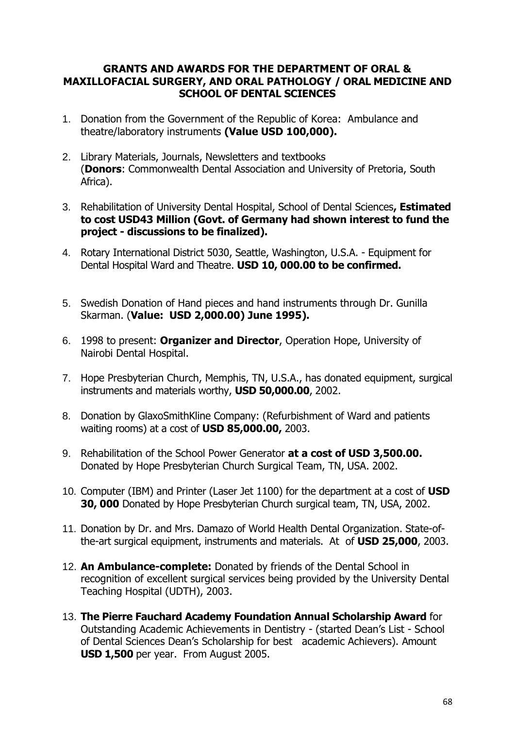#### **GRANTS AND AWARDS FOR THE DEPARTMENT OF ORAL & MAXILLOFACIAL SURGERY, AND ORAL PATHOLOGY / ORAL MEDICINE AND SCHOOL OF DENTAL SCIENCES**

- 1. Donation from the Government of the Republic of Korea: Ambulance and theatre/laboratory instruments **(Value USD 100,000).**
- 2. Library Materials, Journals, Newsletters and textbooks (**Donors**: Commonwealth Dental Association and University of Pretoria, South Africa).
- 3. Rehabilitation of University Dental Hospital, School of Dental Sciences**, Estimated to cost USD43 Million (Govt. of Germany had shown interest to fund the project - discussions to be finalized).**
- 4. Rotary International District 5030, Seattle, Washington, U.S.A. Equipment for Dental Hospital Ward and Theatre. **USD 10, 000.00 to be confirmed.**
- 5. Swedish Donation of Hand pieces and hand instruments through Dr. Gunilla Skarman. (**Value: USD 2,000.00) June 1995).**
- 6. 1998 to present: **Organizer and Director**, Operation Hope, University of Nairobi Dental Hospital.
- 7. Hope Presbyterian Church, Memphis, TN, U.S.A., has donated equipment, surgical instruments and materials worthy, **USD 50,000.00**, 2002.
- 8. Donation by GlaxoSmithKline Company: (Refurbishment of Ward and patients waiting rooms) at a cost of **USD 85,000.00,** 2003.
- 9. Rehabilitation of the School Power Generator **at a cost of USD 3,500.00.** Donated by Hope Presbyterian Church Surgical Team, TN, USA. 2002.
- 10. Computer (IBM) and Printer (Laser Jet 1100) for the department at a cost of **USD 30, 000** Donated by Hope Presbyterian Church surgical team, TN, USA, 2002.
- 11. Donation by Dr. and Mrs. Damazo of World Health Dental Organization. State-ofthe-art surgical equipment, instruments and materials. At of **USD 25,000**, 2003.
- 12. **An Ambulance-complete:** Donated by friends of the Dental School in recognition of excellent surgical services being provided by the University Dental Teaching Hospital (UDTH), 2003.
- 13. **The Pierre Fauchard Academy Foundation Annual Scholarship Award** for Outstanding Academic Achievements in Dentistry - (started Dean's List - School of Dental Sciences Dean's Scholarship for best academic Achievers). Amount **USD 1,500** per year. From August 2005.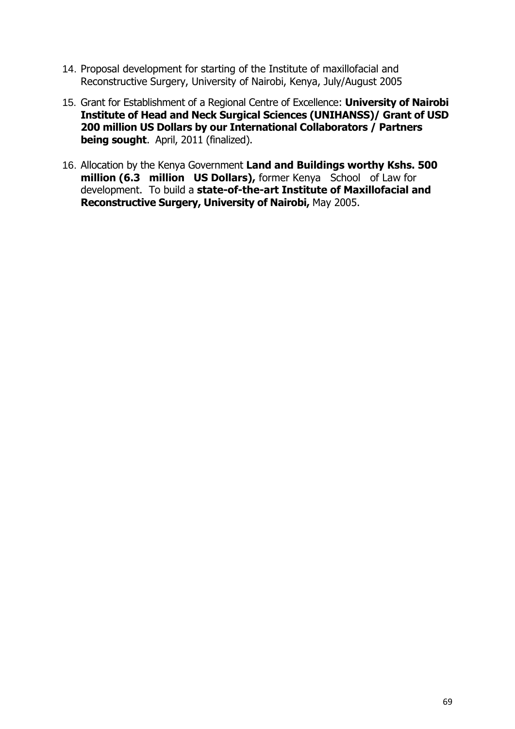- 14. Proposal development for starting of the Institute of maxillofacial and Reconstructive Surgery, University of Nairobi, Kenya, July/August 2005
- 15. Grant for Establishment of a Regional Centre of Excellence: **University of Nairobi Institute of Head and Neck Surgical Sciences (UNIHANSS)/ Grant of USD 200 million US Dollars by our International Collaborators / Partners being sought**. April, 2011 (finalized).
- 16. Allocation by the Kenya Government **Land and Buildings worthy Kshs. 500 million (6.3 million US Dollars),** former Kenya School of Law for development. To build a **state-of-the-art Institute of Maxillofacial and Reconstructive Surgery, University of Nairobi,** May 2005.